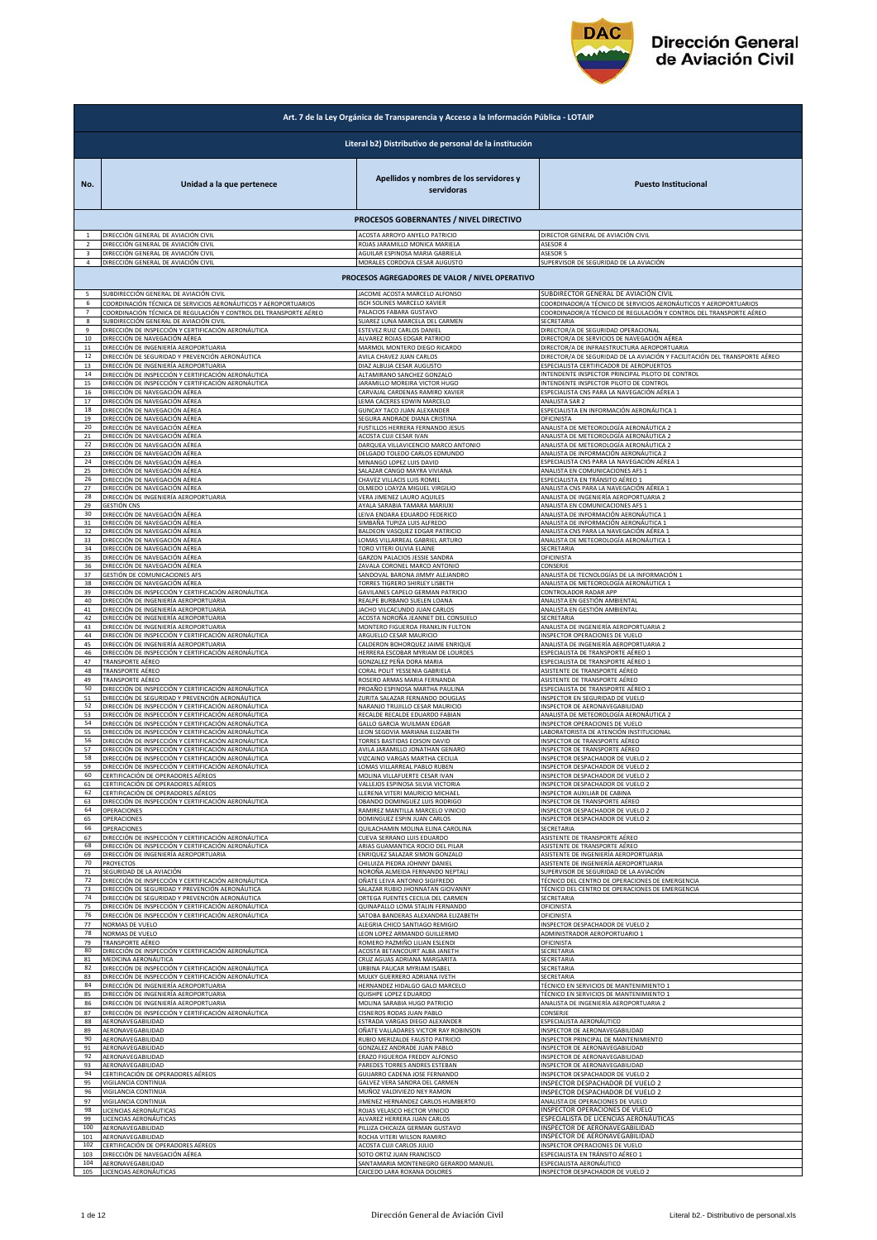

|                | Art. 7 de la Ley Orgánica de Transparencia y Acceso a la Información Pública - LOTAIP |                                                        |                                                                            |
|----------------|---------------------------------------------------------------------------------------|--------------------------------------------------------|----------------------------------------------------------------------------|
|                |                                                                                       | Literal b2) Distributivo de personal de la institución |                                                                            |
| No.            | Unidad a la que pertenece                                                             | Apellidos y nombres de los servidores y<br>servidoras  | <b>Puesto Institucional</b>                                                |
|                |                                                                                       | PROCESOS GOBERNANTES / NIVEL DIRECTIVO                 |                                                                            |
|                | DIRECCIÓN GENERAL DE AVIACIÓN CIVIL                                                   | ACOSTA ARROYO ANYELO PATRICIO                          | DIRECTOR GENERAL DE AVIACIÓN CIVIL                                         |
|                | DIRECCIÓN GENERAL DE AVIACIÓN CIVIL                                                   | ROJAS JARAMILLO MONICA MARIELA                         | ASESOR 4                                                                   |
| 3              | DIRECCIÓN GENERAL DE AVIACIÓN CIVIL                                                   | AGUILAR ESPINOSA MARIA GABRIELA                        | <b>ASESOR 5</b>                                                            |
| $\overline{a}$ | DIRECCIÓN GENERAL DE AVIACIÓN CIVIL                                                   | MORALES CORDOVA CESAR AUGUSTO                          | SUPERVISOR DE SEGURIDAD DE LA AVIACIÓN                                     |
|                |                                                                                       | PROCESOS AGREGADORES DE VALOR / NIVEL OPERATIVO        |                                                                            |
| 6              | SUBDIRECCIÓN GENERAL DE AVIACIÓN CIVIL                                                | JACOME ACOSTA MARCELO ALFONSO                          | SUBDIRECTOR GENERAL DE AVIACIÓN CIVIL                                      |
|                | COORDINACIÓN TÉCNICA DE SERVICIOS AERONÁUTICOS Y AEROPORTUARIOS                       | <b>SCH SOLINES MARCELO XAVIER</b>                      | COORDINADOR/A TÉCNICO DE SERVICIOS AERONÁUTICOS Y AEROPORTUARIOS           |
| $\overline{7}$ | COORDINACIÓN TÉCNICA DE REGULACIÓN Y CONTROL DEL TRANSPORTE AÉREO                     | PALACIOS FABARA GUSTAVO                                | COORDINADOR/A TÉCNICO DE REGULACIÓN Y CONTROL DEL TRANSPORTE AÉREO         |
| 8              | SUBDIRECCIÓN GENERAL DE AVIACIÓN CIVIL                                                | SUAREZ LUNA MARCELA DEL CARMEN                         | SECRETARIA                                                                 |
| 9              | DIRECCIÓN DE INSPECCIÓN Y CERTIFICACIÓN AERONÁUTICA                                   | ESTEVEZ RUIZ CARLOS DANIEL                             | DIRECTOR/A DE SEGURIDAD OPERACIONAL                                        |
| 10             | DIRECCIÓN DE NAVEGACIÓN AÉREA                                                         | ALVAREZ ROJAS EDGAR PATRICIO                           | DIRECTOR/A DE SERVICIOS DE NAVEGACIÓN AÉREA                                |
| 11             | DIRECCIÓN DE INGENIERÍA AEROPORTUARIA                                                 | MARMOL MONTERO DIEGO RICARDO                           | DIRECTOR/A DE INFRAESTRUCTURA AEROPORTUARIA                                |
| $12\,$         | DIRECCIÓN DE SEGURIDAD Y PREVENCIÓN AERONÁUTICA                                       | AVILA CHAVEZ JUAN CARLOS                               | DIRECTOR/A DE SEGURIDAD DE LA AVIACIÓN Y FACILITACIÓN DEL TRANSPORTE AÉREO |
| 13             | DIRECCIÓN DE INGENIERÍA AEROPORTUARIA                                                 | DIAZ ALBUJA CESAR AUGUSTO                              | SPECIALISTA CERTIFICADOR DE AEROPUERTOS                                    |
| 14             | DIRECCIÓN DE INSPECCIÓN Y CERTIFICACIÓN AERONÁUTICA                                   | ALTAMIRANO SANCHEZ GONZALO                             | NTENDENTE INSPECTOR PRINCIPAL PILOTO DE CONTROL                            |
| 15             | DIRECCIÓN DE INSPECCIÓN Y CERTIFICACIÓN AERONÁUTICA                                   | JARAMILLO MOREIRA VICTOR HUGO                          | INTENDENTE INSPECTOR PILOTO DE CONTROL                                     |
| 16             | DIRECCIÓN DE NAVEGACIÓN AÉREA                                                         | CARVAJAL CARDENAS RAMIRO XAVIER                        | ESPECIALISTA CNS PARA LA NAVEGACIÓN AÉREA 1                                |
| 17             | DIRECCIÓN DE NAVEGACIÓN AÉREA                                                         | LEMA CACERES EDWIN MARCELO                             | <b>ANALISTA SAR 2</b>                                                      |
| 18             | DIRECCIÓN DE NAVEGACIÓN AÉREA                                                         | <b>GUNCAY TACO JUAN ALEXANDER</b>                      | ESPECIALISTA EN INFORMACIÓN AERONÁUTICA 1                                  |
| 19             | DIRECCIÓN DE NAVEGACIÓN AÉREA                                                         | SEGURA ANDRADE DIANA CRISTINA                          | OFICINISTA                                                                 |
| 20             | DIRECCIÓN DE NAVEGACIÓN AÉREA                                                         | <b>FUSTILLOS HERRERA FERNANDO JESUS</b>                | ANALISTA DE METEOROLOGÍA AERONÁUTICA 2                                     |
| 21             | DIRECCIÓN DE NAVEGACIÓN AÉREA                                                         | ACOSTA CUJI CESAR IVAN                                 | ANALISTA DE METEOROLOGÍA AERONÁUTICA 2                                     |
| 22             | DIRECCIÓN DE NAVEGACIÓN AÉREA                                                         | DARQUEA VILLAVICENCIO MARCO ANTONIO                    | ANALISTA DE METEOROLOGÍA AERONÁUTICA 2                                     |
| 23             | DIRECCIÓN DE NAVEGACIÓN AÉREA                                                         | DELGADO TOLEDO CARLOS EDMUNDO                          | ANALISTA DE INFORMACIÓN AERONÁUTICA 2                                      |
| 24             | DIRECCIÓN DE NAVEGACIÓN AÉREA                                                         | MINANGO LOPEZ LUIS DAVID                               | ESPECIALISTA CNS PARA LA NAVEGACIÓN AÉREA 1                                |
| 25             | DIRECCIÓN DE NAVEGACIÓN AÉREA                                                         | SALAZAR CANGO MAYRA VIVIANA                            | ANALISTA EN COMUNICACIONES AFS 1                                           |
| 26             | DIRECCIÓN DE NAVEGACIÓN AÉREA                                                         | CHAVEZ VILLACIS LUIS ROMEL                             | ESPECIALISTA EN TRÁNSITO AÉREO 1                                           |
| 27             | DIRECCIÓN DE NAVEGACIÓN AÉREA                                                         | OLMEDO LOAYZA MIGUEL VIRGILIO                          | ANALISTA CNS PARA LA NAVEGACIÓN AÉREA 1                                    |
| 28             | DIRECCIÓN DE INGENIERÍA AEROPORTUARIA                                                 | VERA JIMENEZ LAURO AQUILES                             | ANALISTA DE INGENIERÍA AEROPORTUARIA 2                                     |
| 29             | GESTIÓN CNS                                                                           | AYALA SARABIA TAMARA MARIUXI                           | ANALISTA EN COMUNICACIONES AFS 1                                           |
| 30             | DIRECCIÓN DE NAVEGACIÓN AÉREA                                                         | LEIVA ENDARA EDUARDO FEDERICO                          | <u>ANALISTA DE INFORMACIÓN AERONÁUTICA 1</u>                               |
| 31             | DIRECCIÓN DE NAVEGACIÓN AÉREA                                                         | SIMBAÑA TUPIZA LUIS ALFREDO                            | ANALISTA DE INFORMACIÓN AERONÁUTICA 1                                      |
| 32             | DIRECCIÓN DE NAVEGACIÓN AÉREA                                                         | BALDEON VASQUEZ EDGAR PATRICIO                         | ANALISTA CNS PARA LA NAVEGACIÓN AÉREA 1                                    |
| 33             | DIRECCIÓN DE NAVEGACIÓN AÉREA                                                         | LOMAS VILLARREAL GABRIEL ARTURO                        | ANALISTA DE METEOROLOGÍA AERONÁUTICA 1                                     |
| 34             | DIRECCIÓN DE NAVEGACIÓN AÉREA                                                         | TORO VITERI OLIVIA ELAINE                              | SECRETARIA                                                                 |
| 35             | DIRECCIÓN DE NAVEGACIÓN AÉREA                                                         | GARZON PALACIOS JESSIE SANDRA                          | OFICINISTA                                                                 |
| 36             | DIRECCIÓN DE NAVEGACIÓN AÉREA                                                         | ZAVALA CORONEL MARCO ANTONIO                           | CONSERJE                                                                   |
| 37             | GESTIÓN DE COMUNICACIONES AFS                                                         | SANDOVAL BARONA JIMMY ALEJANDRO                        | ANALISTA DE TECNOLOGÍAS DE LA INFORMACIÓN 1                                |
| 38             | DIRECCIÓN DE NAVEGACIÓN AÉREA                                                         | TORRES TIGRERO SHIRLEY LISBETH                         | ANALISTA DE METEOROLOGÍA AERONÁUTICA 1                                     |
| 39<br>40       | DIRECCIÓN DE INSPECCIÓN Y CERTIFICACIÓN AERONÁUTICA                                   | GAVILANES CAPELO GERMAN PATRICIO                       | CONTROLADOR RADAR APP                                                      |
| 41             | DIRECCIÓN DE INGENIERÍA AEROPORTUARIA                                                 | REALPE BURBANO SUELEN LOANA                            | ANALISTA EN GESTIÓN AMBIENTAL                                              |
|                | DIRECCIÓN DE INGENIERÍA AEROPORTUARIA                                                 | JACHO VILCACUNDO JUAN CARLOS                           | ANALISTA EN GESTIÓN AMBIENTAL                                              |
| 42             | DIRECCIÓN DE INGENIERÍA AEROPORTUARIA                                                 | ACOSTA NOROÑA JEANNET DEL CONSUELO                     | SECRETARIA                                                                 |
| 43             | DIRECCIÓN DE INGENIERÍA AEROPORTUARIA                                                 | MONTERO FIGUEROA FRANKLIN FULTON                       | ANALISTA DE INGENIERÍA AEROPORTUARIA 2                                     |
| 44             | DIRECCIÓN DE INSPECCIÓN Y CERTIFICACIÓN AERONÁUTICA                                   | ARGUELLO CESAR MAURICIO                                | <b>NSPECTOR OPERACIONES DE VUELO</b>                                       |
| 45             | DIRECCIÓN DE INGENIERÍA AEROPORTUARIA                                                 | CALDERON BOHORQUEZ JAIME ENRIQUE                       | ANALISTA DE INGENIERÍA AEROPORTUARIA 2                                     |
| 46             | DIRECCIÓN DE INSPECCIÓN Y CERTIFICACIÓN AERONÁUTICA                                   | HERRERA ESCOBAR MYRIAM DE LOURDES                      | SPECIALISTA DE TRANSPORTE AÉREO 1                                          |
| 47             | TRANSPORTE AÉREO                                                                      | GONZALEZ PEÑA DORA MARIA                               | SPECIALISTA DE TRANSPORTE AÉREO 1                                          |
| 48             | TRANSPORTE AÉREO                                                                      | CORAL POLIT YESSENIA GABRIELA                          | ASISTENTE DE TRANSPORTE AÉREO                                              |
| 49             | TRANSPORTE AÉREO                                                                      | ROSERO ARMAS MARIA FERNANDA                            | ASISTENTE DE TRANSPORTE AÉREO                                              |
| 50             | DIRECCIÓN DE INSPECCIÓN Y CERTIFICACIÓN AERONÁUTICA                                   | PROAÑO ESPINOSA MARTHA PAULINA                         | ESPECIALISTA DE TRANSPORTE AÉREO 1                                         |
| 51             | DIRECCIÓN DE SEGURIDAD Y PREVENCIÓN AERONÁUTICA                                       | ZURITA SALAZAR FERNANDO DOUGLAS                        | INSPECTOR EN SEGURIDAD DE VUELO                                            |
| 52             | DIRECCIÓN DE INSPECCIÓN Y CERTIFICACIÓN AERONÁUTICA                                   | NARANJO TRUJILLO CESAR MAURICIO                        | INSPECTOR DE AERONAVEGABILIDAD                                             |
| 53             | DIRECCIÓN DE INSPECCIÓN Y CERTIFICACIÓN AERONÁUTICA                                   | RECALDE RECALDE EDUARDO FABIAN                         | ANALISTA DE METEOROLOGÍA AERONÁUTICA 2                                     |
| 54             | DIRECCIÓN DE INSPECCIÓN Y CERTIFICACIÓN AERONÁUTICA                                   | GALLO GARCIA WUILMAN EDGAR                             | <b>NSPECTOR OPERACIONES DE VUELO</b>                                       |
| 55             | DIRECCIÓN DE INSPECCIÓN Y CERTIFICACIÓN AERONÁUTICA                                   | LEON SEGOVIA MARIANA ELIZABETH                         | ABORATORISTA DE ATENCIÓN INSTITUCIONAL                                     |
| 56             | DIRECCIÓN DE INSPECCIÓN Y CERTIFICACIÓN AERONÁUTICA                                   | TORRES BASTIDAS EDISON DAVID                           | NSPECTOR DE TRANSPORTE AÉREO                                               |
| 57             | DIRECCIÓN DE INSPECCIÓN Y CERTIFICACIÓN AERONÁUTICA                                   | AVILA JARAMILLO JONATHAN GENARO                        | NSPECTOR DE TRANSPORTE AÉREO                                               |
| 58             | DIRECCIÓN DE INSPECCIÓN Y CERTIFICACIÓN AERONÁUTICA                                   | VIZCAINO VARGAS MARTHA CECILIA                         | NSPECTOR DESPACHADOR DE VUELO 2                                            |
|                | IRECCIÓN DE INSPECCIÓN Y CERTIFICAL                                                   | OMAS VILLARREAL PABLO RUBEN                            | NSPECTOR DESPACHADOR DE                                                    |
| 60             | CERTIFICACIÓN DE OPERADORES AÉREOS                                                    | MOLINA VILLAFUERTE CESAR IVAN                          | INSPECTOR DESPACHADOR DE VUELO 2                                           |
| 61             | CERTIFICACIÓN DE OPERADORES AÉREOS                                                    | VALLEJOS ESPINOSA SILVIA VICTORIA                      | INSPECTOR DESPACHADOR DE VUELO 2                                           |
| 62             | CERTIFICACIÓN DE OPERADORES AÉREOS                                                    | LLERENA VITERI MAURICIO MICHAEL                        | INSPECTOR AUXILIAR DE CABINA                                               |
| 63             | DIRECCIÓN DE INSPECCIÓN Y CERTIFICACIÓN AERONÁUTICA                                   | OBANDO DOMINGUEZ LUIS RODRIGO                          | INSPECTOR DE TRANSPORTE AÉREO                                              |
| 64             | OPERACIONES                                                                           | RAMIREZ MANTILLA MARCELO VINICIO                       | INSPECTOR DESPACHADOR DE VUELO 2                                           |
| 65             | OPERACIONES                                                                           | DOMINGUEZ ESPIN JUAN CARLOS                            | INSPECTOR DESPACHADOR DE VUELO 2                                           |
| 66             | OPERACIONES                                                                           | QUILACHAMIN MOLINA ELINA CAROLINA                      | SECRETARIA                                                                 |
| 67             | DIRECCIÓN DE INSPECCIÓN Y CERTIFICACIÓN AERONÁUTICA                                   | CUEVA SERRANO LUIS EDUARDO                             | ASISTENTE DE TRANSPORTE AÉREO                                              |
| 68             | DIRECCIÓN DE INSPECCIÓN Y CERTIFICACIÓN AERONÁUTICA                                   | ARIAS GUAMANTICA ROCIO DEL PILAR                       | ASISTENTE DE TRANSPORTE AÉREO                                              |
| 69             | DIRECCIÓN DE INGENIERÍA AEROPORTUARIA                                                 | ENRIQUEZ SALAZAR SIMON GONZALO                         | ASISTENTE DE INGENIERÍA AEROPORTUARIA                                      |
| 70             | PROYECTOS                                                                             | CHILUIZA PIEDRA JOHNNY DANIEL                          | ASISTENTE DE INGENIERÍA AEROPORTUARIA                                      |
| 71             | SEGURIDAD DE LA AVIACIÓN                                                              | NOROÑA ALMEIDA FERNANDO NEPTALI                        | SUPERVISOR DE SEGURIDAD DE LA AVIACIÓN                                     |
| 72             | DIRECCIÓN DE INSPECCIÓN Y CERTIFICACIÓN AERONÁUTICA                                   | OÑATE LEIVA ANTONIO SIGIFREDO                          | TÉCNICO DEL CENTRO DE OPERACIONES DE EMERGENCIA                            |
| 73             | DIRECCIÓN DE SEGURIDAD Y PREVENCIÓN AERONÁUTICA                                       | SALAZAR RUBIO JHONNATAN GIOVANNY                       | TÉCNICO DEL CENTRO DE OPERACIONES DE EMERGENCIA                            |
| 74             | DIRECCIÓN DE SEGURIDAD Y PREVENCIÓN AERONÁUTICA                                       | ORTEGA FUENTES CECILIA DEL CARMEN                      | SECRETARIA                                                                 |
| 75             | DIRECCIÓN DE INSPECCIÓN Y CERTIFICACIÓN AERONÁUTICA                                   | QUINAPALLO LOMA STALIN FERNANDO                        | OFICINISTA                                                                 |
| 76             | DIRECCIÓN DE INSPECCIÓN Y CERTIFICACIÓN AERONÁUTICA                                   | SATOBA BANDERAS ALEXANDRA ELIZABETH                    | OFICINISTA                                                                 |
| 77             | NORMAS DE VUELO                                                                       | ALEGRIA CHICO SANTIAGO REMIGIO                         | INSPECTOR DESPACHADOR DE VUELO 2                                           |
| 78             | NORMAS DE VUELO                                                                       | LEON LOPEZ ARMANDO GUILLERMO                           | ADMINISTRADOR AEROPORTUARIO 1                                              |
| 79             | TRANSPORTE AÉREO                                                                      | ROMERO PAZMIÑO LILIAN ESLENDI                          | OFICINISTA                                                                 |
| 80             | DIRECCIÓN DE INSPECCIÓN Y CERTIFICACIÓN AERONÁUTICA                                   | ACOSTA BETANCOURT ALBA JANETH                          | SECRETARIA                                                                 |
| 81             | MEDICINA AERONÁUTICA                                                                  | CRUZ AGUAS ADRIANA MARGARITA                           | SECRETARIA                                                                 |
| 82             | DIRECCIÓN DE INSPECCIÓN Y CERTIFICACIÓN AERONÁUTICA                                   | URBINA PAUCAR MYRIAM ISABEL                            | SECRETARIA                                                                 |
| 83             | DIRECCIÓN DE INSPECCIÓN Y CERTIFICACIÓN AERONÁUTICA                                   | MULKY GUERRERO ADRIANA IVETH                           | SECRETARIA                                                                 |
| 84             | DIRECCIÓN DE INGENIERÍA AEROPORTUARIA                                                 | HERNANDEZ HIDALGO GALO MARCELO                         | TÉCNICO EN SERVICIOS DE MANTENIMIENTO 1                                    |
| 85             | DIRECCIÓN DE INGENIERÍA AEROPORTUARIA                                                 | QUISHPE LOPEZ EDUARDO                                  | TÉCNICO EN SERVICIOS DE MANTENIMIENTO 1                                    |
| 86             | DIRECCIÓN DE INGENIERÍA AEROPORTUARIA                                                 | MOLINA SARABIA HUGO PATRICIO                           | ANALISTA DE INGENIERÍA AEROPORTUARIA 2                                     |
| 87             | DIRECCIÓN DE INSPECCIÓN Y CERTIFICACIÓN AERONÁUTICA                                   | CISNEROS RODAS JUAN PABLO                              | CONSERJE                                                                   |
| 88             | AERONAVEGABILIDAD                                                                     | ESTRADA VARGAS DIEGO ALEXANDER                         | ESPECIALISTA AERONÁUTICO                                                   |
| 89             | AERONAVEGABILIDAD                                                                     | OÑATE VALLADARES VICTOR RAY ROBINSON                   | INSPECTOR DE AERONAVEGABILIDAD                                             |
| 90             | AERONAVEGABILIDAD                                                                     | RUBIO MERIZALDE FAUSTO PATRICIO                        | INSPECTOR PRINCIPAL DE MANTENIMIENTO                                       |
| 91             | AERONAVEGABILIDAD                                                                     | GONZALEZ ANDRADE JUAN PABLO                            | INSPECTOR DE AERONAVEGABILIDAD                                             |
| 92             | AERONAVEGABILIDAD                                                                     | ERAZO FIGUEROA FREDDY ALFONSO                          | INSPECTOR DE AERONAVEGABILIDAD                                             |
| 93             | AERONAVEGABILIDAD                                                                     | PAREDES TORRES ANDRES ESTEBAN                          | INSPECTOR DE AERONAVEGABILIDAD                                             |
| 94             | CERTIFICACIÓN DE OPERADORES AÉREOS                                                    | GUIJARRO CADENA JOSE FERNANDO                          | INSPECTOR DESPACHADOR DE VUELO 2                                           |
| 95             | VIGILANCIA CONTINUA                                                                   | GALVEZ VERA SANDRA DEL CARMEN                          | INSPECTOR DESPACHADOR DE VUELO 2                                           |
| 96             | VIGILANCIA CONTINUA                                                                   | MUÑOZ VALDIVIEZO NEY RAMON                             | INSPECTOR DESPACHADOR DE VUELO 2                                           |
| 97             | VIGILANCIA CONTINUA                                                                   | JIMENEZ HERNANDEZ CARLOS HUMBERTO                      | ANALISTA DE OPERACIONES DE VUELO                                           |
| 98             | LICENCIAS AERONÁUTICAS                                                                | ROJAS VELASCO HECTOR VINICIO                           | INSPECTOR OPERACIONES DE VUELO                                             |
| 99             | LICENCIAS AERONÁUTICAS                                                                | ALVAREZ HERRERA JUAN CARLOS                            | ESPECIALISTA DE LICENCIAS AERONÁUTICAS                                     |
| 100            | AERONAVEGABILIDAD                                                                     | PILLIZA CHICAIZA GERMAN GUSTAVO                        | INSPECTOR DE AERONAVEGABILIDAD                                             |
| 101            | AERONAVEGABILIDAD                                                                     | ROCHA VITERI WILSON RAMIRO                             | INSPECTOR DE AERONAVEGABILIDAD                                             |
| 102            | CERTIFICACIÓN DE OPERADORES AÉREOS                                                    | ACOSTA CUJI CARLOS JULIO                               | INSPECTOR OPERACIONES DE VUELO                                             |
| 103            | DIRECCIÓN DE NAVEGACIÓN AÉREA                                                         | SOTO ORTIZ JUAN FRANCISCO                              | ESPECIALISTA EN TRÁNSITO AÉREO 1                                           |
| 104            | AERONAVEGABILIDAD                                                                     | SANTAMARIA MONTENEGRO GERARDO MANUEL                   | ESPECIALISTA AERONÁUTICO                                                   |
| 105            | LICENCIAS AERONÁUTICAS                                                                | CAICEDO LARA ROXANA DOLORES                            | INSPECTOR DESPACHADOR DE VUELO 2                                           |
|                |                                                                                       |                                                        |                                                                            |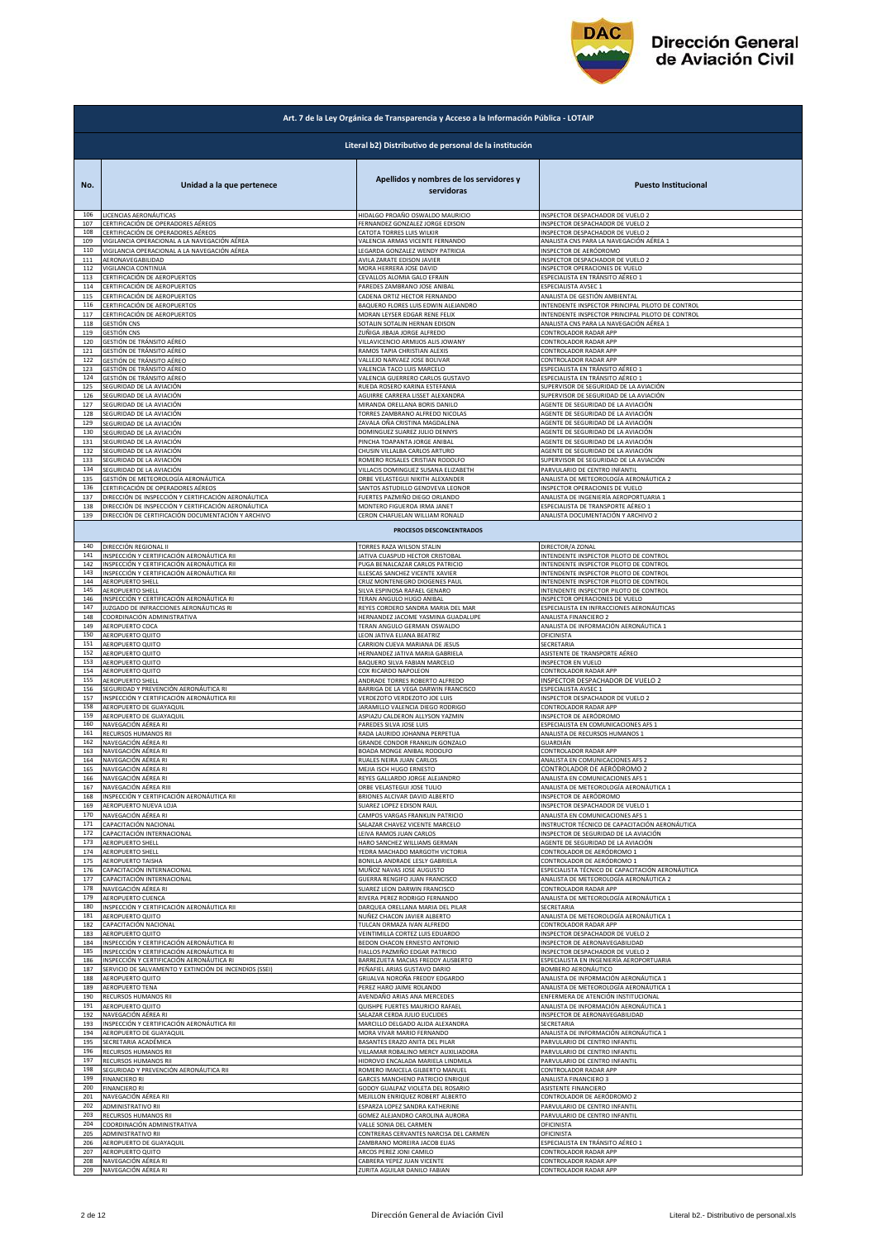

|                   | Art. 7 de la Ley Orgánica de Transparencia y Acceso a la Información Pública - LOTAIP                                              |                                                                                                         |                                                                                                             |  |
|-------------------|------------------------------------------------------------------------------------------------------------------------------------|---------------------------------------------------------------------------------------------------------|-------------------------------------------------------------------------------------------------------------|--|
|                   | Literal b2) Distributivo de personal de la institución                                                                             |                                                                                                         |                                                                                                             |  |
| No.               | Unidad a la que pertenece                                                                                                          | Apellidos y nombres de los servidores y<br>servidoras                                                   | <b>Puesto Institucional</b>                                                                                 |  |
| 106<br>107<br>108 | LICENCIAS AERONÁUTICAS<br>CERTIFICACIÓN DE OPERADORES AÉREOS                                                                       | HIDALGO PROAÑO OSWALDO MAURICIO<br>FERNANDEZ GONZALEZ JORGE EDISON                                      | INSPECTOR DESPACHADOR DE VUELO 2<br>INSPECTOR DESPACHADOR DE VUELO 2                                        |  |
| 109<br>110        | CERTIFICACIÓN DE OPERADORES AÉREOS<br>/IGILANCIA OPERACIONAL A LA NAVEGACIÓN AÉREA<br>VIGILANCIA OPERACIONAL A LA NAVEGACIÓN AÉREA | CATOTA TORRES LUIS WILKIR<br>VALENCIA ARMAS VICENTE FERNANDO<br>LEGARDA GONZALEZ WENDY PATRICIA         | INSPECTOR DESPACHADOR DE VUELO 2<br>ANALISTA CNS PARA LA NAVEGACIÓN AÉREA 1<br>INSPECTOR DE AERÓDROMO       |  |
| 111               | AERONAVEGABILIDAD                                                                                                                  | AVILA ZARATE EDISON JAVIER                                                                              | INSPECTOR DESPACHADOR DE VUELO 2                                                                            |  |
| 112               | VIGILANCIA CONTINUA                                                                                                                | MORA HERRERA JOSE DAVID                                                                                 | INSPECTOR OPERACIONES DE VUELO                                                                              |  |
| 113               | CERTIFICACIÓN DE AEROPUERTOS                                                                                                       | CEVALLOS ALOMIA GALO EFRAIN                                                                             | ESPECIALISTA EN TRÁNSITO AÉREO 1                                                                            |  |
| 114               | CERTIFICACIÓN DE AEROPUERTOS                                                                                                       | PAREDES ZAMBRANO JOSE ANIBAL                                                                            | ESPECIALISTA AVSEC 1                                                                                        |  |
| 115               | CERTIFICACIÓN DE AEROPUERTOS                                                                                                       | CADENA ORTIZ HECTOR FERNANDO                                                                            | ANALISTA DE GESTIÓN AMBIENTAL                                                                               |  |
| 116               | CERTIFICACIÓN DE AEROPUERTOS                                                                                                       | BAQUERO FLORES LUIS EDWIN ALEJANDRO                                                                     | INTENDENTE INSPECTOR PRINCIPAL PILOTO DE CONTROL                                                            |  |
| 117               | CERTIFICACIÓN DE AEROPUERTOS                                                                                                       | MORAN LEYSER EDGAR RENE FELIX                                                                           | INTENDENTE INSPECTOR PRINCIPAL PILOTO DE CONTROL                                                            |  |
| 118               | GESTIÓN CNS                                                                                                                        | SOTALIN SOTALIN HERNAN EDISON                                                                           | ANALISTA CNS PARA LA NAVEGACIÓN AÉREA 1                                                                     |  |
| 119               | GESTIÓN CNS                                                                                                                        | ZUÑIGA JIBAJA JORGE ALFREDO                                                                             | CONTROLADOR RADAR APP                                                                                       |  |
| 120               | SESTIÓN DE TRÁNSITO AÉREO                                                                                                          | VILLAVICENCIO ARMIJOS ALIS JOWANY                                                                       | CONTROLADOR RADAR APP                                                                                       |  |
| 121               | GESTIÓN DE TRÁNSITO AÉREO                                                                                                          | RAMOS TAPIA CHRISTIAN ALEXIS                                                                            | CONTROLADOR RADAR APP                                                                                       |  |
| 122               | GESTIÓN DE TRÁNSITO AÉREO                                                                                                          | VALLEJO NARVAEZ JOSE BOLIVAR                                                                            | CONTROLADOR RADAR APP                                                                                       |  |
| 123               | GESTIÓN DE TRÁNSITO AÉREO                                                                                                          | VALENCIA TACO LUIS MARCELO                                                                              | ESPECIALISTA EN TRÁNSITO AÉREO 1                                                                            |  |
| 124               | GESTIÓN DE TRÁNSITO AÉREO                                                                                                          | VALENCIA GUERRERO CARLOS GUSTAVO                                                                        | ESPECIALISTA EN TRÁNSITO AÉREO 1                                                                            |  |
| 125               | SEGURIDAD DE LA AVIACIÓN                                                                                                           | RUEDA ROSERO KARINA ESTEFANIA                                                                           | SUPERVISOR DE SEGURIDAD DE LA AVIACIÓN                                                                      |  |
| 126               | SEGURIDAD DE LA AVIACIÓN                                                                                                           | AGUIRRE CARRERA LISSET ALEXANDRA                                                                        | SUPERVISOR DE SEGURIDAD DE LA AVIACIÓN                                                                      |  |
| 127               | SEGURIDAD DE LA AVIACIÓN                                                                                                           | MIRANDA ORELLANA BORIS DANILO                                                                           | AGENTE DE SEGURIDAD DE LA AVIACIÓN                                                                          |  |
| 128               | SEGURIDAD DE LA AVIACIÓN                                                                                                           | TORRES ZAMBRANO ALFREDO NICOLAS                                                                         | AGENTE DE SEGURIDAD DE LA AVIACIÓN                                                                          |  |
| 129               | SEGURIDAD DE LA AVIACIÓN                                                                                                           | ZAVALA OÑA CRISTINA MAGDALENA                                                                           | AGENTE DE SEGURIDAD DE LA AVIACIÓN                                                                          |  |
| 130<br>131        | SEGURIDAD DE LA AVIACIÓN<br>SEGURIDAD DE LA AVIACIÓN                                                                               | DOMINGUEZ SUAREZ JULIO DENNYS<br>PINCHA TOAPANTA JORGE ANIBAL<br>CHUSIN VILLALBA CARLOS ARTURO          | AGENTE DE SEGURIDAD DE LA AVIACIÓN<br>AGENTE DE SEGURIDAD DE LA AVIACIÓN                                    |  |
| 132<br>133<br>134 | SEGURIDAD DE LA AVIACIÓN<br>SEGURIDAD DE LA AVIACIÓN                                                                               | ROMERO ROSALES CRISTIAN RODOLFO<br>VILLACIS DOMINGUEZ SUSANA ELIZABETH                                  | AGENTE DE SEGURIDAD DE LA AVIACIÓN<br>SUPERVISOR DE SEGURIDAD DE LA AVIACIÓN                                |  |
| 135<br>136        | SEGURIDAD DE LA AVIACIÓN<br>GESTIÓN DE METEOROLOGÍA AERONÁUTICA<br>CERTIFICACIÓN DE OPERADORES AÉREOS                              | ORBE VELASTEGUI NIKITH ALEXANDER<br>SANTOS ASTUDILLO GENOVEVA LEONOR                                    | PARVULARIO DE CENTRO INFANTIL<br>ANALISTA DE METEOROLOGÍA AERONÁUTICA 2<br>INSPECTOR OPERACIONES DE VUELO   |  |
| 137               | DIRECCIÓN DE INSPECCIÓN Y CERTIFICACIÓN AERONÁUTICA                                                                                | FUERTES PAZMIÑO DIEGO ORLANDO                                                                           | ANALISTA DE INGENIERÍA AEROPORTUARIA 1                                                                      |  |
| 138               | DIRECCIÓN DE INSPECCIÓN Y CERTIFICACIÓN AERONÁUTICA                                                                                | MONTERO FIGUEROA IRMA JANET                                                                             | ESPECIALISTA DE TRANSPORTE AÉREO 1                                                                          |  |
| 139               | DIRECCIÓN DE CERTIFICACIÓN DOCUMENTACIÓN Y ARCHIVO                                                                                 | CERON CHAFUELAN WILLIAM RONALD                                                                          | ANALISTA DOCUMENTACIÓN Y ARCHIVO 2                                                                          |  |
|                   | 140 DIRECCIÓN REGIONAL II                                                                                                          | PROCESOS DESCONCENTRADOS<br>TORRES RAZA WILSON STALIN                                                   | DIRECTOR/A ZONAL                                                                                            |  |
| 141               | INSPECCIÓN Y CERTIFICACIÓN AERONÁUTICA RII                                                                                         | JATIVA CUASPUD HECTOR CRISTOBAL                                                                         | INTENDENTE INSPECTOR PILOTO DE CONTROL                                                                      |  |
| 142               | INSPECCIÓN Y CERTIFICACIÓN AERONÁUTICA RII                                                                                         | PUGA BENALCAZAR CARLOS PATRICIO                                                                         | INTENDENTE INSPECTOR PILOTO DE CONTROL                                                                      |  |
| 143               | INSPECCIÓN Y CERTIFICACIÓN AERONÁUTICA RII                                                                                         | ILLESCAS SANCHEZ VICENTE XAVIER                                                                         | INTENDENTE INSPECTOR PILOTO DE CONTROL                                                                      |  |
| 144               | AEROPUERTO SHELL                                                                                                                   | CRUZ MONTENEGRO DIOGENES PAUL                                                                           | INTENDENTE INSPECTOR PILOTO DE CONTROL                                                                      |  |
| 145<br>146<br>147 | AEROPUERTO SHELL<br>INSPECCIÓN Y CERTIFICACIÓN AERONÁUTICA RI                                                                      | SILVA ESPINOSA RAFAEL GENARO<br><b>FERAN ANGULO HUGO ANIBAL</b>                                         | INTENDENTE INSPECTOR PILOTO DE CONTROL<br>INSPECTOR OPERACIONES DE VUELO                                    |  |
| 148<br>149        | JUZGADO DE INFRACCIONES AERONÁUTICAS RI<br>COORDINACIÓN ADMINISTRATIVA<br>AEROPUERTO COCA                                          | REYES CORDERO SANDRA MARIA DEL MAR<br>HERNANDEZ JACOME YASMINA GUADALUPE<br>TERAN ANGULO GERMAN OSWALDO | ESPECIALISTA EN INFRACCIONES AERONÁUTICAS<br>ANALISTA FINANCIERO 2<br>ANALISTA DE INFORMACIÓN AERONÁUTICA 1 |  |
| 150               | AEROPUERTO QUITO                                                                                                                   | LEON JATIVA ELIANA BEATRIZ                                                                              | OFICINISTA                                                                                                  |  |
| 151               | AEROPUERTO QUITO                                                                                                                   | CARRION CUEVA MARIANA DE JESUS                                                                          | SECRETARIA                                                                                                  |  |
| 152               | AEROPUERTO QUITO                                                                                                                   | HERNANDEZ JATIVA MARIA GABRIELA                                                                         | ASISTENTE DE TRANSPORTE AÉREO                                                                               |  |
| 153               | AEROPUERTO QUITO                                                                                                                   | BAQUERO SILVA FABIAN MARCELO                                                                            | INSPECTOR EN VUELO                                                                                          |  |
| 154               | AEROPUERTO QUITO                                                                                                                   | COX RICARDO NAPOLEON                                                                                    | CONTROLADOR RADAR APP                                                                                       |  |
| 155               | AEROPUERTO SHELL                                                                                                                   | ANDRADE TORRES ROBERTO ALFREDO                                                                          | INSPECTOR DESPACHADOR DE VUELO 2                                                                            |  |
| 156<br>157<br>158 | SEGURIDAD Y PREVENCIÓN AERONÁUTICA RI<br>INSPECCIÓN Y CERTIFICACIÓN AERONÁUTICA RII<br>AEROPUERTO DE GUAYAQUIL                     | BARRIGA DE LA VEGA DARWIN FRANCISCO<br>VERDEZOTO VERDEZOTO JOE LUIS<br>ARAMILLO VALENCIA DIEGO RODRIGO  | ESPECIALISTA AVSEC 1<br>INSPECTOR DESPACHADOR DE VUELO 2                                                    |  |
| 159<br>160        | AEROPUERTO DE GUAYAQUIL<br>NAVEGACIÓN AÉREA RI                                                                                     | ASPIAZU CALDERON ALLYSON YAZMIN<br>PAREDES SILVA JOSE LUIS                                              | CONTROLADOR RADAR APP<br>INSPECTOR DE AERÓDROMO<br>ESPECIALISTA EN COMUNICACIONES AFS 1                     |  |
| 161               | RECURSOS HUMANOS RII                                                                                                               | RADA LAURIDO JOHANNA PERPETUA                                                                           | ANALISTA DE RECURSOS HUMANOS 1                                                                              |  |
| 162               | NAVEGACIÓN AÉREA RI                                                                                                                | GRANDE CONDOR FRANKLIN GONZALO                                                                          | GUARDIÁN                                                                                                    |  |
| 163               | NAVEGACIÓN AÉREA RI                                                                                                                | BOADA MONGE ANIBAL RODOLFO                                                                              | CONTROLADOR RADAR APP                                                                                       |  |
| 164               | NAVEGACIÓN AÉREA RI                                                                                                                | RUALES NEIRA JUAN CARLOS                                                                                | ANALISTA EN COMUNICACIONES AFS 2                                                                            |  |
| 165               | NAVEGACIÓN AÉREA RI                                                                                                                | MEJIA ISCH HUGO ERNESTO                                                                                 | CONTROLADOR DE AERÓDROMO 2                                                                                  |  |
| 166               | NAVEGACIÓN AÉREA RI                                                                                                                | REYES GALLARDO JORGE ALEJANDRO                                                                          | ANALISTA EN COMUNICACIONES AFS 1                                                                            |  |
| 167               | NAVEGACIÓN AÉREA RIII                                                                                                              | ORBE VELASTEGUI JOSE TULIO                                                                              | ANALISTA DE METEOROLOGÍA AERONÁUTICA 1                                                                      |  |
| 168               | INSPECCIÓN Y CERTIFICACIÓN AERONÁUTICA RII                                                                                         | BRIONES ALCIVAR DAVID ALBERTO                                                                           | INSPECTOR DE AERÓDROMO                                                                                      |  |
| 169               | AEROPUERTO NUEVA LOJA                                                                                                              | <b>SUAREZ LOPEZ EDISON RAUL</b>                                                                         | INSPECTOR DESPACHADOR DE VUELO 1                                                                            |  |
| 170               | NAVEGACIÓN AÉREA RI                                                                                                                | CAMPOS VARGAS FRANKLIN PATRICIO                                                                         | ANALISTA EN COMUNICACIONES AFS 1                                                                            |  |
| 171               | CAPACITACIÓN NACIONAL                                                                                                              | SALAZAR CHAVEZ VICENTE MARCELO                                                                          | INSTRUCTOR TÉCNICO DE CAPACITACIÓN AERONÁUTICA                                                              |  |
| 172               | CAPACITACIÓN INTERNACIONAL                                                                                                         | LEIVA RAMOS JUAN CARLOS                                                                                 | INSPECTOR DE SEGURIDAD DE LA AVIACIÓN                                                                       |  |
| 173               | AEROPUERTO SHELL                                                                                                                   | HARO SANCHEZ WILLIAMS GERMAN                                                                            | AGENTE DE SEGURIDAD DE LA AVIACIÓN                                                                          |  |
| 174               | AEROPUERTO SHELL                                                                                                                   | YEDRA MACHADO MARGOTH VICTORIA                                                                          | CONTROLADOR DE AERÓDROMO 1                                                                                  |  |
| 175               | <b>AEROPUERTO TAISHA</b>                                                                                                           | BONILLA ANDRADE LESLY GABRIELA                                                                          | CONTROLADOR DE AERÓDROMO 1                                                                                  |  |
| 176               | CAPACITACIÓN INTERNACIONAL                                                                                                         | MUÑOZ NAVAS JOSE AUGUSTO                                                                                | ESPECIALISTA TÉCNICO DE CAPACITACIÓN AERONÁUTICA                                                            |  |
| 177               | CAPACITACIÓN INTERNACIONAL                                                                                                         | <b>GUERRA RENGIFO JUAN FRANCISCO</b>                                                                    | ANALISTA DE METEOROLOGÍA AERONÁUTICA 2                                                                      |  |
| 178               | NAVEGACIÓN AÉREA RI                                                                                                                | SUAREZ LEON DARWIN FRANCISCO                                                                            | CONTROLADOR RADAR APP                                                                                       |  |
| 179               | AEROPUERTO CUENCA                                                                                                                  | RIVERA PEREZ RODRIGO FERNANDO                                                                           | ANALISTA DE METEOROLOGÍA AERONÁUTICA 1                                                                      |  |
| 180<br>181<br>182 | INSPECCIÓN Y CERTIFICACIÓN AERONÁUTICA RII<br>AEROPUERTO QUITO                                                                     | DARQUEA ORELLANA MARIA DEL PILAR<br>NUÑEZ CHACON JAVIER ALBERTO                                         | SECRETARIA<br>ANALISTA DE METEOROLOGÍA AERONÁUTICA 1<br>CONTROLADOR RADAR APP                               |  |
| 183<br>184        | CAPACITACIÓN NACIONAL<br><b>AEROPUERTO QUITO</b><br>INSPECCIÓN Y CERTIFICACIÓN AERONÁUTICA RI                                      | TULCAN ORMAZA IVAN ALFREDO<br>VEINTIMILLA CORTEZ LUIS EDUARDO<br>BEDON CHACON ERNESTO ANTONIO           | INSPECTOR DESPACHADOR DE VUELO 2<br>INSPECTOR DE AERONAVEGABILIDAD                                          |  |
| 185               | NSPECCIÓN Y CERTIFICACIÓN AERONÁUTICA RI                                                                                           | IALLOS PAZMIÑO EDGAR PATRICIO                                                                           | INSPECTOR DESPACHADOR DE VUELO 2                                                                            |  |
| 186               | INSPECCIÓN Y CERTIFICACIÓN AERONÁUTICA RI                                                                                          | BARREZUETA MACIAS FREDDY AUSBERTO                                                                       | ESPECIALISTA EN INGENIERÍA AEROPORTUARIA                                                                    |  |
| 187               | SERVICIO DE SALVAMENTO Y EXTINCIÓN DE INCENDIOS (SSEI)                                                                             | PEÑAFIEL ARIAS GUSTAVO DARIO                                                                            | BOMBERO AERONÁUTICO                                                                                         |  |
| 188               | AEROPUERTO QUITO                                                                                                                   | GRIJALVA NOROÑA FREDDY EDGARDO                                                                          | ANALISTA DE INFORMACIÓN AERONÁUTICA 1                                                                       |  |
| 189               | AEROPUERTO TENA                                                                                                                    | PEREZ HARO JAIME ROLANDO                                                                                | ANALISTA DE METEOROLOGÍA AERONÁUTICA 1                                                                      |  |
| 190               | RECURSOS HUMANOS RII                                                                                                               | AVENDAÑO ARIAS ANA MERCEDES                                                                             | ENFERMERA DE ATENCIÓN INSTITUCIONAL                                                                         |  |
| 191<br>192        | AEROPUERTO QUITO<br>NAVEGACIÓN AÉREA RI<br>INSPECCIÓN Y CERTIFICACIÓN AERONÁUTICA RII                                              | QUISHPE FUERTES MAURICIO RAFAEL<br>SALAZAR CERDA JULIO EUCLIDES<br>MARCILLO DELGADO ALIDA ALEXANDRA     | ANALISTA DE INFORMACIÓN AERONÁUTICA 1<br>INSPECTOR DE AERONAVEGABILIDAD<br>SECRETARIA                       |  |
| 193<br>194<br>195 | AEROPUERTO DE GUAYAQUIL<br>SECRETARIA ACADÉMICA                                                                                    | MORA VIVAR MARIO FERNANDO<br>BASANTES ERAZO ANITA DEL PILAR                                             | ANALISTA DE INFORMACIÓN AERONÁUTICA 1<br>PARVULARIO DE CENTRO INFANTIL                                      |  |
| 196               | RECURSOS HUMANOS RII                                                                                                               | VILLAMAR ROBALINO MERCY AUXILIADORA                                                                     | PARVULARIO DE CENTRO INFANTIL                                                                               |  |
| 197               | RECURSOS HUMANOS RII                                                                                                               | HIDROVO ENCALADA MARIELA LINDMILA                                                                       | PARVULARIO DE CENTRO INFANTIL                                                                               |  |
| 198               | SEGURIDAD Y PREVENCIÓN AERONÁUTICA RII                                                                                             | ROMERO IMAICELA GILBERTO MANUEL                                                                         | CONTROLADOR RADAR APP                                                                                       |  |
| 199               | <b>FINANCIERO RI</b>                                                                                                               | GARCES MANCHENO PATRICIO ENRIQUE                                                                        | ANALISTA FINANCIERO 3                                                                                       |  |
| 200               | <b>FINANCIERO RI</b>                                                                                                               | GODOY GUALPAZ VIOLETA DEL ROSARIO                                                                       | ASISTENTE FINANCIERO                                                                                        |  |
| 201               | NAVEGACIÓN AÉREA RII                                                                                                               | MEJILLON ENRIQUEZ ROBERT ALBERTO                                                                        | CONTROLADOR DE AERÓDROMO 2                                                                                  |  |
| 202               | ADMINISTRATIVO RII                                                                                                                 | ESPARZA LOPEZ SANDRA KATHERINE                                                                          | PARVULARIO DE CENTRO INFANTIL                                                                               |  |
| 203               | RECURSOS HUMANOS RII                                                                                                               | GOMEZ ALEJANDRO CAROLINA AURORA                                                                         | PARVULARIO DE CENTRO INFANTIL                                                                               |  |
| 204               | COORDINACIÓN ADMINISTRATIVA                                                                                                        | VALLE SONIA DEL CARMEN                                                                                  | OFICINISTA                                                                                                  |  |
| 205               | ADMINISTRATIVO RII                                                                                                                 | CONTRERAS CERVANTES NARCISA DEL CARMEN                                                                  | OFICINISTA                                                                                                  |  |
| 206               | AEROPUERTO DE GUAYAQUIL                                                                                                            | ZAMBRANO MOREIRA JACOB ELIAS                                                                            | ESPECIALISTA EN TRÁNSITO AÉREO 1                                                                            |  |
| 207               | AEROPUERTO QUITO                                                                                                                   | ARCOS PEREZ JONI CAMILO                                                                                 | CONTROLADOR RADAR APP                                                                                       |  |
| 208               | NAVEGACIÓN AÉREA RI                                                                                                                | CABRERA YEPEZ JUAN VICENTE                                                                              | CONTROLADOR RADAR APP                                                                                       |  |
| 209               | NAVEGACIÓN AÉREA RI                                                                                                                | ZURITA AGUILAR DANILO FABIAN                                                                            | CONTROLADOR RADAR APP                                                                                       |  |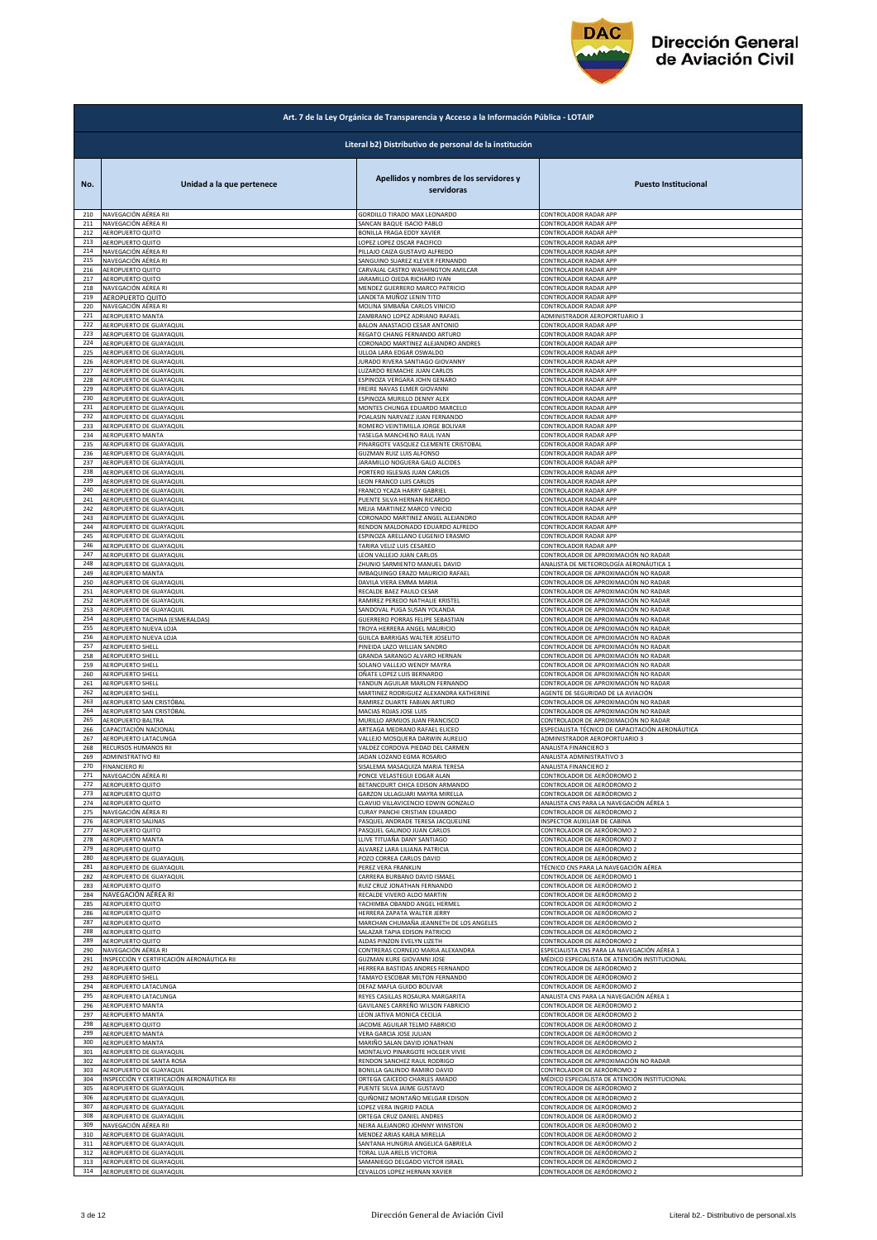

|            | Art. 7 de la Ley Orgánica de Transparencia y Acceso a la Información Pública - LOTAIP |                                                       |                                                          |  |
|------------|---------------------------------------------------------------------------------------|-------------------------------------------------------|----------------------------------------------------------|--|
|            | Literal b2) Distributivo de personal de la institución                                |                                                       |                                                          |  |
| No.        | Unidad a la que pertenece                                                             | Apellidos y nombres de los servidores y<br>servidoras | <b>Puesto Institucional</b>                              |  |
| 210        | NAVEGACIÓN AÉREA RII                                                                  | GORDILLO TIRADO MAX LEONARDO                          | CONTROLADOR RADAR APP                                    |  |
| 211        | NAVEGACIÓN AÉREA RI                                                                   | SANCAN BAQUE ISACIO PABLO                             | CONTROLADOR RADAR APP                                    |  |
| 212        | AEROPUERTO QUITO                                                                      | BONILLA FRAGA EDDY XAVIER                             | CONTROLADOR RADAR APP                                    |  |
| 213        | AEROPUERTO QUITO                                                                      | LOPEZ LOPEZ OSCAR PACIFICO                            | CONTROLADOR RADAR APP                                    |  |
| 214        | NAVEGACIÓN AÉREA RI                                                                   | PILLAJO CAIZA GUSTAVO ALFREDO                         | CONTROLADOR RADAR APP                                    |  |
| 215        | NAVEGACIÓN AÉREA RI                                                                   | SANGUINO SUAREZ KLEVER FERNANDO                       | CONTROLADOR RADAR APP                                    |  |
| 216        | AEROPUERTO QUITO                                                                      | CARVAJAL CASTRO WASHINGTON AMILCAR                    | CONTROLADOR RADAR APP                                    |  |
| 217        | <b>AEROPUERTO QUITO</b>                                                               | <b>JARAMILLO OJEDA RICHARD IVAN</b>                   | CONTROLADOR RADAR APP                                    |  |
| 218        | NAVEGACIÓN AÉREA RI                                                                   | MENDEZ GUERRERO MARCO PATRICIO                        | CONTROLADOR RADAR APP                                    |  |
| 219        | AEROPUERTO QUITO                                                                      | LANDETA MUÑOZ LENIN TITO                              | CONTROLADOR RADAR APP                                    |  |
| 220        | NAVEGACIÓN AÉREA RI                                                                   | MOLINA SIMBAÑA CARLOS VINICIO                         | CONTROLADOR RADAR APP                                    |  |
| 221        | <b>AEROPUERTO MANTA</b>                                                               | ZAMBRANO LOPEZ ADRIANO RAFAEL                         | ADMINISTRADOR AEROPORTUARIO 3                            |  |
| 222        | AEROPUERTO DE GUAYAQUIL                                                               | BALON ANASTACIO CESAR ANTONIO                         | CONTROLADOR RADAR APP                                    |  |
| 223        | AEROPUERTO DE GUAYAQUIL                                                               | REGATO CHANG FERNANDO ARTURO                          | CONTROLADOR RADAR APP                                    |  |
| 224        | AEROPUERTO DE GUAYAQUIL                                                               | CORONADO MARTINEZ ALEJANDRO ANDRES                    | CONTROLADOR RADAR APP                                    |  |
| 225        | AEROPUERTO DE GUAYAQUIL                                                               | ULLOA LARA EDGAR OSWALDO                              | CONTROLADOR RADAR APP                                    |  |
| 226        | AEROPUERTO DE GUAYAQUIL                                                               | JURADO RIVERA SANTIAGO GIOVANNY                       | CONTROLADOR RADAR APP                                    |  |
| 227        | AEROPUERTO DE GUAYAQUIL                                                               | LUZARDO REMACHE JUAN CARLOS                           | CONTROLADOR RADAR APP                                    |  |
| 228        | AEROPUERTO DE GUAYAQUIL                                                               | ESPINOZA VERGARA JOHN GENARO                          | CONTROLADOR RADAR APP                                    |  |
| 229        | AEROPUERTO DE GUAYAQUIL                                                               | FREIRE NAVAS ELMER GIOVANNI                           | CONTROLADOR RADAR APP                                    |  |
| 230        | AEROPUERTO DE GUAYAQUIL                                                               | ESPINOZA MURILLO DENNY ALEX                           | CONTROLADOR RADAR APP                                    |  |
| 231        | AEROPUERTO DE GUAYAQUIL                                                               | MONTES CHUNGA EDUARDO MARCELO                         | CONTROLADOR RADAR APP                                    |  |
| 232        | AEROPUERTO DE GUAYAQUIL                                                               | POALASIN NARVAEZ JUAN FERNANDO                        | CONTROLADOR RADAR APP                                    |  |
| 233        | AEROPUERTO DE GUAYAQUIL                                                               | ROMERO VEINTIMILLA JORGE BOLIVAR                      | CONTROLADOR RADAR APP                                    |  |
| 234        | <b>AEROPUERTO MANTA</b>                                                               | YASELGA MANCHENO RAUL IVAN                            | CONTROLADOR RADAR APP                                    |  |
| 235        | AEROPUERTO DE GUAYAQUIL                                                               | PINARGOTE VASQUEZ CLEMENTE CRISTOBAL                  | CONTROLADOR RADAR APP                                    |  |
| 236        | AEROPUERTO DE GUAYAQUIL                                                               | GUZMAN RUIZ LUIS ALFONSO                              | CONTROLADOR RADAR APP                                    |  |
| 237        | AEROPUERTO DE GUAYAQUIL                                                               | JARAMILLO NOGUERA GALO ALCIDES                        | CONTROLADOR RADAR APP                                    |  |
| 238        | AEROPUERTO DE GUAYAQUIL                                                               | PORTERO IGLESIAS JUAN CARLOS                          | CONTROLADOR RADAR APP                                    |  |
| 239        | AEROPUERTO DE GUAYAQUIL                                                               | LEON FRANCO LUIS CARLOS                               | CONTROLADOR RADAR APP                                    |  |
| 240        | AEROPUERTO DE GUAYAQUIL                                                               | FRANCO YCAZA HARRY GABRIEL                            | CONTROLADOR RADAR APP                                    |  |
| 241        | AEROPUERTO DE GUAYAQUIL                                                               | PUENTE SILVA HERNAN RICARDO                           | CONTROLADOR RADAR APP                                    |  |
| 242        | AEROPUERTO DE GUAYAQUIL                                                               | MEJIA MARTINEZ MARCO VINICIO                          | CONTROLADOR RADAR APP                                    |  |
| 243        | AEROPUERTO DE GUAYAQUIL                                                               | CORONADO MARTINEZ ANGEL ALEJANDRO                     | CONTROLADOR RADAR APP                                    |  |
| 244        | AEROPUERTO DE GUAYAQUIL                                                               | RENDON MALDONADO EDUARDO ALFREDO                      | CONTROLADOR RADAR APP                                    |  |
| 245        | AEROPUERTO DE GUAYAQUIL                                                               | ESPINOZA ARELLANO EUGENIO ERASMO                      | CONTROLADOR RADAR APP                                    |  |
| 246<br>247 | AEROPUERTO DE GUAYAQUIL                                                               | TARIRA VELIZ LUIS CESAREO                             | CONTROLADOR RADAR APP                                    |  |
| 248        | AEROPUERTO DE GUAYAQUIL                                                               | LEON VALLEJO JUAN CARLOS                              | CONTROLADOR DE APROXIMACIÓN NO RADAR                     |  |
|            | AEROPUERTO DE GUAYAQUIL                                                               | ZHUNIO SARMIENTO MANUEL DAVID                         | ANALISTA DE METEOROLOGÍA AERONÁUTICA 1                   |  |
| 249        | AEROPUERTO MANTA                                                                      | IMBAQUINGO ERAZO MAURICIO RAFAEL                      | CONTROLADOR DE APROXIMACIÓN NO RADAR                     |  |
| 250        | AEROPUERTO DE GUAYAQUIL                                                               | DAVILA VIERA EMMA MARIA                               | CONTROLADOR DE APROXIMACIÓN NO RADAR                     |  |
| 251        | AEROPUERTO DE GUAYAQUIL                                                               | RECALDE BAEZ PAULO CESAR                              | CONTROLADOR DE APROXIMACIÓN NO RADAR                     |  |
| 252        | AEROPUERTO DE GUAYAQUIL                                                               | RAMIREZ PEREDO NATHALIE KRISTEL                       | CONTROLADOR DE APROXIMACIÓN NO RADAR                     |  |
| 253        | AEROPUERTO DE GUAYAQUIL                                                               | SANDOVAL PUGA SUSAN YOLANDA                           | CONTROLADOR DE APROXIMACIÓN NO RADAR                     |  |
| 254        | AEROPUERTO TACHINA (ESMERALDAS)                                                       | GUERRERO PORRAS FELIPE SEBASTIAN                      | CONTROLADOR DE APROXIMACIÓN NO RADAR                     |  |
| 255        | AEROPUERTO NUEVA LOJA                                                                 | TROYA HERRERA ANGEL MAURICIO                          | CONTROLADOR DE APROXIMACIÓN NO RADAR                     |  |
| 256        | AEROPUERTO NUEVA LOJA                                                                 | GUILCA BARRIGAS WALTER JOSELITO                       | CONTROLADOR DE APROXIMACIÓN NO RADAR                     |  |
| 257        | AEROPUERTO SHELL                                                                      | PINEIDA LAZO WILLIAN SANDRO                           | CONTROLADOR DE APROXIMACIÓN NO RADAR                     |  |
| 258        | AEROPUERTO SHELL                                                                      | GRANDA SARANGO ALVARO HERNAN                          | CONTROLADOR DE APROXIMACIÓN NO RADAR                     |  |
| 259        | <b>AEROPUERTO SHELL</b>                                                               | SOLANO VALLEJO WENDY MAYRA                            | CONTROLADOR DE APROXIMACIÓN NO RADAR                     |  |
| 260        | AEROPUERTO SHELL                                                                      | OÑATE LOPEZ LUIS BERNARDO                             | CONTROLADOR DE APROXIMACIÓN NO RADAR                     |  |
| 261        | AEROPUERTO SHELL                                                                      | YANDUN AGUILAR MARLON FERNANDO                        | CONTROLADOR DE APROXIMACIÓN NO RADAR                     |  |
| 262        | AEROPUERTO SHELL                                                                      | MARTINEZ RODRIGUEZ ALEXANDRA KATHERINE                | AGENTE DE SEGURIDAD DE LA AVIACIÓN                       |  |
| 263        | AEROPUERTO SAN CRISTÓBAL                                                              | RAMIREZ DUARTE FABIAN ARTURO                          | CONTROLADOR DE APROXIMACIÓN NO RADAR                     |  |
| 264        | AEROPUERTO SAN CRISTÓBAL                                                              | MACIAS ROJAS JOSE LUIS                                | CONTROLADOR DE APROXIMACIÓN NO RADAR                     |  |
| 265        | AEROPUERTO BALTRA                                                                     | MURILLO ARMIJOS JUAN FRANCISCO                        | CONTROLADOR DE APROXIMACIÓN NO RADAR                     |  |
| 266        | CAPACITACIÓN NACIONAL                                                                 | ARTEAGA MEDRANO RAFAEL ELICEO                         | ESPECIALISTA TÉCNICO DE CAPACITACIÓN AERONÁUTICA         |  |
| 267        | AEROPUERTO LATACUNGA                                                                  | VALLEJO MOSQUERA DARWIN AURELIO                       | ADMINISTRADOR AEROPORTUARIO 3                            |  |
| 268        | RECURSOS HUMANOS RII                                                                  | VALDEZ CORDOVA PIEDAD DEL CARMEN                      | ANALISTA FINANCIERO 3                                    |  |
| 269        | ADMINISTRATIVO RII<br>INANCIERO F                                                     | JADAN LOZANO EGMA ROSARIO                             | ANALISTA ADMINISTRATIVO 3<br>(NALISTA FINANCI            |  |
| 271        | NAVEGACIÓN AÉREA RI                                                                   | PONCE VELASTEGUI EDGAR ALAN                           | CONTROLADOR DE AERÓDROMO 2                               |  |
| 272        | AEROPUERTO QUITO                                                                      | BETANCOURT CHICA EDISON ARMANDO                       | CONTROLADOR DE AERÓDROMO 2                               |  |
| 273        | AEROPUERTO QUITO                                                                      | GARZON ULLAGUARI MAYRA MIRELLA                        | CONTROLADOR DE AERÓDROMO 2                               |  |
| 274        | AEROPUERTO QUITO                                                                      | CLAVIJO VILLAVICENCIO EDWIN GONZALO                   | ANALISTA CNS PARA LA NAVEGACIÓN AÉREA 1                  |  |
| 275        | NAVEGACIÓN AÉREA RI                                                                   | CURAY PANCHI CRISTIAN EDUARDO                         | CONTROLADOR DE AERÓDROMO 2                               |  |
| 276        | <b>AEROPUERTO SALINAS</b>                                                             | PASQUEL ANDRADE TERESA JACQUELINE                     | INSPECTOR AUXILIAR DE CABINA                             |  |
| 277        | AEROPUERTO QUITO                                                                      | PASQUEL GALINDO JUAN CARLOS                           | CONTROLADOR DE AERÓDROMO 2                               |  |
| 278        | AEROPUERTO MANTA                                                                      | LLIVE TITUAÑA DANY SANTIAGO                           | CONTROLADOR DE AERÓDROMO 2                               |  |
| 279        | AEROPUERTO QUITO                                                                      | ALVAREZ LARA LILIANA PATRICIA                         | CONTROLADOR DE AERÓDROMO 2                               |  |
| 280        | AEROPUERTO DE GUAYAQUIL                                                               | POZO CORREA CARLOS DAVID                              | CONTROLADOR DE AERÓDROMO 2                               |  |
| 281        | AEROPUERTO DE GUAYAQUIL                                                               | PEREZ VERA FRANKLIN                                   | TÉCNICO CNS PARA LA NAVEGACIÓN AÉREA                     |  |
| 282        | AEROPUERTO DE GUAYAQUIL                                                               | CARRERA BURBANO DAVID ISMAEL                          | CONTROLADOR DE AERÓDROMO 1                               |  |
| 283        | AEROPUERTO QUITO                                                                      | RUIZ CRUZ JONATHAN FERNANDO                           | CONTROLADOR DE AERÓDROMO 2                               |  |
| 284        | NAVEGACIÓN AÉREA RI                                                                   | RECALDE VIVERO ALDO MARTIN                            | CONTROLADOR DE AERÓDROMO 2                               |  |
| 285        | AEROPUERTO QUITO                                                                      | YACHIMBA OBANDO ANGEL HERMEL                          | CONTROLADOR DE AERÓDROMO 2                               |  |
| 286        | AEROPUERTO QUITO                                                                      | HERRERA ZAPATA WALTER JERRY                           | CONTROLADOR DE AERÓDROMO 2                               |  |
| 287        | AEROPUERTO QUITO                                                                      | MARCHAN CHUMAÑA JEANNETH DE LOS ANGELES               | CONTROLADOR DE AERÓDROMO 2<br>CONTROLADOR DE AERÓDROMO 2 |  |
| 288        | AEROPUERTO QUITO                                                                      | SALAZAR TAPIA EDISON PATRICIO                         | CONTROLADOR DE AERÓDROMO 2                               |  |
| 289        | AEROPUERTO QUITO                                                                      | ALDAS PINZON EVELYN LIZETH                            |                                                          |  |
| 290        | NAVEGACIÓN AÉREA RI                                                                   | CONTRERAS CORNEJO MARIA ALEXANDRA                     | ESPECIALISTA CNS PARA LA NAVEGACIÓN AÉREA 1              |  |
| 291        | INSPECCIÓN Y CERTIFICACIÓN AERONÁUTICA RII                                            | GUZMAN KURE GIOVANNI JOSE                             | MÉDICO ESPECIALISTA DE ATENCIÓN INSTITUCIONAL            |  |
| 292        | AEROPUERTO QUITO                                                                      | HERRERA BASTIDAS ANDRES FERNANDO                      | CONTROLADOR DE AERÓDROMO 2                               |  |
| 293        | <b>AEROPUERTO SHELL</b>                                                               | TAMAYO ESCOBAR MILTON FERNANDO                        | CONTROLADOR DE AERÓDROMO 2                               |  |
| 294        | AEROPUERTO LATACUNGA                                                                  | DEFAZ MAFLA GUIDO BOLIVAR                             | CONTROLADOR DE AERÓDROMO 2                               |  |
| 295        | AEROPUERTO LATACUNGA                                                                  | REYES CASILLAS ROSAURA MARGARITA                      | ANALISTA CNS PARA LA NAVEGACIÓN AÉREA 1                  |  |
| 296        | AEROPUERTO MANTA                                                                      | GAVILANES CARREÑO WILSON FABRICIO                     | CONTROLADOR DE AERÓDROMO 2                               |  |
| 297        | AEROPUERTO MANTA                                                                      | LEON JATIVA MONICA CECILIA                            | CONTROLADOR DE AERÓDROMO 2                               |  |
| 298        | AEROPUERTO QUITO                                                                      | JACOME AGUILAR TELMO FABRICIO                         | CONTROLADOR DE AERÓDROMO 2                               |  |
| 299        | AEROPUERTO MANTA                                                                      | VERA GARCIA JOSE JULIAN                               | CONTROLADOR DE AERÓDROMO 2                               |  |
| 300        | AEROPUERTO MANTA                                                                      | MARIÑO SALAN DAVID JONATHAN                           | CONTROLADOR DE AERÓDROMO 2                               |  |
| 301        | AEROPUERTO DE GUAYAQUIL                                                               | MONTALVO PINARGOTE HOLGER VIVIE                       | CONTROLADOR DE AERÓDROMO 2                               |  |
| 302        | AEROPUERTO DE SANTA ROSA                                                              | RENDON SANCHEZ RAUL RODRIGO                           | CONTROLADOR DE APROXIMACIÓN NO RADAR                     |  |
| 303<br>304 | AEROPUERTO DE GUAYAQUIL                                                               | BONILLA GALINDO RAMIRO DAVID                          | CONTROLADOR DE AERÓDROMO 2                               |  |
| 305        | INSPECCIÓN Y CERTIFICACIÓN AERONÁUTICA RII                                            | ORTEGA CAICEDO CHARLES AMADO                          | MÉDICO ESPECIALISTA DE ATENCIÓN INSTITUCIONAL            |  |
|            | AEROPUERTO DE GUAYAQUIL                                                               | PUENTE SILVA JAIME GUSTAVO                            | CONTROLADOR DE AERÓDROMO 2                               |  |
| 306        | AEROPUERTO DE GUAYAQUIL                                                               | QUIÑONEZ MONTAÑO MELGAR EDISON                        | CONTROLADOR DE AERÓDROMO 2                               |  |
| 307        | AEROPUERTO DE GUAYAQUIL                                                               | LOPEZ VERA INGRID PAOLA                               | CONTROLADOR DE AERÓDROMO 2                               |  |
| 308        | AEROPUERTO DE GUAYAQUIL                                                               | ORTEGA CRUZ DANIEL ANDRES                             | CONTROLADOR DE AERÓDROMO 2                               |  |
| 309        | NAVEGACIÓN AÉREA RII                                                                  | NEIRA ALEJANDRO JOHNNY WINSTON                        | CONTROLADOR DE AERÓDROMO 2                               |  |
| 310        | AEROPUERTO DE GUAYAQUIL                                                               | MENDEZ ARIAS KARLA MIRELLA                            | CONTROLADOR DE AERÓDROMO 2                               |  |
| 311        | AEROPUERTO DE GUAYAQUIL                                                               | SANTANA HUNGRIA ANGELICA GABRIELA                     | CONTROLADOR DE AERÓDROMO 2                               |  |
| 312        | AEROPUERTO DE GUAYAQUIL                                                               | TORAL LUA ARELIS VICTORIA                             | CONTROLADOR DE AERÓDROMO 2                               |  |
| 313        | AEROPUERTO DE GUAYAQUIL                                                               | SAMANIEGO DELGADO VICTOR ISRAEL                       | CONTROLADOR DE AERÓDROMO 2                               |  |
| 314        | AEROPUERTO DE GUAYAQUIL                                                               | CEVALLOS LOPEZ HERNAN XAVIER                          | CONTROLADOR DE AERÓDROMO 2                               |  |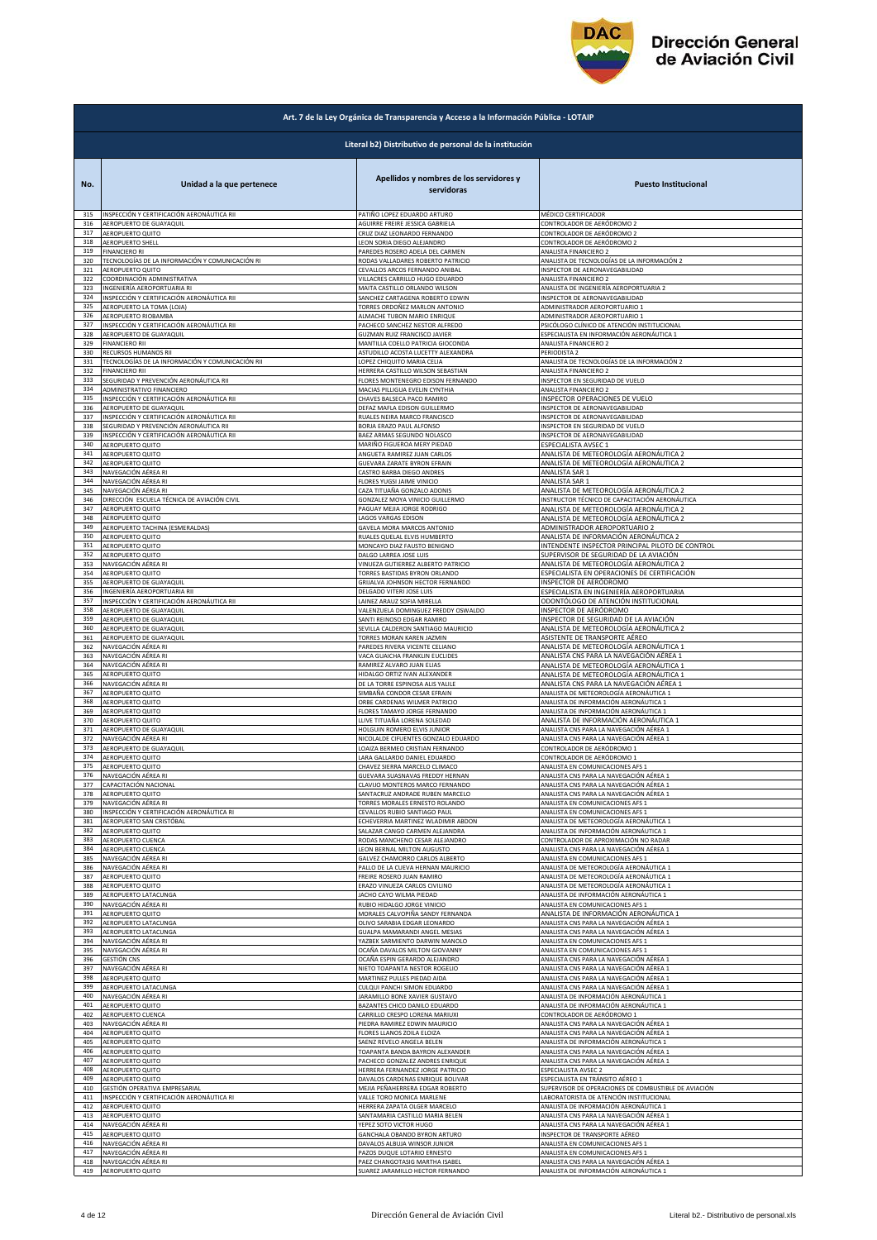

|            | Art. 7 de la Ley Orgánica de Transparencia y Acceso a la Información Pública - LOTAIP |                                                        |                                                                                    |  |
|------------|---------------------------------------------------------------------------------------|--------------------------------------------------------|------------------------------------------------------------------------------------|--|
|            |                                                                                       | Literal b2) Distributivo de personal de la institución |                                                                                    |  |
| No.        | Unidad a la que pertenece                                                             | Apellidos y nombres de los servidores y<br>servidoras  | <b>Puesto Institucional</b>                                                        |  |
| 315        | INSPECCIÓN Y CERTIFICACIÓN AERONÁUTICA RII                                            | PATIÑO LOPEZ EDUARDO ARTURO                            | MÉDICO CERTIFICADOR                                                                |  |
| 316        | AEROPUERTO DE GUAYAQUIL                                                               | AGUIRRE FREIRE JESSICA GABRIELA                        | CONTROLADOR DE AERÓDROMO 2                                                         |  |
| 317        | AEROPUERTO QUITO                                                                      | CRUZ DIAZ LEONARDO FERNANDO                            | CONTROLADOR DE AERÓDROMO 2                                                         |  |
| 318        | <b>AEROPUERTO SHELL</b>                                                               | LEON SORIA DIEGO ALEJANDRO                             | CONTROLADOR DE AERÓDROMO 2                                                         |  |
| 319        | <b>FINANCIERO RI</b>                                                                  | PAREDES ROSERO ADELA DEL CARMEN                        | ANALISTA FINANCIERO 2                                                              |  |
| 320        | TECNOLOGÍAS DE LA INFORMACIÓN Y COMUNICACIÓN RI                                       | RODAS VALLADARES ROBERTO PATRICIO                      | ANALISTA DE TECNOLOGÍAS DE LA INFORMACIÓN 2                                        |  |
| 321        | AEROPUERTO QUITO                                                                      | CEVALLOS ARCOS FERNANDO ANIBAL                         | INSPECTOR DE AERONAVEGABILIDAD                                                     |  |
| 322        | COORDINACIÓN ADMINISTRATIVA                                                           | VILLACRES CARRILLO HUGO EDUARDO                        | ANALISTA FINANCIERO 2                                                              |  |
| 323        | INGENIERÍA AEROPORTUARIA RI                                                           | MAITA CASTILLO ORLANDO WILSON                          | ANALISTA DE INGENIERÍA AEROPORTUARIA 2                                             |  |
| 324        | INSPECCIÓN Y CERTIFICACIÓN AERONÁUTICA RII                                            | SANCHEZ CARTAGENA ROBERTO EDWIN                        | INSPECTOR DE AERONAVEGABILIDAD                                                     |  |
| 325        | AEROPUERTO LA TOMA (LOJA)                                                             | TORRES ORDOÑEZ MARLON ANTONIO                          | ADMINISTRADOR AEROPORTUARIO 1                                                      |  |
| 326        | AEROPUERTO RIOBAMBA                                                                   | ALMACHE TUBON MARIO ENRIQUE                            | ADMINISTRADOR AEROPORTUARIO 1                                                      |  |
| 327        | INSPECCIÓN Y CERTIFICACIÓN AERONÁUTICA RII                                            | PACHECO SANCHEZ NESTOR ALFREDO                         | PSICÓLOGO CLÍNICO DE ATENCIÓN INSTITUCIONAL                                        |  |
| 328        | AEROPUERTO DE GUAYAQUIL                                                               | GUZMAN RUIZ FRANCISCO JAVIER                           | ESPECIALISTA EN INFORMACIÓN AERONÁUTICA 1                                          |  |
| 329        | <b>FINANCIERO RII</b>                                                                 | MANTILLA COELLO PATRICIA GIOCONDA                      | ANALISTA FINANCIERO 2                                                              |  |
| 330        | RECURSOS HUMANOS RII                                                                  | ASTUDILLO ACOSTA LUCETTY ALEXANDRA                     | PERIODISTA 2                                                                       |  |
| 331        | TECNOLOGÍAS DE LA INFORMACIÓN Y COMUNICACIÓN RII                                      | LOPEZ CHIQUITO MARIA CELIA                             | ANALISTA DE TECNOLOGÍAS DE LA INFORMACIÓN 2                                        |  |
| 332        | <b>FINANCIERO RII</b>                                                                 | HERRERA CASTILLO WILSON SEBASTIAN                      | ANALISTA FINANCIERO 2                                                              |  |
| 333        | SEGURIDAD Y PREVENCIÓN AERONÁUTICA RII                                                | FLORES MONTENEGRO EDISON FERNANDO                      | INSPECTOR EN SEGURIDAD DE VUELO                                                    |  |
| 334        | ADMINISTRATIVO FINANCIERO                                                             | MACIAS PILLIGUA EVELIN CYNTHIA                         | ANALISTA FINANCIERO 2                                                              |  |
| 335        | INSPECCIÓN Y CERTIFICACIÓN AERONÁUTICA RII                                            | CHAVES BALSECA PACO RAMIRO                             | INSPECTOR OPERACIONES DE VUELO                                                     |  |
| 336        | AEROPUERTO DE GUAYAQUIL                                                               | DEFAZ MAFLA EDISON GUILLERMO                           | INSPECTOR DE AERONAVEGABILIDAD                                                     |  |
| 337        | INSPECCIÓN Y CERTIFICACIÓN AERONÁUTICA RII                                            | RUALES NEIRA MARCO FRANCISCO                           | INSPECTOR DE AERONAVEGABILIDAD                                                     |  |
| 338        | SEGURIDAD Y PREVENCIÓN AERONÁUTICA RII                                                | BORJA ERAZO PAUL ALFONSO                               | INSPECTOR EN SEGURIDAD DE VUELO                                                    |  |
| 339        | INSPECCIÓN Y CERTIFICACIÓN AERONÁUTICA RII                                            | BAEZ ARMAS SEGUNDO NOLASCO                             | INSPECTOR DE AERONAVEGABILIDAD                                                     |  |
| 340        | AEROPUERTO QUITO                                                                      | MARIÑO FIGUEROA MERY PIEDAD                            | ESPECIALISTA AVSEC 1                                                               |  |
| 341        | AEROPUERTO QUITO                                                                      | ANGUETA RAMIREZ JUAN CARLOS                            | ANALISTA DE METEOROLOGÍA AERONÁUTICA 2                                             |  |
| 342        | AEROPUERTO QUITO                                                                      | <b>GUEVARA ZARATE BYRON EFRAIN</b>                     | ANALISTA DE METEOROLOGÍA AERONÁUTICA 2                                             |  |
| 343        | NAVEGACIÓN AÉREA RI                                                                   | CASTRO BARBA DIEGO ANDRES                              | ANALISTA SAR 1                                                                     |  |
| 344        | NAVEGACIÓN AÉREA RI                                                                   | FLORES YUGSI JAIME VINICIO                             | ANALISTA SAR 1                                                                     |  |
| 345        | NAVEGACIÓN AÉREA RI                                                                   | CAZA TITUAÑA GONZALO ADONIS                            | ANALISTA DE METEOROLOGÍA AERONÁUTICA 2                                             |  |
| 346        | DIRECCIÓN ESCUELA TÉCNICA DE AVIACIÓN CIVIL                                           | GONZALEZ MOYA VINICIO GUILLERMO                        | INSTRUCTOR TÉCNICO DE CAPACITACIÓN AERONÁUTICA                                     |  |
| 347        | AEROPUERTO QUITO                                                                      | PAGUAY MEJIA JORGE RODRIGO                             | ANALISTA DE METEOROLOGÍA AERONÁUTICA 2                                             |  |
| 348        | AEROPUERTO QUITO                                                                      | <b>LAGOS VARGAS EDISON</b>                             | ANALISTA DE METEOROLOGÍA AERONÁUTICA 2                                             |  |
| 349        | AEROPUERTO TACHINA (ESMERALDAS)                                                       | GAVELA MORA MARCOS ANTONIO                             | <b>ADMINISTRADOR AEROPORTUARIO 2</b>                                               |  |
| 350        | AEROPUERTO QUITO                                                                      | RUALES QUELAL ELVIS HUMBERTO                           | ANALISTA DE INFORMACIÓN AERONÁUTICA 2                                              |  |
| 351        | <b>AEROPUERTO QUITO</b>                                                               | MONCAYO DIAZ FAUSTO BENIGNO                            | INTENDENTE INSPECTOR PRINCIPAL PILOTO DE CONTROL                                   |  |
| 352        | <b>AEROPUERTO QUITO</b>                                                               | DALGO LARREA JOSE LUIS                                 | SUPERVISOR DE SEGURIDAD DE LA AVIACIÓN                                             |  |
| 353        | NAVEGACIÓN AÉREA RI                                                                   | VINUEZA GUTIERREZ ALBERTO PATRICIO                     | ANALISTA DE METEOROLOGÍA AERONÁUTICA 2                                             |  |
| 354        | AEROPUERTO QUITO                                                                      | <b>TORRES BASTIDAS BYRON ORLANDO</b>                   | ESPECIALISTA EN OPERACIONES DE CERTIFICACIÓN                                       |  |
| 355        | AEROPUERTO DE GUAYAQUIL                                                               | GRIJALVA JOHNSON HECTOR FERNANDO                       | INSPECTOR DE AERÓDROMO                                                             |  |
| 356        | INGENIERÍA AEROPORTUARIA RII                                                          | DELGADO VITERI JOSE LUIS                               | ESPECIALISTA EN INGENIERÍA AEROPORTUARIA                                           |  |
| 357        | INSPECCIÓN Y CERTIFICACIÓN AERONÁUTICA RII                                            | AINEZ ARAUZ SOFIA MIRELLA                              | ODONTÓLOGO DE ATENCIÓN INSTITUCIONAL                                               |  |
| 358        | AEROPUERTO DE GUAYAQUIL                                                               | VALENZUELA DOMINGUEZ FREDDY OSWALDO                    | INSPECTOR DE AERÓDROMO                                                             |  |
| 359        | AEROPUERTO DE GUAYAQUIL                                                               | SANTI REINOSO EDGAR RAMIRO                             | INSPECTOR DE SEGURIDAD DE LA AVIACIÓN                                              |  |
| 360        | AEROPUERTO DE GUAYAQUIL                                                               | SEVILLA CALDERON SANTIAGO MAURICIO                     | ANALISTA DE METEOROLOGÍA AERONÁUTICA 2                                             |  |
| 361<br>362 | AEROPUERTO DE GUAYAQUIL                                                               | <b>FORRES MORAN KAREN JAZMIN</b>                       | ASISTENTE DE TRANSPORTE AÉREO                                                      |  |
| 363        | NAVEGACIÓN AÉREA RI                                                                   | PAREDES RIVERA VICENTE CELIANO                         | ANALISTA DE METEOROLOGÍA AERONÁUTICA 1                                             |  |
|            | NAVEGACIÓN AÉREA RI                                                                   | VACA GUAICHA FRANKLIN EUCLIDES                         | ANALISTA CNS PARA LA NAVEGACIÓN AÉREA 1                                            |  |
| 364        | NAVEGACIÓN AÉREA RI                                                                   | RAMIREZ ALVARO JUAN ELIAS                              | ANALISTA DE METEOROLOGÍA AERONÁUTICA 1                                             |  |
| 365        | AEROPUERTO QUITO                                                                      | HIDALGO ORTIZ IVAN ALEXANDER                           | ANALISTA DE METEOROLOGÍA AERONÁUTICA 1                                             |  |
| 366        | NAVEGACIÓN AÉREA RI                                                                   | DE LA TORRE ESPINOSA ALIS YALILE                       | ANALISTA CNS PARA LA NAVEGACIÓN AÉREA 1                                            |  |
| 367        | AEROPUERTO QUITO                                                                      | SIMBAÑA CONDOR CESAR EFRAIN                            | ANALISTA DE METEOROLOGÍA AERONÁUTICA 1                                             |  |
| 368        | AEROPUERTO QUITO                                                                      | ORBE CARDENAS WILMER PATRICIO                          | ANALISTA DE INFORMACIÓN AERONÁUTICA 1                                              |  |
| 369        | AEROPUERTO QUITO                                                                      | FLORES TAMAYO JORGE FERNANDO                           | ANALISTA DE INFORMACIÓN AERONÁUTICA 1                                              |  |
| 370        | AEROPUERTO QUITO                                                                      | LLIVE TITUAÑA LORENA SOLEDAD                           | ANALISTA DE INFORMACIÓN AERONÁUTICA 1                                              |  |
| 371        | AEROPUERTO DE GUAYAQUIL                                                               | HOLGUIN ROMERO ELVIS JUNIOR                            | ANALISTA CNS PARA LA NAVEGACIÓN AÉREA 1                                            |  |
| 372        | NAVEGACIÓN AÉREA RI                                                                   | NICOLALDE CIFUENTES GONZALO EDUARDO                    | ANALISTA CNS PARA LA NAVEGACIÓN AÉREA 1                                            |  |
| 373        | AEROPUERTO DE GUAYAQUIL                                                               | LOAIZA BERMEO CRISTIAN FERNANDO                        | CONTROLADOR DE AERÓDROMO 1                                                         |  |
| 374        | AEROPUERTO QUITO                                                                      | LARA GALLARDO DANIEL EDUARDO                           | CONTROLADOR DE AERÓDROMO 1                                                         |  |
|            | AEROBLIERTO OLUTO                                                                     | CHAVEZ SIERRA MARCELO CLIMACO                          | ANALISTA EN COMUNICACIONES AR                                                      |  |
| 376        | NAVEGACIÓN AÉREA RI                                                                   | <b>GUEVARA SUASNAVAS FREDDY HERNAN</b>                 | ANALISTA CNS PARA LA NAVEGACIÓN AÉREA :<br>ANALISTA CNS PARA LA NAVEGACIÓN AÉREA 1 |  |
| 377        | CAPACITACIÓN NACIONAL                                                                 | CLAVIJO MONTEROS MARCO FERNANDO                        | ANALISTA CNS PARA LA NAVEGACIÓN AÉREA 1                                            |  |
| 378        | AEROPUERTO QUITO                                                                      | SANTACRUZ ANDRADE RUBEN MARCELO                        |                                                                                    |  |
| 379        | NAVEGACIÓN AÉREA RI                                                                   | ORRES MORALES ERNESTO ROLANDO                          | ANALISTA EN COMUNICACIONES AFS 1                                                   |  |
| 380        | INSPECCIÓN Y CERTIFICACIÓN AERONÁUTICA RI                                             | CEVALLOS RUBIO SANTIAGO PAUL                           | ANALISTA EN COMUNICACIONES AFS 1                                                   |  |
| 381        | AEROPUERTO SAN CRISTÓBAL                                                              | ECHEVERRIA MARTINEZ WLADIMIR ABDON                     | ANALISTA DE METEOROLOGÍA AERONÁUTICA 1                                             |  |
| 382        | AEROPUERTO QUITO                                                                      | SALAZAR CANGO CARMEN ALEJANDRA                         | ANALISTA DE INFORMACIÓN AERONÁUTICA 1                                              |  |
| 383        | AEROPUERTO CUENCA                                                                     | RODAS MANCHENO CESAR ALEJANDRO                         | CONTROLADOR DE APROXIMACIÓN NO RADAR                                               |  |
| 384        | AEROPUERTO CUENCA                                                                     | LEON BERNAL MILTON AUGUSTO                             | ANALISTA CNS PARA LA NAVEGACIÓN AÉREA 1                                            |  |
| 385        | NAVEGACIÓN AÉREA RI                                                                   | GALVEZ CHAMORRO CARLOS ALBERTO                         | ANALISTA EN COMUNICACIONES AFS 1                                                   |  |
| 386        | NAVEGACIÓN AÉREA RI                                                                   | PALLO DE LA CUEVA HERNAN MAURICIO                      | ANALISTA DE METEOROLOGÍA AERONÁUTICA 1                                             |  |
| 387        | AEROPUERTO QUITO                                                                      | FREIRE ROSERO JUAN RAMIRO                              | ANALISTA DE METEOROLOGÍA AERONÁUTICA 1                                             |  |
| 388        | AEROPUERTO QUITO                                                                      | ERAZO VINUEZA CARLOS CIVILINO                          | ANALISTA DE METEOROLOGÍA AERONÁUTICA 1                                             |  |
| 389        | AEROPUERTO LATACUNGA                                                                  | JACHO CAYO WILMA PIEDAD                                | ANALISTA DE INFORMACIÓN AERONÁUTICA 1                                              |  |
| 390        | NAVEGACIÓN AÉREA RI                                                                   | RUBIO HIDALGO JORGE VINICIO                            | ANALISTA EN COMUNICACIONES AFS 1                                                   |  |
| 391        | AEROPUERTO QUITO                                                                      | MORALES CALVOPIÑA SANDY FERNANDA                       | ANALISTA DE INFORMACIÓN AERONÁUTICA 1                                              |  |
| 392        | AEROPUERTO LATACUNGA                                                                  | OLIVO SARABIA EDGAR LEONARDO                           | ANALISTA CNS PARA LA NAVEGACIÓN AÉREA 1                                            |  |
| 393        | AEROPUERTO LATACUNGA                                                                  | GUALPA MAMARANDI ANGEL MESIAS                          | ANALISTA CNS PARA LA NAVEGACIÓN AÉREA 1                                            |  |
| 394        | NAVEGACIÓN AÉREA RI                                                                   | YAZBEK SARMIENTO DARWIN MANOLO                         | ANALISTA EN COMUNICACIONES AFS 1                                                   |  |
| 395        | NAVEGACIÓN AÉREA RI                                                                   | OCAÑA DAVALOS MILTON GIOVANNY                          | ANALISTA EN COMUNICACIONES AFS 1                                                   |  |
| 396        | <b>GESTIÓN CNS</b>                                                                    | OCAÑA ESPIN GERARDO ALEJANDRO                          | ANALISTA CNS PARA LA NAVEGACIÓN AÉREA 1                                            |  |
| 397        | NAVEGACIÓN AÉREA RI                                                                   | NIETO TOAPANTA NESTOR ROGELIO                          | ANALISTA CNS PARA LA NAVEGACIÓN AÉREA 1                                            |  |
| 398        | AEROPUERTO QUITO                                                                      | MARTINEZ PULLES PIEDAD AIDA                            | ANALISTA CNS PARA LA NAVEGACIÓN AÉREA 1                                            |  |
| 399        | AEROPUERTO LATACUNGA                                                                  | CULQUI PANCHI SIMON EDUARDO                            | ANALISTA CNS PARA LA NAVEGACIÓN AÉREA 1                                            |  |
| 400        | NAVEGACIÓN AÉREA RI                                                                   | <b>JARAMILLO BONE XAVIER GUSTAVO</b>                   | ANALISTA DE INFORMACIÓN AERONÁUTICA 1                                              |  |
| 401        | AEROPUERTO QUITO                                                                      | BAZANTES CHICO DANILO EDUARDO                          | ANALISTA DE INFORMACIÓN AERONÁUTICA 1                                              |  |
| 402        | AEROPUERTO CUENCA                                                                     | CARRILLO CRESPO LORENA MARIUXI                         | CONTROLADOR DE AERÓDROMO 1                                                         |  |
| 403        | NAVEGACIÓN AÉREA RI                                                                   | PIEDRA RAMIREZ EDWIN MAURICIO                          | ANALISTA CNS PARA LA NAVEGACIÓN AÉREA 1                                            |  |
| 404        | AEROPUERTO QUITO                                                                      | <b>ELORES LLANOS ZOILA ELOIZA</b>                      | ANALISTA CNS PARA LA NAVEGACIÓN AÉREA 1                                            |  |
| 405        | AEROPUERTO QUITO                                                                      | SAENZ REVELO ANGELA BELEN                              | ANALISTA DE INFORMACIÓN AERONÁUTICA 1                                              |  |
| 406        | AEROPUERTO QUITO                                                                      | <b>TOAPANTA BANDA BAYRON ALEXANDER</b>                 | ANALISTA CNS PARA LA NAVEGACIÓN AÉREA 1                                            |  |
| 407        | AEROPUERTO QUITO                                                                      | PACHECO GONZALEZ ANDRES ENRIQUE                        | ANALISTA CNS PARA LA NAVEGACIÓN AÉREA 1                                            |  |
| 408        | AEROPUERTO QUITO                                                                      | HERRERA FERNANDEZ JORGE PATRICIO                       | ESPECIALISTA AVSEC 2                                                               |  |
| 409        | AEROPUERTO QUITO                                                                      | DAVALOS CARDENAS ENRIQUE BOLIVAR                       | ESPECIALISTA EN TRÁNSITO AÉREO 1                                                   |  |
| 410        | GESTIÓN OPERATIVA EMPRESARIAL                                                         | MEJIA PEÑAHERRERA EDGAR ROBERTO                        | SUPERVISOR DE OPERACIONES DE COMBUSTIBLE DE AVIACIÓN                               |  |
| 411        | INSPECCIÓN Y CERTIFICACIÓN AERONÁUTICA RI                                             | VALLE TORO MONICA MARLENE                              | LABORATORISTA DE ATENCIÓN INSTITUCIONAL                                            |  |
| 412        | AEROPUERTO QUITO                                                                      | HERRERA ZAPATA OLGER MARCELO                           | ANALISTA DE INFORMACIÓN AERONÁUTICA 1                                              |  |
| 413        | AEROPUERTO QUITO                                                                      | SANTAMARIA CASTILLO MARIA BELEN                        | ANALISTA CNS PARA LA NAVEGACIÓN AÉREA 1                                            |  |
| 414        | NAVEGACIÓN AÉREA RI                                                                   | YEPEZ SOTO VICTOR HUGO                                 | ANALISTA CNS PARA LA NAVEGACIÓN AÉREA 1                                            |  |
| 415        | AEROPUERTO QUITO                                                                      | GANCHALA OBANDO BYRON ARTURO                           | INSPECTOR DE TRANSPORTE AÉREO                                                      |  |
| 416        | NAVEGACIÓN AÉREA RI                                                                   | DAVALOS ALBUJA WINSOR JUNIOR                           | ANALISTA EN COMUNICACIONES AFS 1                                                   |  |
| 417<br>418 | NAVEGACIÓN AÉREA RI                                                                   | PAZOS DUQUE LOTARIO ERNESTO                            | ANALISTA EN COMUNICACIONES AFS 1                                                   |  |
| 419        | NAVEGACIÓN AÉREA RI                                                                   | PAEZ CHANGOTASIG MARTHA ISABEL                         | ANALISTA CNS PARA LA NAVEGACIÓN AÉREA 1                                            |  |
|            | AEROPUERTO QUITO                                                                      | SUAREZ JARAMILLO HECTOR FERNANDO                       | ANALISTA DE INFORMACIÓN AERONÁUTICA 1                                              |  |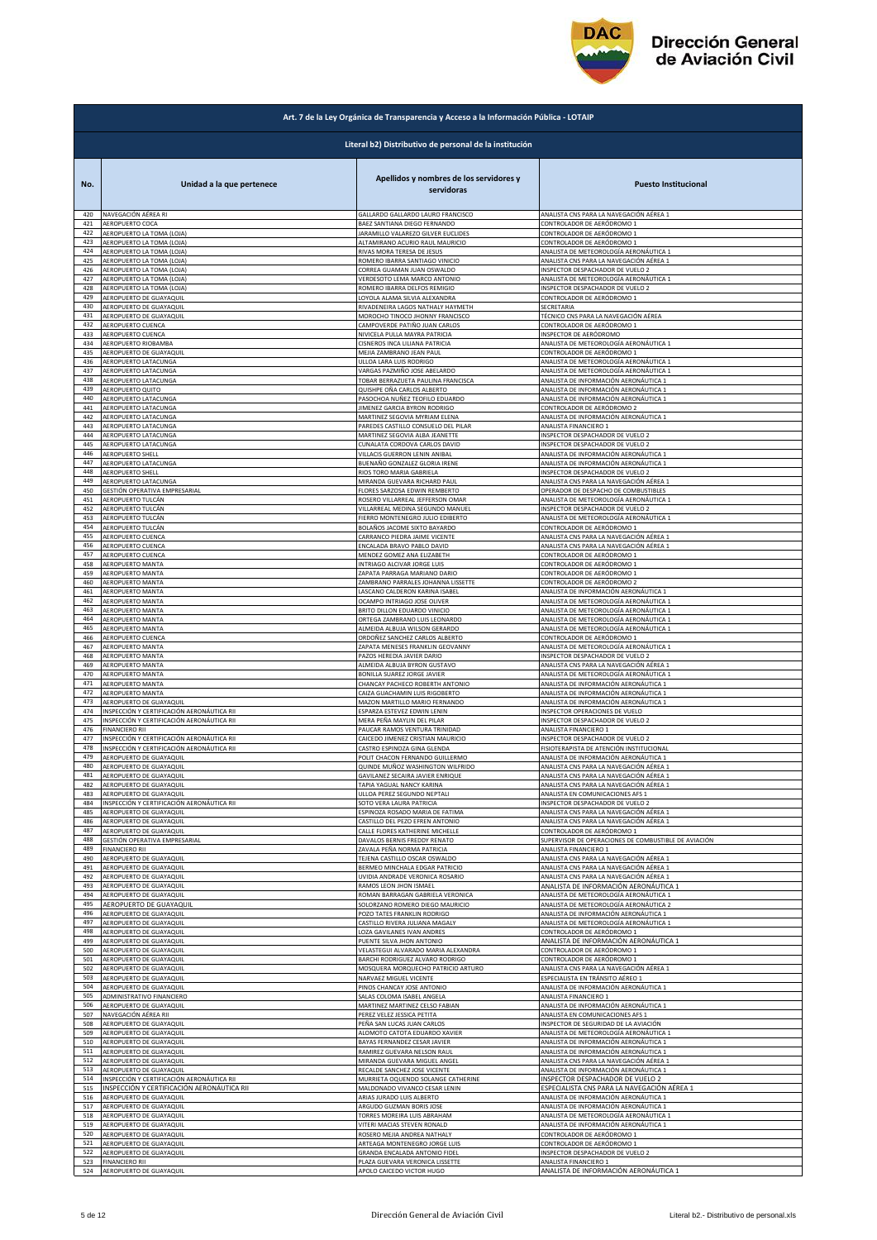

|            | Art. 7 de la Ley Orgánica de Transparencia y Acceso a la Información Pública - LOTAIP |                                                                |                                                                                |  |
|------------|---------------------------------------------------------------------------------------|----------------------------------------------------------------|--------------------------------------------------------------------------------|--|
|            |                                                                                       | Literal b2) Distributivo de personal de la institución         |                                                                                |  |
| No.        | Unidad a la que pertenece                                                             | Apellidos y nombres de los servidores y<br>servidoras          | <b>Puesto Institucional</b>                                                    |  |
| 420        | NAVEGACIÓN AÉREA RI                                                                   | GALLARDO GALLARDO LAURO FRANCISCO                              | ANALISTA CNS PARA LA NAVEGACIÓN AÉREA 1                                        |  |
| 421        | AEROPUERTO COCA                                                                       | BAEZ SANTIANA DIEGO FERNANDO                                   | CONTROLADOR DE AERÓDROMO 1                                                     |  |
| 422        | AEROPUERTO LA TOMA (LOJA)                                                             | JARAMILLO VALAREZO GILVER EUCLIDES                             | CONTROLADOR DE AERÓDROMO 1                                                     |  |
| 423        | AEROPUERTO LA TOMA (LOJA)                                                             | ALTAMIRANO ACURIO RAUL MAURICIO                                | CONTROLADOR DE AERÓDROMO 1                                                     |  |
| 424        | AEROPUERTO LA TOMA (LOJA)                                                             | RIVAS MORA TERESA DE JESUS                                     | ANALISTA DE METEOROLOGÍA AERONÁUTICA 1                                         |  |
| 425        | AEROPUERTO LA TOMA (LOJA)                                                             | ROMERO IBARRA SANTIAGO VINICIO                                 | ANALISTA CNS PARA LA NAVEGACIÓN AÉREA 1                                        |  |
| 426        | AEROPUERTO LA TOMA (LOJA)                                                             | CORREA GUAMAN JUAN OSWALDO                                     | INSPECTOR DESPACHADOR DE VUELO 2                                               |  |
| 427        | AEROPUERTO LA TOMA (LOJA)                                                             | VERDESOTO LEMA MARCO ANTONIO                                   | ANALISTA DE METEOROLOGÍA AERONÁUTICA 1                                         |  |
| 428        | AEROPUERTO LA TOMA (LOJA)                                                             | ROMERO IBARRA DELFOS REMIGIO                                   | INSPECTOR DESPACHADOR DE VUELO 2                                               |  |
| 429        | AEROPUERTO DE GUAYAQUIL                                                               | LOYOLA ALAMA SILVIA ALEXANDRA                                  | CONTROLADOR DE AERÓDROMO 1                                                     |  |
| 430        | AEROPUERTO DE GUAYAQUIL                                                               | RIVADENEIRA LAGOS NATHALY HAYMETH                              | SECRETARIA                                                                     |  |
| 431        | AEROPUERTO DE GUAYAQUIL                                                               | MOROCHO TINOCO JHONNY FRANCISCO                                | TÉCNICO CNS PARA LA NAVEGACIÓN AÉREA                                           |  |
| 432        | AEROPUERTO CUENCA                                                                     | CAMPOVERDE PATIÑO JUAN CARLOS                                  | CONTROLADOR DE AERÓDROMO 1                                                     |  |
| 433        | AEROPUERTO CUENCA                                                                     | NIVICELA PULLA MAYRA PATRICIA                                  | NSPECTOR DE AERÓDROMO                                                          |  |
| 434        | AEROPUERTO RIOBAMBA                                                                   | CISNEROS INCA LILIANA PATRICIA                                 | ANALISTA DE METEOROLOGÍA AERONÁUTICA 1                                         |  |
| 435        | AEROPUERTO DE GUAYAQUIL                                                               | MEJIA ZAMBRANO JEAN PAUL                                       | CONTROLADOR DE AERÓDROMO 1                                                     |  |
| 436        | AEROPUERTO LATACUNGA                                                                  | ULLOA LARA LUIS RODRIGO                                        | ANALISTA DE METEOROLOGÍA AERONÁUTICA 1                                         |  |
| 437        | AEROPUERTO LATACUNGA                                                                  | VARGAS PAZMIÑO JOSE ABELARDO                                   | ANALISTA DE METEOROLOGÍA AERONÁUTICA 1                                         |  |
| 438        | AEROPUERTO LATACUNGA                                                                  | TOBAR BERRAZUETA PAULINA FRANCISCA                             | ANALISTA DE INFORMACIÓN AERONÁUTICA 1                                          |  |
| 439        | AEROPUERTO QUITO                                                                      | QUISHPE OÑA CARLOS ALBERTO                                     | ANALISTA DE INFORMACIÓN AERONÁUTICA 1                                          |  |
| 440        | AEROPUERTO LATACUNGA                                                                  | PASOCHOA NUÑEZ TEOFILO EDUARDO                                 | ANALISTA DE INFORMACIÓN AERONÁUTICA 1                                          |  |
| 441        | AEROPUERTO LATACUNGA                                                                  | <b>IIMENEZ GARCIA BYRON RODRIGO</b>                            | CONTROLADOR DE AERÓDROMO 2                                                     |  |
| 442        |                                                                                       | MARTINEZ SEGOVIA MYRIAM ELENA                                  | ANALISTA DE INFORMACIÓN AERONÁUTICA 1                                          |  |
| 443        | AEROPUERTO LATACUNGA<br>AEROPUERTO LATACUNGA                                          | PAREDES CASTILLO CONSUELO DEL PILAR                            | ANALISTA FINANCIERO 1                                                          |  |
| 444        | AEROPUERTO LATACUNGA                                                                  | MARTINEZ SEGOVIA ALBA JEANETTE                                 | INSPECTOR DESPACHADOR DE VUELO 2                                               |  |
| 445        | AEROPUERTO LATACUNGA                                                                  | CUNALATA CORDOVA CARLOS DAVID                                  | INSPECTOR DESPACHADOR DE VUELO 2                                               |  |
| 446        | AEROPUERTO SHELL                                                                      | VILLACIS GUERRON LENIN ANIBAL                                  | ANALISTA DE INFORMACIÓN AERONÁUTICA 1                                          |  |
| 447        | AEROPUERTO LATACUNGA                                                                  | BUENAÑO GONZALEZ GLORIA IRENE                                  | ANALISTA DE INFORMACIÓN AERONÁUTICA 1                                          |  |
| 448        | AEROPUERTO SHELL                                                                      | RIOS TORO MARIA GABRIELA                                       | INSPECTOR DESPACHADOR DE VUELO 2                                               |  |
| 449        | AEROPUERTO LATACUNGA                                                                  | MIRANDA GUEVARA RICHARD PAUL                                   | ANALISTA CNS PARA LA NAVEGACIÓN AÉREA 1                                        |  |
| 450        | GESTIÓN OPERATIVA EMPRESARIAL                                                         | FLORES SARZOSA EDWIN REMBERTO                                  | OPERADOR DE DESPACHO DE COMBUSTIBLES                                           |  |
| 451        | AEROPUERTO TULCÁN                                                                     | ROSERO VILLARREAL JEFFERSON OMAR                               | ANALISTA DE METEOROLOGÍA AERONÁUTICA 1                                         |  |
| 452        | AEROPUERTO TULCÁN                                                                     | VILLARREAL MEDINA SEGUNDO MANUEL                               | INSPECTOR DESPACHADOR DE VUELO 2                                               |  |
| 453        | AEROPUERTO TULCÁN                                                                     | FIERRO MONTENEGRO JULIO EDIBERTO                               | ANALISTA DE METEOROLOGÍA AERONÁUTICA 1                                         |  |
| 454        | AEROPUERTO TULCÁN                                                                     | BOLAÑOS JACOME SIXTO BAYARDO                                   | CONTROLADOR DE AERÓDROMO 1                                                     |  |
| 455        | AEROPUERTO CUENCA                                                                     | CARRANCO PIEDRA JAIME VICENTE                                  | ANALISTA CNS PARA LA NAVEGACIÓN AÉREA 1                                        |  |
| 456        | AEROPUERTO CUENCA                                                                     | ENCALADA BRAVO PABLO DAVID                                     | ANALISTA CNS PARA LA NAVEGACIÓN AÉREA 1                                        |  |
| 457        | AEROPUERTO CUENCA                                                                     | MENDEZ GOMEZ ANA ELIZABETH                                     | CONTROLADOR DE AERÓDROMO 1                                                     |  |
| 458        | AEROPUERTO MANTA                                                                      | INTRIAGO ALCIVAR JORGE LUIS                                    | CONTROLADOR DE AERÓDROMO 1                                                     |  |
| 459        | AEROPUERTO MANTA                                                                      | ZAPATA PARRAGA MARIANO DARIO                                   | CONTROLADOR DE AERÓDROMO 1                                                     |  |
| 460        | AEROPUERTO MANTA                                                                      | ZAMBRANO PARRALES JOHANNA LISSETTE                             | CONTROLADOR DE AERÓDROMO 2                                                     |  |
| 461        | AEROPUERTO MANTA                                                                      | LASCANO CALDERON KARINA ISABEL                                 | ANALISTA DE INFORMACIÓN AERONÁUTICA 1                                          |  |
| 462        | AEROPUERTO MANTA                                                                      | OCAMPO INTRIAGO JOSE OLIVER                                    | ANALISTA DE METEOROLOGÍA AERONÁUTICA 1                                         |  |
| 463        | AEROPUERTO MANTA                                                                      | BRITO DILLON EDUARDO VINICIO                                   | ANALISTA DE METEOROLOGÍA AERONÁUTICA 1                                         |  |
| 464        | AEROPUERTO MANTA                                                                      | ORTEGA ZAMBRANO LUIS LEONARDO                                  | ANALISTA DE METEOROLOGÍA AERONÁUTICA 1                                         |  |
| 465        | AEROPUERTO MANTA                                                                      | ALMEIDA ALBUJA WILSON GERARDO                                  | ANALISTA DE METEOROLOGÍA AERONÁUTICA 1                                         |  |
| 466        | AEROPUERTO CUENCA                                                                     | ORDOÑEZ SANCHEZ CARLOS ALBERTO                                 | CONTROLADOR DE AERÓDROMO 1                                                     |  |
| 467        | <b>AEROPUERTO MANTA</b>                                                               | ZAPATA MENESES FRANKLIN GEOVANNY                               | ANALISTA DE METEOROLOGÍA AERONÁUTICA 1                                         |  |
| 468        | AEROPUERTO MANTA                                                                      | PAZOS HEREDIA JAVIER DARIO                                     | INSPECTOR DESPACHADOR DE VUELO 2                                               |  |
| 469        | AEROPUERTO MANTA                                                                      | ALMEIDA ALBUJA BYRON GUSTAVO                                   | ANALISTA CNS PARA LA NAVEGACIÓN AÉREA 1                                        |  |
| 470        | AEROPUERTO MANTA                                                                      | BONILLA SUAREZ JORGE JAVIER                                    | ANALISTA DE METEOROLOGÍA AERONÁUTICA 1                                         |  |
| 471        | AEROPUERTO MANTA                                                                      | CHANCAY PACHECO ROBERTH ANTONIO                                | ANALISTA DE INFORMACIÓN AERONÁUTICA 1                                          |  |
| 472        | AEROPUERTO MANTA                                                                      | CAIZA GUACHAMIN LUIS RIGOBERTO                                 | ANALISTA DE INFORMACIÓN AERONÁUTICA 1                                          |  |
| 473        | AEROPUERTO DE GUAYAQUIL                                                               | MAZON MARTILLO MARIO FERNANDO                                  | ANALISTA DE INFORMACIÓN AERONÁUTICA 1                                          |  |
| 474        | INSPECCIÓN Y CERTIFICACIÓN AERONÁUTICA RII                                            | ESPARZA ESTEVEZ EDWIN LENIN                                    | INSPECTOR OPERACIONES DE VUELO                                                 |  |
| 475        | INSPECCIÓN Y CERTIFICACIÓN AERONÁUTICA RII                                            | MERA PEÑA MAYLIN DEL PILAR                                     | INSPECTOR DESPACHADOR DE VUELO 2                                               |  |
| 476        | <b>FINANCIERO RII</b>                                                                 | PAUCAR RAMOS VENTURA TRINIDAD                                  | ANALISTA FINANCIERO 1                                                          |  |
| 477        | INSPECCIÓN Y CERTIFICACIÓN AERONÁUTICA RII                                            | CAICEDO JIMENEZ CRISTIAN MAURICIO                              | INSPECTOR DESPACHADOR DE VUELO 2                                               |  |
| 478<br>479 | INSPECCIÓN Y CERTIFICACIÓN AERONÁUTICA RII                                            | CASTRO ESPINOZA GINA GLENDA<br>POLIT CHACON FERNANDO GUILLERMO | FISIOTERAPISTA DE ATENCIÓN INSTITUCIONAL                                       |  |
| 480        | AEROPUERTO DE GUAYAQUIL<br>AEROPUERTO DE GUAYAQUII                                    | QUINDE MUÑOZ WASHINGTON WILFRIDO                               | ANALISTA DE INFORMACIÓN AERONÁUTICA 1<br>ANALISTA CNS PARA LA NAVEGACIÓN AÉREA |  |
| 481        | AEROPUERTO DE GUAYAQUIL                                                               | GAVILANEZ SECAIRA JAVIER ENRIQUE                               | ANALISTA CNS PARA LA NAVEGACIÓN AÉREA 1                                        |  |
| 482        | AEROPUERTO DE GUAYAQUIL                                                               | TAPIA YAGUAL NANCY KARINA                                      | ANALISTA CNS PARA LA NAVEGACIÓN AÉREA 1                                        |  |
| 483        | AEROPUERTO DE GUAYAQUIL                                                               | ULLOA PEREZ SEGUNDO NEPTALI                                    | ANALISTA EN COMUNICACIONES AFS 1                                               |  |
| 484        | INSPECCIÓN Y CERTIFICACIÓN AERONÁUTICA RII                                            | SOTO VERA LAURA PATRICIA                                       | INSPECTOR DESPACHADOR DE VUELO 2                                               |  |
| 485        | AEROPUERTO DE GUAYAQUIL                                                               | ESPINOZA ROSADO MARIA DE FATIMA                                | ANALISTA CNS PARA LA NAVEGACIÓN AÉREA 1                                        |  |
| 486        | AEROPUERTO DE GUAYAQUIL                                                               | CASTILLO DEL PEZO EFREN ANTONIO                                | ANALISTA CNS PARA LA NAVEGACIÓN AÉREA 1                                        |  |
| 487        | AEROPUERTO DE GUAYAQUIL                                                               | CALLE FLORES KATHERINE MICHELLE                                | CONTROLADOR DE AERÓDROMO 1                                                     |  |
| 488        | GESTIÓN OPERATIVA EMPRESARIAL                                                         | DAVALOS BERNIS FREDDY RENATO                                   | SUPERVISOR DE OPERACIONES DE COMBUSTIBLE DE AVIACIÓN                           |  |
| 489        | <b>FINANCIERO RII</b>                                                                 | ZAVALA PEÑA NORMA PATRICIA                                     | ANALISTA FINANCIERO 1                                                          |  |
| 490        | AEROPUERTO DE GUAYAQUIL                                                               | TEJENA CASTILLO OSCAR OSWALDO                                  | ANALISTA CNS PARA LA NAVEGACIÓN AÉREA 1                                        |  |
| 491        | AEROPUERTO DE GUAYAQUIL                                                               | BERMEO MINCHALA EDGAR PATRICIO                                 | ANALISTA CNS PARA LA NAVEGACIÓN AÉREA 1                                        |  |
| 492        | AEROPUERTO DE GUAYAQUIL                                                               | UVIDIA ANDRADE VERONICA ROSARIO                                | ANALISTA CNS PARA LA NAVEGACIÓN AÉREA 1                                        |  |
| 493        | AEROPUERTO DE GUAYAQUIL                                                               | RAMOS LEON JHON ISMAEL                                         | ANALISTA DE INFORMACIÓN AERONÁUTICA 1                                          |  |
| 494        | AEROPUERTO DE GUAYAQUIL                                                               | ROMAN BARRAGAN GABRIELA VERONICA                               | ANALISTA DE METEOROLOGÍA AERONÁUTICA 1                                         |  |
| 495        | AEROPUERTO DE GUAYAQUIL                                                               | SOLORZANO ROMERO DIEGO MAURICIO                                | ANALISTA DE METEOROLOGÍA AERONÁUTICA 2                                         |  |
| 496        | AEROPUERTO DE GUAYAQUIL                                                               | POZO TATES FRANKLIN RODRIGO                                    | ANALISTA DE INFORMACIÓN AERONÁUTICA 1                                          |  |
| 497        | AEROPUERTO DE GUAYAQUIL                                                               | CASTILLO RIVERA JULIANA MAGALY                                 | ANALISTA DE METEOROLOGÍA AERONÁUTICA 1                                         |  |
| 498        | AEROPUERTO DE GUAYAQUIL                                                               | LOZA GAVILANES IVAN ANDRES                                     | CONTROLADOR DE AERÓDROMO 1                                                     |  |
| 499        | AEROPUERTO DE GUAYAQUIL                                                               | PUENTE SILVA JHON ANTONIO                                      | ANALISTA DE INFORMACIÓN AERONÁUTICA 1                                          |  |
| 500        | AEROPUERTO DE GUAYAQUIL                                                               | VELASTEGUI ALVARADO MARIA ALEXANDRA                            | CONTROLADOR DE AERÓDROMO 1                                                     |  |
| 501        | AEROPUERTO DE GUAYAQUIL                                                               | BARCHI RODRIGUEZ ALVARO RODRIGO                                | CONTROLADOR DE AERÓDROMO 1                                                     |  |
| 502        | AEROPUERTO DE GUAYAQUIL                                                               | MOSQUERA MORQUECHO PATRICIO ARTURO                             | ANALISTA CNS PARA LA NAVEGACIÓN AÉREA 1                                        |  |
| 503        | AEROPUERTO DE GUAYAQUIL                                                               | NARVAEZ MIGUEL VICENTE                                         | ESPECIALISTA EN TRÁNSITO AÉREO 1                                               |  |
| 504        | AEROPUERTO DE GUAYAQUIL                                                               | PINOS CHANCAY JOSE ANTONIO                                     | ANALISTA DE INFORMACIÓN AERONÁUTICA 1                                          |  |
| 505        | ADMINISTRATIVO FINANCIERO                                                             | SALAS COLOMA ISABEL ANGELA                                     | ANALISTA FINANCIERO 1                                                          |  |
| 506        | AEROPUERTO DE GUAYAQUIL                                                               | MARTINEZ MARTINEZ CELSO FABIAN                                 | ANALISTA DE INFORMACIÓN AERONÁUTICA 1                                          |  |
| 507        | NAVEGACIÓN AÉREA RII                                                                  | PEREZ VELEZ JESSICA PETITA                                     | ANALISTA EN COMUNICACIONES AFS 1                                               |  |
| 508        | AEROPUERTO DE GUAYAQUIL                                                               | PEÑA SAN LUCAS JUAN CARLOS                                     | NSPECTOR DE SEGURIDAD DE LA AVIACIÓN                                           |  |
| 509        | AEROPUERTO DE GUAYAQUIL                                                               | ALOMOTO CATOTA EDUARDO XAVIER                                  | ANALISTA DE METEOROLOGÍA AERONÁUTICA 1                                         |  |
| 510        | AEROPUERTO DE GUAYAQUIL                                                               | BAYAS FERNANDEZ CESAR JAVIER                                   | ANALISTA DE INFORMACIÓN AERONÁUTICA 1                                          |  |
| 511        | AEROPUERTO DE GUAYAQUIL                                                               | RAMIREZ GUEVARA NELSON RAUL                                    | ANALISTA DE INFORMACIÓN AERONÁUTICA 1                                          |  |
| 512        | AEROPUERTO DE GUAYAQUIL                                                               | MIRANDA GUEVARA MIGUEL ANGEL                                   | ANALISTA CNS PARA LA NAVEGACIÓN AÉREA 1                                        |  |
| 513        | AEROPUERTO DE GUAYAQUIL                                                               | RECALDE SANCHEZ JOSE VICENTE                                   | ANALISTA DE INFORMACIÓN AERONÁUTICA 1                                          |  |
| 514        | INSPECCIÓN Y CERTIFICACIÓN AERONÁUTICA RI                                             | MURRIETA OQUENDO SOLANGE CATHERINE                             | INSPECTOR DESPACHADOR DE VUELO 2                                               |  |
| 515        | INSPECCIÓN Y CERTIFICACIÓN AERONÁUTICA RII                                            | MALDONADO VIVANCO CESAR LENIN                                  | ESPECIALISTA CNS PARA LA NAVEGACIÓN AÉREA 1                                    |  |
| 516        | AEROPUERTO DE GUAYAQUIL                                                               | ARIAS JURADO LUIS ALBERTO                                      | ANALISTA DE INFORMACIÓN AERONÁUTICA 1                                          |  |
| 517<br>518 | AEROPUERTO DE GUAYAQUIL                                                               | ARGUDO GUZMAN BORIS JOSE                                       | ANALISTA DE INFORMACIÓN AERONÁUTICA 1                                          |  |
| 519        | AEROPUERTO DE GUAYAQUIL                                                               | TORRES MOREIRA LUIS ABRAHAM                                    | ANALISTA DE METEOROLOGÍA AERONÁUTICA 1                                         |  |
|            | AEROPUERTO DE GUAYAQUIL                                                               | VITERI MACIAS STEVEN RONALD                                    | ANALISTA DE INFORMACIÓN AERONÁUTICA 1                                          |  |
| 520        | AEROPUERTO DE GUAYAQUIL                                                               | ROSERO MEJIA ANDREA NATHALY                                    | CONTROLADOR DE AERÓDROMO 1                                                     |  |
| 521        | AEROPUERTO DE GUAYAQUIL                                                               | ARTEAGA MONTENEGRO JORGE LUIS                                  | CONTROLADOR DE AERÓDROMO 1                                                     |  |
| 522        | AEROPUERTO DE GUAYAQUIL                                                               | GRANDA ENCALADA ANTONIO FIDEL                                  | INSPECTOR DESPACHADOR DE VUELO 2                                               |  |
| 523        | <b>FINANCIERO RII</b>                                                                 | PLAZA GUEVARA VERONICA LISSETTE                                | ANALISTA FINANCIERO 1                                                          |  |
| 524        | AEROPUERTO DE GUAYAQUIL                                                               | APOLO CAICEDO VICTOR HUGO                                      | ANALISTA DE INFORMACIÓN AERONÁUTICA 1                                          |  |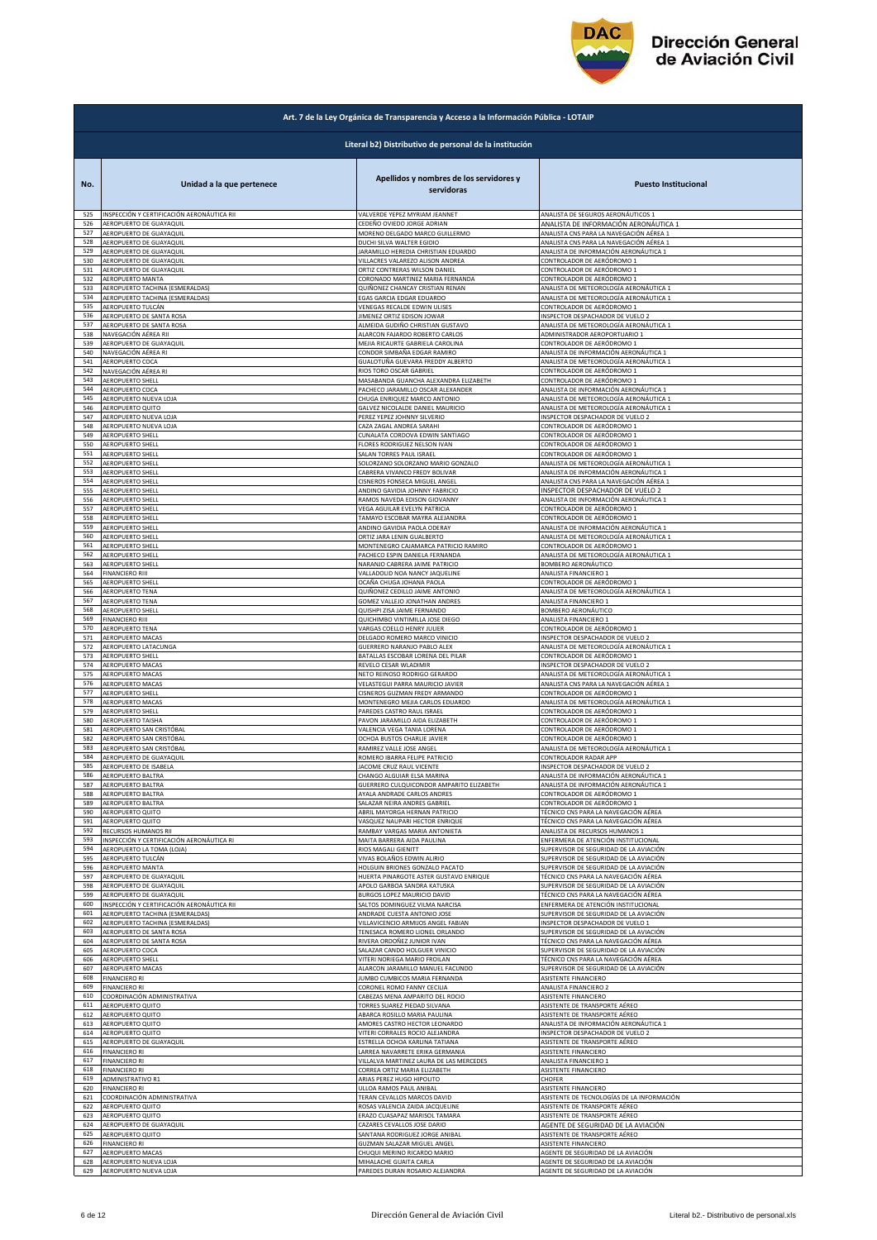

|            | Art. 7 de la Ley Orgánica de Transparencia y Acceso a la Información Pública - LOTAIP |                                                                 |                                                                        |  |
|------------|---------------------------------------------------------------------------------------|-----------------------------------------------------------------|------------------------------------------------------------------------|--|
|            |                                                                                       | Literal b2) Distributivo de personal de la institución          |                                                                        |  |
| No.        | Unidad a la que pertenece                                                             | Apellidos y nombres de los servidores y<br>servidoras           | <b>Puesto Institucional</b>                                            |  |
| 525        | INSPECCIÓN Y CERTIFICACIÓN AERONÁUTICA RII                                            | VALVERDE YEPEZ MYRIAM JEANNET                                   | ANALISTA DE SEGUROS AERONÁUTICOS 1                                     |  |
| 526        | AEROPUERTO DE GUAYAQUIL                                                               | CEDEÑO OVIEDO JORGE ADRIAN                                      | ANALISTA DE INFORMACIÓN AERONÁUTICA 1                                  |  |
| 527        | AEROPUERTO DE GUAYAQUIL                                                               | MORENO DELGADO MARCO GUILLERMO                                  | ANALISTA CNS PARA LA NAVEGACIÓN AÉREA 1                                |  |
| 528        | AEROPUERTO DE GUAYAQUIL                                                               | DUCHI SILVA WALTER EGIDIO                                       | ANALISTA CNS PARA LA NAVEGACIÓN AÉREA 1                                |  |
| 529        | AEROPUERTO DE GUAYAQUIL                                                               | JARAMILLO HEREDIA CHRISTIAN EDUARDO                             | ANALISTA DE INFORMACIÓN AERONÁUTICA 1                                  |  |
| 530        | AEROPUERTO DE GUAYAQUIL                                                               | VILLACRES VALAREZO ALISON ANDREA                                | CONTROLADOR DE AERÓDROMO 1                                             |  |
| 531        | AEROPUERTO DE GUAYAQUIL                                                               | ORTIZ CONTRERAS WILSON DANIEL                                   | CONTROLADOR DE AERÓDROMO 1                                             |  |
| 532        | AEROPUERTO MANTA                                                                      | CORONADO MARTINEZ MARIA FERNANDA                                | CONTROLADOR DE AERÓDROMO 1                                             |  |
| 533        | AEROPUERTO TACHINA (ESMERALDAS)                                                       | QUIÑONEZ CHANCAY CRISTIAN RENAN                                 | ANALISTA DE METEOROLOGÍA AERONÁUTICA 1                                 |  |
| 534        | AEROPUERTO TACHINA (ESMERALDAS)                                                       | EGAS GARCIA EDGAR EDUARDO                                       | ANALISTA DE METEOROLOGÍA AERONÁUTICA 1                                 |  |
| 535        | AEROPUERTO TULCÁN                                                                     | VENEGAS RECALDE EDWIN ULISES                                    | CONTROLADOR DE AERÓDROMO 1                                             |  |
| 536        | AEROPUERTO DE SANTA ROSA                                                              | JIMENEZ ORTIZ EDISON JOWAR                                      | INSPECTOR DESPACHADOR DE VUELO 2                                       |  |
| 537        | AEROPUERTO DE SANTA ROSA                                                              | ALMEIDA GUDIÑO CHRISTIAN GUSTAVO                                | ANALISTA DE METEOROLOGÍA AERONÁUTICA 1                                 |  |
| 538        | NAVEGACIÓN AÉREA RII                                                                  | ALARCON FAJARDO ROBERTO CARLOS                                  | ADMINISTRADOR AEROPORTUARIO 1                                          |  |
| 539        | AEROPUERTO DE GUAYAQUIL                                                               | MEJIA RICAURTE GABRIELA CAROLINA                                | CONTROLADOR DE AERÓDROMO 1                                             |  |
| 540        | NAVEGACIÓN AÉREA RI                                                                   | CONDOR SIMBAÑA EDGAR RAMIRO                                     | ANALISTA DE INFORMACIÓN AERONÁUTICA 1                                  |  |
| 541        | AEROPUERTO COCA                                                                       | GUALOTUÑA GUEVARA FREDDY ALBERTO                                | ANALISTA DE METEOROLOGÍA AERONÁUTICA 1                                 |  |
| 542        | NAVEGACIÓN AÉREA RI                                                                   | RIOS TORO OSCAR GABRIEL                                         | CONTROLADOR DE AERÓDROMO 1                                             |  |
| 543        | AEROPUERTO SHELL                                                                      | MASABANDA GUANCHA ALEXANDRA ELIZABETH                           | CONTROLADOR DE AERÓDROMO 1                                             |  |
| 544        | AEROPUERTO COCA                                                                       | PACHECO JARAMILLO OSCAR ALEXANDER                               | ANALISTA DE INFORMACIÓN AERONÁUTICA 1                                  |  |
| 545        | AEROPUERTO NUEVA LOJA                                                                 | CHUGA ENRIQUEZ MARCO ANTONIO                                    | ANALISTA DE METEOROLOGÍA AERONÁUTICA 1                                 |  |
| 546        | AEROPUERTO QUITO                                                                      | GALVEZ NICOLALDE DANIEL MAURICIO                                | ANALISTA DE METEOROLOGÍA AERONÁUTICA 1                                 |  |
| 547        | AEROPUERTO NUEVA LOJA                                                                 | PEREZ YEPEZ JOHNNY SILVERIO                                     | INSPECTOR DESPACHADOR DE VUELO 2                                       |  |
| 548        | AEROPUERTO NUEVA LOJA                                                                 | CAZA ZAGAL ANDREA SARAHI                                        | CONTROLADOR DE AERÓDROMO 1                                             |  |
| 549        | AEROPUERTO SHELL                                                                      | CUNALATA CORDOVA EDWIN SANTIAGO                                 | CONTROLADOR DE AERÓDROMO 1                                             |  |
| 550        | <b>AEROPUERTO SHELL</b>                                                               | FLORES RODRIGUEZ NELSON IVAN                                    | CONTROLADOR DE AERÓDROMO 1                                             |  |
| 551        | AEROPUERTO SHELL                                                                      | SALAN TORRES PAUL ISRAEL                                        | CONTROLADOR DE AERÓDROMO 1                                             |  |
| 552        | <b>AEROPUERTO SHELL</b>                                                               | SOLORZANO SOLORZANO MARIO GONZALO                               | ANALISTA DE METEOROLOGÍA AERONÁUTICA 1                                 |  |
| 553        | AEROPUERTO SHELL                                                                      | CABRERA VIVANCO FREDY BOLIVAR                                   | ANALISTA DE INFORMACIÓN AERONÁUTICA 1                                  |  |
| 554        | <b>AEROPUERTO SHELL</b>                                                               | CISNEROS FONSECA MIGUEL ANGEL                                   | ANALISTA CNS PARA LA NAVEGACIÓN AÉREA 1                                |  |
| 555        | AEROPUERTO SHELL                                                                      | ANDINO GAVIDIA JOHNNY FABRICIO                                  | INSPECTOR DESPACHADOR DE VUELO 2                                       |  |
| 556        | AEROPUERTO SHELL                                                                      | RAMOS NAVEDA EDISON GIOVANNY                                    | ANALISTA DE INFORMACIÓN AERONÁUTICA 1                                  |  |
| 557        | AEROPUERTO SHELL                                                                      | VEGA AGUILAR EVELYN PATRICIA                                    | CONTROLADOR DE AERÓDROMO 1                                             |  |
| 558        | AEROPUERTO SHELL                                                                      | TAMAYO ESCOBAR MAYRA ALEJANDRA                                  | CONTROLADOR DE AERÓDROMO 1                                             |  |
| 559        | AEROPUERTO SHELL                                                                      | ANDINO GAVIDIA PAOLA ODERAY                                     | ANALISTA DE INFORMACIÓN AERONÁUTICA 1                                  |  |
| 560        | AEROPUERTO SHELL                                                                      | ORTIZ JARA LENIN GUALBERTO                                      | ANALISTA DE METEOROLOGÍA AERONÁUTICA 1                                 |  |
| 561        | AEROPUERTO SHELL                                                                      | MONTENEGRO CAJAMARCA PATRICIO RAMIRO                            | CONTROLADOR DE AERÓDROMO 1                                             |  |
| 562        | <b>AEROPUERTO SHELL</b>                                                               | PACHECO ESPIN DANIELA FERNANDA                                  | ANALISTA DE METEOROLOGÍA AERONÁUTICA 1                                 |  |
| 563        | <b>AEROPUERTO SHELL</b>                                                               | NARANJO CABRERA JAIME PATRICIO                                  | BOMBERO AERONÁUTICO                                                    |  |
| 564        | <b>FINANCIERO RIII</b>                                                                | VALLADOLID NOA NANCY JAQUELINE                                  | ANALISTA FINANCIERO 1                                                  |  |
| 565        | AEROPUERTO SHELL                                                                      | OCAÑA CHUGA JOHANA PAOLA                                        | CONTROLADOR DE AERÓDROMO 1                                             |  |
| 566        | AEROPUERTO TENA                                                                       | QUIÑONEZ CEDILLO JAIME ANTONIO                                  | ANALISTA DE METEOROLOGÍA AERONÁUTICA 1                                 |  |
| 567        | AEROPUERTO TENA                                                                       | GOMEZ VALLEJO JONATHAN ANDRES                                   | ANALISTA FINANCIERO 1                                                  |  |
| 568        | AEROPUERTO SHELL                                                                      | QUISHPI ZISA JAIME FERNANDO                                     | BOMBERO AERONÁUTICO                                                    |  |
| 569        | <b>FINANCIERO RIII</b>                                                                | QUICHIMBO VINTIMILLA JOSE DIEGO                                 | ANALISTA FINANCIERO 1                                                  |  |
| 570        | AEROPUERTO TENA                                                                       | VARGAS COELLO HENRY JULIER                                      | CONTROLADOR DE AERÓDROMO 1                                             |  |
| 571        | AEROPUERTO MACAS                                                                      | DELGADO ROMERO MARCO VINICIO                                    | INSPECTOR DESPACHADOR DE VUELO 2                                       |  |
| 572        | AEROPUERTO LATACUNGA                                                                  | GUERRERO NARANJO PABLO ALEX                                     | ANALISTA DE METEOROLOGÍA AERONÁUTICA 1                                 |  |
| 573        | <b>AEROPUERTO SHELL</b>                                                               | BATALLAS ESCOBAR LORENA DEL PILAR                               | CONTROLADOR DE AERÓDROMO 1                                             |  |
| 574        | AEROPUERTO MACAS                                                                      | REVELO CESAR WLADIMIR                                           | INSPECTOR DESPACHADOR DE VUELO 2                                       |  |
| 575        | <b>AEROPUERTO MACAS</b>                                                               | NETO REINOSO RODRIGO GERARDO                                    | ANALISTA DE METEOROLOGÍA AERONÁUTICA 1                                 |  |
| 576        | AEROPUERTO MACAS                                                                      | VELASTEGUI PARRA MAURICIO JAVIER                                | ANALISTA CNS PARA LA NAVEGACIÓN AÉREA 1                                |  |
| 577        | AEROPUERTO SHELL                                                                      | CISNEROS GUZMAN FREDY ARMANDO                                   | CONTROLADOR DE AERÓDROMO 1                                             |  |
| 578        | AEROPUERTO MACAS                                                                      | MONTENEGRO MEJIA CARLOS EDUARDO                                 | ANALISTA DE METEOROLOGÍA AERONÁUTICA 1                                 |  |
| 579        | AEROPUERTO SHELL                                                                      | PAREDES CASTRO RAUL ISRAEL                                      | CONTROLADOR DE AERÓDROMO 1                                             |  |
| 580        | AEROPUERTO TAISHA                                                                     | PAVON JARAMILLO AIDA ELIZABETH                                  | CONTROLADOR DE AERÓDROMO 1                                             |  |
| 581        | AEROPUERTO SAN CRISTÓBAL                                                              | VALENCIA VEGA TANIA LORENA                                      | CONTROLADOR DE AERÓDROMO 1<br>CONTROLADOR DE AERÓDROMO 1               |  |
| 582        | AEROPUERTO SAN CRISTÓBAL                                                              | OCHOA BUSTOS CHARLIE JAVIER                                     | ANALISTA DE METEOROLOGÍA AERONÁUTICA 1                                 |  |
| 583        | AEROPUERTO SAN CRISTÓBAL                                                              | RAMIREZ VALLE JOSE ANGEL                                        |                                                                        |  |
| 584        | AEROPUERTO DE GUAYAQUIL                                                               | ROMERO IBARRA FELIPE PATRICIO                                   | CONTROLADOR RADAR APP                                                  |  |
| 585        | AEROPUERTO DE ISABELA                                                                 | JACOME CRUZ RAUL VICENTE                                        | NSPECTOR DESPACHADOR DE                                                |  |
| 586        | AEROPUERTO BALTRA                                                                     | CHANGO ALGUIAR ELSA MARINA                                      | ANALISTA DE INFORMACIÓN AERONÁUTICA 1                                  |  |
| 587        | AEROPUERTO BALTRA                                                                     | <b>GUERRERO CULQUICONDOR AMPARITO ELIZABETH</b>                 | ANALISTA DE INFORMACIÓN AERONÁUTICA 1                                  |  |
| 588        | AEROPUERTO BALTRA                                                                     | <b>AYALA ANDRADE CARLOS ANDRES</b>                              | CONTROLADOR DE AERÓDROMO 1                                             |  |
| 589        | AEROPUERTO BALTRA                                                                     | SALAZAR NEIRA ANDRES GABRIEL                                    | CONTROLADOR DE AERÓDROMO 1                                             |  |
| 590<br>591 | AEROPUERTO QUITO                                                                      | ABRIL MAYORGA HERNAN PATRICIO<br>VASQUEZ NAUPARI HECTOR ENRIQUE | TÉCNICO CNS PARA LA NAVEGACIÓN AÉREA                                   |  |
| 592        | AEROPUERTO QUITO<br>RECURSOS HUMANOS RII                                              | RAMBAY VARGAS MARIA ANTONIETA                                   | TÉCNICO CNS PARA LA NAVEGACIÓN AÉREA<br>ANALISTA DE RECURSOS HUMANOS 1 |  |
| 593        | INSPECCIÓN Y CERTIFICACIÓN AERONÁUTICA RI                                             | MAITA BARRERA AIDA PAULINA                                      | ENFERMERA DE ATENCIÓN INSTITUCIONAL                                    |  |
| 594        | AEROPUERTO LA TOMA (LOJA)                                                             | RIOS MAGALI GIENITT                                             | SUPERVISOR DE SEGURIDAD DE LA AVIACIÓN                                 |  |
| 595        | AEROPUERTO TULCÁN                                                                     | VIVAS BOLAÑOS EDWIN ALIRIO                                      | SUPERVISOR DE SEGURIDAD DE LA AVIACIÓN                                 |  |
| 596        | AEROPUERTO MANTA                                                                      | HOLGUIN BRIONES GONZALO PACATO                                  | SUPERVISOR DE SEGURIDAD DE LA AVIACIÓN                                 |  |
| 597        | AEROPUERTO DE GUAYAQUIL                                                               | HUERTA PINARGOTE ASTER GUSTAVO ENRIQUE                          | TÉCNICO CNS PARA LA NAVEGACIÓN AÉREA                                   |  |
| 598        | AEROPUERTO DE GUAYAQUIL                                                               | APOLO GARBOA SANDRA KATUSKA                                     | SUPERVISOR DE SEGURIDAD DE LA AVIACIÓN                                 |  |
| 599        | AEROPUERTO DE GUAYAQUIL                                                               | BURGOS LOPEZ MAURICIO DAVID                                     | TÉCNICO CNS PARA LA NAVEGACIÓN AÉREA                                   |  |
| 600        | NSPECCIÓN Y CERTIFICACIÓN AERONÁUTICA RII                                             | SALTOS DOMINGUEZ VILMA NARCISA                                  | INFERMERA DE ATENCIÓN INSTITUCIONAL                                    |  |
| 601        | AEROPUERTO TACHINA (ESMERALDAS)                                                       | ANDRADE CUESTA ANTONIO JOSE                                     | SUPERVISOR DE SEGURIDAD DE LA AVIACIÓN                                 |  |
| 602        | AEROPUERTO TACHINA (ESMERALDAS)                                                       | VILLAVICENCIO ARMIJOS ANGEL FABIAN                              | INSPECTOR DESPACHADOR DE VUELO 1                                       |  |
| 603        | AEROPUERTO DE SANTA ROSA                                                              | TENESACA ROMERO LIONEL ORLANDO                                  | SUPERVISOR DE SEGURIDAD DE LA AVIACIÓN                                 |  |
| 604        | AEROPUERTO DE SANTA ROSA                                                              | RIVERA ORDOÑEZ JUNIOR IVAN                                      | TÉCNICO CNS PARA LA NAVEGACIÓN AÉREA                                   |  |
| 605        | AEROPUERTO COCA                                                                       | SALAZAR CANDO HOLGUER VINICIO                                   | SUPERVISOR DE SEGURIDAD DE LA AVIACIÓN                                 |  |
| 606        | <b>AEROPUERTO SHELL</b>                                                               | VITERI NORIEGA MARIO FROILAN                                    | TÉCNICO CNS PARA LA NAVEGACIÓN AÉREA                                   |  |
| 607        | AEROPUERTO MACAS                                                                      | ALARCON JARAMILLO MANUEL FACUNDO                                | SUPERVISOR DE SEGURIDAD DE LA AVIACIÓN                                 |  |
| 608        | <b>FINANCIERO RI</b>                                                                  | JUMBO CUMBICOS MARIA FERNANDA                                   | ASISTENTE FINANCIERO                                                   |  |
| 609        | <b>FINANCIERO RI</b>                                                                  | CORONEL ROMO FANNY CECILIA                                      | ANALISTA FINANCIERO 2                                                  |  |
| 610        | COORDINACIÓN ADMINISTRATIVA                                                           | CABEZAS MENA AMPARITO DEL ROCIO                                 | ASISTENTE FINANCIERO                                                   |  |
| 611        | AEROPUERTO QUITO                                                                      | <b>TORRES SUAREZ PIEDAD SILVANA</b>                             | ASISTENTE DE TRANSPORTE AÉREO                                          |  |
| 612        | AEROPUERTO QUITO                                                                      | ABARCA ROSILLO MARIA PAULINA                                    | ASISTENTE DE TRANSPORTE AÉREO                                          |  |
| 613        | AEROPUERTO QUITO                                                                      | AMORES CASTRO HECTOR LEONARDO                                   | ANALISTA DE INFORMACIÓN AERONÁUTICA 1                                  |  |
| 614        | AEROPUERTO QUITO                                                                      | VITERI CORRALES ROCIO ALEJANDRA                                 | INSPECTOR DESPACHADOR DE VUELO 2                                       |  |
| 615        | AEROPUERTO DE GUAYAQUIL                                                               | ESTRELLA OCHOA KARLINA TATIANA                                  | ASISTENTE DE TRANSPORTE AÉREO                                          |  |
| 616        | <b>FINANCIERO RI</b>                                                                  | LARREA NAVARRETE ERIKA GERMANIA                                 | ASISTENTE FINANCIERO                                                   |  |
| 617        | <b>FINANCIERO RI</b>                                                                  | VILLALVA MARTINEZ LAURA DE LAS MERCEDES                         | ANALISTA FINANCIERO 1                                                  |  |
| 618        | <b>FINANCIERO RI</b>                                                                  | CORREA ORTIZ MARIA ELIZABETH                                    | ASISTENTE FINANCIERO                                                   |  |
| 619        | ADMINISTRATIVO R1                                                                     | ARIAS PEREZ HUGO HIPOLITO                                       | CHOFER                                                                 |  |
| 620        | <b>FINANCIERO RI</b>                                                                  | ULLOA RAMOS PAUL ANIBAL                                         | ASISTENTE FINANCIERO                                                   |  |
| 621        | COORDINACIÓN ADMINISTRATIVA                                                           | TERAN CEVALLOS MARCOS DAVID                                     | ASISTENTE DE TECNOLOGÍAS DE LA INFORMACIÓN                             |  |
| 622        | AEROPUERTO QUITO                                                                      | ROSAS VALENCIA ZAIDA JACQUELINE                                 | ASISTENTE DE TRANSPORTE AÉREO                                          |  |
| 623        | AEROPUERTO QUITO                                                                      | ERAZO CUASAPAZ MARISOL TAMARA                                   | ASISTENTE DE TRANSPORTE AÉREO                                          |  |
| 624        | AEROPUERTO DE GUAYAQUIL                                                               | CAZARES CEVALLOS JOSE DARIO                                     | AGENTE DE SEGURIDAD DE LA AVIACIÓN                                     |  |
| 625        | AEROPUERTO QUITO                                                                      | SANTANA RODRIGUEZ JORGE ANIBAL                                  | ASISTENTE DE TRANSPORTE AÉREO                                          |  |
| 626        | <b>FINANCIERO RI</b>                                                                  | <b>GUZMAN SALAZAR MIGUEL ANGEL</b>                              | ASISTENTE FINANCIERO                                                   |  |
| 627        | AEROPUERTO MACAS                                                                      | CHUQUI MERINO RICARDO MARIO                                     | AGENTE DE SEGURIDAD DE LA AVIACIÓN                                     |  |
| 628        | AEROPUERTO NUEVA LOJA                                                                 | MIHALACHE GUAITA CARLA                                          | AGENTE DE SEGURIDAD DE LA AVIACIÓN                                     |  |
| 629        | AEROPUERTO NUEVA LOJA                                                                 | PAREDES DURAN ROSARIO ALEJANDRA                                 | AGENTE DE SEGURIDAD DE LA AVIACIÓN                                     |  |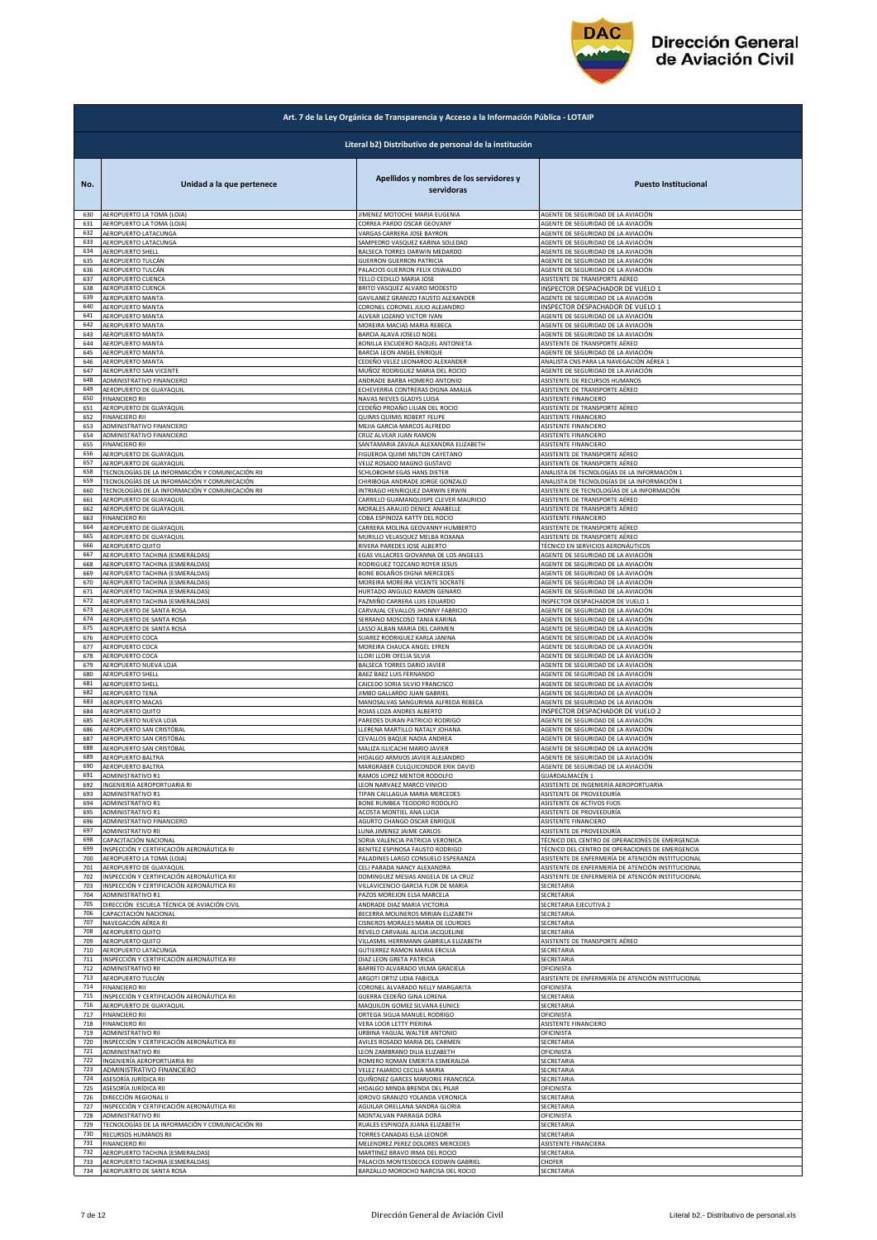

| Art. 7 de la Ley Orgánica de Transparencia y Acceso a la Información Pública - LOTAIP |                                                        |                                                       |                                                   |  |
|---------------------------------------------------------------------------------------|--------------------------------------------------------|-------------------------------------------------------|---------------------------------------------------|--|
|                                                                                       | Literal b2) Distributivo de personal de la institución |                                                       |                                                   |  |
| No.                                                                                   | Unidad a la que pertenece                              | Apellidos y nombres de los servidores y<br>servidoras | <b>Puesto Institucional</b>                       |  |
| 630                                                                                   | AEROPUERTO LA TOMA (LOJA)                              | JIMENEZ MOTOCHE MARIA EUGENIA                         | AGENTE DE SEGURIDAD DE LA AVIACIÓN                |  |
| 631                                                                                   | AEROPUERTO LA TOMA (LOJA)                              | CORREA PARDO OSCAR GEOVANY                            | AGENTE DE SEGURIDAD DE LA AVIACIÓN                |  |
| 632                                                                                   | AEROPUERTO LATACUNGA                                   | VARGAS CARRERA JOSE BAYRON                            | AGENTE DE SEGURIDAD DE LA AVIACIÓN                |  |
| 633                                                                                   | AEROPUERTO LATACUNGA                                   | SAMPEDRO VASQUEZ KARINA SOLEDAD                       | AGENTE DE SEGURIDAD DE LA AVIACIÓN                |  |
| 634                                                                                   | AEROPUERTO SHELL                                       | BALSECA TORRES DARWIN MEDARDO                         | AGENTE DE SEGURIDAD DE LA AVIACIÓN                |  |
| 635                                                                                   | AEROPUERTO TULCÁN                                      | <b>GUERRON GUERRON PATRICIA</b>                       | AGENTE DE SEGURIDAD DE LA AVIACIÓN                |  |
| 636                                                                                   | AEROPUERTO TULCÁN                                      | PALACIOS GUERRON FELIX OSWALDO                        | AGENTE DE SEGURIDAD DE LA AVIACIÓN                |  |
| 637                                                                                   | AEROPUERTO CUENCA                                      | TELLO CEDILLO MARIA JOSE                              | ASISTENTE DE TRANSPORTE AÉREO                     |  |
| 638                                                                                   | AEROPUERTO CUENCA                                      | BRITO VASQUEZ ALVARO MODESTO                          | INSPECTOR DESPACHADOR DE VUELO 1                  |  |
| 639                                                                                   | AEROPUERTO MANTA                                       | GAVILANEZ GRANIZO FAUSTO ALEXANDER                    | AGENTE DE SEGURIDAD DE LA AVIACIÓN                |  |
| 640                                                                                   | AEROPUERTO MANTA                                       | CORONEL CORONEL JULIO ALEJANDRO                       | INSPECTOR DESPACHADOR DE VUELO 1                  |  |
| 641                                                                                   | AEROPUERTO MANTA                                       | ALVEAR LOZANO VICTOR IVAN                             | AGENTE DE SEGURIDAD DE LA AVIACIÓN                |  |
| 642                                                                                   | AEROPUERTO MANTA                                       | MOREIRA MACIAS MARIA REBECA                           | AGENTE DE SEGURIDAD DE LA AVIACIÓN                |  |
| 643                                                                                   | AEROPUERTO MANTA                                       | BARCIA ALAVA JOSELO NOEL                              | AGENTE DE SEGURIDAD DE LA AVIACIÓN                |  |
| 644                                                                                   | AEROPUERTO MANTA                                       | BONILLA ESCUDERO RAQUEL ANTONIETA                     | ASISTENTE DE TRANSPORTE AÉREO                     |  |
| 645                                                                                   | AEROPUERTO MANTA                                       | BARCIA LEON ANGEL ENRIQUE                             | AGENTE DE SEGURIDAD DE LA AVIACIÓN                |  |
| 646                                                                                   | AEROPUERTO MANTA                                       | CEDEÑO VELEZ LEONARDO ALEXANDER                       | ANALISTA CNS PARA LA NAVEGACIÓN AÉREA 1           |  |
| 647                                                                                   | AEROPUERTO SAN VICENTE                                 | MUÑOZ RODRIGUEZ MARIA DEL ROCIO                       | AGENTE DE SEGURIDAD DE LA AVIACIÓN                |  |
| 648<br>649                                                                            | ADMINISTRATIVO FINANCIERO                              | ANDRADE BARBA HOMERO ANTONIO                          | ASISTENTE DE RECURSOS HUMANOS                     |  |
| 650                                                                                   | AEROPUERTO DE GUAYAQUIL                                | ECHEVERRIA CONTRERAS DIGNA AMALIA                     | ASISTENTE DE TRANSPORTE AÉREO                     |  |
|                                                                                       | <b>FINANCIERO RII</b>                                  | NAVAS NIEVES GLADYS LUISA                             | ASISTENTE FINANCIERO                              |  |
| 651                                                                                   | AEROPUERTO DE GUAYAQUIL                                | CEDEÑO PROAÑO LILIAN DEL ROCIO                        | ASISTENTE DE TRANSPORTE AÉREO                     |  |
| 652                                                                                   | <b>FINANCIERO RII</b>                                  | QUIMIS QUIMIS ROBERT FELIPE                           | ASISTENTE FINANCIERO                              |  |
| 653                                                                                   | ADMINISTRATIVO FINANCIERO                              | MEJIA GARCIA MARCOS ALFREDO                           | ASISTENTE FINANCIERO                              |  |
| 654                                                                                   | ADMINISTRATIVO FINANCIERO                              | CRUZ ALVEAR JUAN RAMON                                | ASISTENTE FINANCIERO                              |  |
| 655                                                                                   | <b>FINANCIERO RII</b>                                  | SANTAMARIA ZAVALA ALEXANDRA ELIZABETH                 | ASISTENTE FINANCIERO                              |  |
| 656<br>657                                                                            | AEROPUERTO DE GUAYAQUIL                                | FIGUEROA QUIMI MILTON CAYETANO                        | ASISTENTE DE TRANSPORTE AÉREO                     |  |
| 658                                                                                   | AEROPUERTO DE GUAYAQUIL                                | VELIZ ROSADO MAGNO GUSTAVO                            | ASISTENTE DE TRANSPORTE AÉREO                     |  |
|                                                                                       | TECNOLOGÍAS DE LA INFORMACIÓN Y COMUNICACIÓN RII       | SCHLOBOHM EGAS HANS DIETER                            | ANALISTA DE TECNOLOGÍAS DE LA INFORMACIÓN 1       |  |
| 659                                                                                   | TECNOLOGÍAS DE LA INFORMACIÓN Y COMUNICACIÓN           | CHIRIBOGA ANDRADE JORGE GONZALO                       | ANALISTA DE TECNOLOGÍAS DE LA INFORMACIÓN 1       |  |
| 660                                                                                   | TECNOLOGÍAS DE LA INFORMACIÓN Y COMUNICACIÓN RII       | INTRIAGO HENRIQUEZ DARWIN ERWIN                       | ASISTENTE DE TECNOLOGÍAS DE LA INFORMACIÓN        |  |
| 661                                                                                   | AEROPUERTO DE GUAYAQUIL                                | CARRILLO GUAMANQUISPE CLEVER MAURICIO                 | ASISTENTE DE TRANSPORTE AÉREO                     |  |
| 662                                                                                   | AEROPUERTO DE GUAYAQUIL                                | MORALES ARAUJO DENICE ANABELLE                        | ASISTENTE DE TRANSPORTE AÉREO                     |  |
| 663                                                                                   | <b>FINANCIERO RII</b>                                  | COBA ESPINOZA KATTY DEL ROCIO                         | ASISTENTE FINANCIERO                              |  |
| 664                                                                                   | AEROPUERTO DE GUAYAQUIL                                | CARRERA MOLINA GEOVANNY HUMBERTO                      | ASISTENTE DE TRANSPORTE AÉREO                     |  |
| 665                                                                                   | AEROPUERTO DE GUAYAQUIL                                | MURILLO VELASQUEZ MELBA ROXANA                        | ASISTENTE DE TRANSPORTE AÉREO                     |  |
| 666                                                                                   | AEROPUERTO QUITO                                       | RIVERA PAREDES JOSE ALBERTO                           | TÉCNICO EN SERVICIOS AERONÁUTICOS                 |  |
| 667                                                                                   | AEROPUERTO TACHINA (ESMERALDAS)                        | EGAS VILLACRES GIOVANNA DE LOS ANGELES                | AGENTE DE SEGURIDAD DE LA AVIACIÓN                |  |
| 668                                                                                   | AEROPUERTO TACHINA (ESMERALDAS)                        | RODRIGUEZ TOZCANO ROYER JESUS                         | AGENTE DE SEGURIDAD DE LA AVIACIÓN                |  |
| 669                                                                                   | AEROPUERTO TACHINA (ESMERALDAS)                        | BONE BOLAÑOS DIGNA MERCEDES                           | AGENTE DE SEGURIDAD DE LA AVIACIÓN                |  |
| 670                                                                                   | AEROPUERTO TACHINA (ESMERALDAS)                        | MOREIRA MOREIRA VICENTE SOCRATE                       | AGENTE DE SEGURIDAD DE LA AVIACIÓN                |  |
| 671                                                                                   | AEROPUERTO TACHINA (ESMERALDAS)                        | HURTADO ANGULO RAMON GENARO                           | AGENTE DE SEGURIDAD DE LA AVIACIÓN                |  |
| 672                                                                                   | AEROPUERTO TACHINA (ESMERALDAS)                        | PAZMIÑO CARRERA LUIS EDUARDO                          | INSPECTOR DESPACHADOR DE VUELO 1                  |  |
| 673                                                                                   | AEROPUERTO DE SANTA ROSA                               | CARVAJAL CEVALLOS JHONNY FABRICIO                     | AGENTE DE SEGURIDAD DE LA AVIACIÓN                |  |
| 674                                                                                   | AEROPUERTO DE SANTA ROSA                               | SERRANO MOSCOSO TANIA KARINA                          | AGENTE DE SEGURIDAD DE LA AVIACIÓN                |  |
| 675                                                                                   | AEROPUERTO DE SANTA ROSA                               | ASSO ALBAN MARIA DEL CARMEN                           | AGENTE DE SEGURIDAD DE LA AVIACIÓN                |  |
| 676                                                                                   | AEROPUERTO COCA                                        | SUAREZ RODRIGUEZ KARLA JANINA                         | AGENTE DE SEGURIDAD DE LA AVIACIÓN                |  |
| 677                                                                                   | AEROPUERTO COCA                                        | MOREIRA CHAUCA ANGEL EFREN                            | AGENTE DE SEGURIDAD DE LA AVIACIÓN                |  |
| 678                                                                                   | AEROPUERTO COCA                                        | LLORI LLORI OFELIA SILVIA                             | AGENTE DE SEGURIDAD DE LA AVIACIÓN                |  |
| 679                                                                                   | AEROPUERTO NUEVA LOJA                                  | BALSECA TORRES DARIO JAVIER                           | AGENTE DE SEGURIDAD DE LA AVIACIÓN                |  |
| 680                                                                                   | <b>AEROPUERTO SHELL</b>                                | BAEZ BAEZ LUIS FERNANDO                               | AGENTE DE SEGURIDAD DE LA AVIACIÓN                |  |
| 681                                                                                   | <b>AEROPUERTO SHELL</b>                                | CAICEDO SORIA SILVIO FRANCISCO                        | AGENTE DE SEGURIDAD DE LA AVIACIÓN                |  |
| 682                                                                                   | AEROPUERTO TENA                                        | IMBO GALLARDO JUAN GABRIEL                            | AGENTE DE SEGURIDAD DE LA AVIACIÓN                |  |
| 683                                                                                   | AEROPUERTO MACAS                                       | MANOSALVAS SANGURIMA ALFREDA REBECA                   | AGENTE DE SEGURIDAD DE LA AVIACIÓN                |  |
| 684                                                                                   | AEROPUERTO QUITO                                       | ROJAS LOZA ANDRES ALBERTO                             | INSPECTOR DESPACHADOR DE VUELO 2                  |  |
| 685<br>686                                                                            | AEROPUERTO NUEVA LOJA                                  | PAREDES DURAN PATRICIO RODRIGO                        | AGENTE DE SEGURIDAD DE LA AVIACIÓN                |  |
| 687                                                                                   | AEROPUERTO SAN CRISTÓBAL                               | LLERENA MARTILLO NATALY JOHANA                        | AGENTE DE SEGURIDAD DE LA AVIACIÓN                |  |
|                                                                                       | AEROPUERTO SAN CRISTÓBAL                               | CEVALLOS BAQUE NADIA ANDREA                           | AGENTE DE SEGURIDAD DE LA AVIACIÓN                |  |
| 688                                                                                   | AEROPUERTO SAN CRISTÓBAL                               | MALIZA ILLICACHI MARIO JAVIER                         | AGENTE DE SEGURIDAD DE LA AVIACIÓN                |  |
| 689                                                                                   | AEROPUERTO BALTRA                                      | HIDALGO ARMIJOS JAVIER ALEJANDRO                      | AGENTE DE SEGURIDAD DE LA AVIACIÓN                |  |
| 690                                                                                   | AEROPUERTO BALTRA                                      | MARGRABER CULQUICONDOR ERIK DAVID                     | AGENTE DE SEGURIDAD DE LA AVIACIÓN                |  |
| 691                                                                                   | <b>ADMINISTRATIVO R1</b>                               | RAMOS LOPEZ MENTOR RODOLFO                            | GUARDALMACÉN 1                                    |  |
| 692                                                                                   | INGENIERÍA AEROPORTUARIA RI                            | LEON NARVAEZ MARCO VINICIO                            | ASISTENTE DE INGENIERÍA AEROPORTUARIA             |  |
| 693                                                                                   | <b>ADMINISTRATIVO R1</b>                               | TIPAN CAILLAGUA MARIA MERCEDES                        | ASISTENTE DE PROVEEDURÍA                          |  |
| 694                                                                                   | <b>ADMINISTRATIVO R1</b>                               | BONE RUMBEA TEODORO RODOLFO                           | ASISTENTE DE ACTIVOS FIJOS                        |  |
| 695                                                                                   | <b>ADMINISTRATIVO R1</b>                               | <b>ACOSTA MONTIEL ANA LUCIA</b>                       | ASISTENTE DE PROVEEDURÍA                          |  |
| 696                                                                                   | ADMINISTRATIVO FINANCIERO                              | AGURTO CHANGO OSCAR ENRIQUE                           | ASISTENTE FINANCIERO                              |  |
| 697                                                                                   | <b>ADMINISTRATIVO RII</b>                              | LUNA JIMENEZ JAIME CARLOS                             | ASISTENTE DE PROVEEDURÍA                          |  |
| 698                                                                                   | CAPACITACIÓN NACIONAL                                  | SORIA VALENCIA PATRICIA VERONICA                      | TÉCNICO DEL CENTRO DE OPERACIONES DE EMERGENCIA   |  |
| 699                                                                                   | INSPECCIÓN Y CERTIFICACIÓN AERONÁUTICA RI              | BENITEZ ESPINOSA FAUSTO RODRIGO                       | TÉCNICO DEL CENTRO DE OPERACIONES DE EMERGENCIA   |  |
| 700                                                                                   | AEROPUERTO LA TOMA (LOJA)                              | PALADINES LARGO CONSUELO ESPERANZA                    | ASISTENTE DE ENFERMERÍA DE ATENCIÓN INSTITUCIONAL |  |
| 701                                                                                   | AEROPUERTO DE GUAYAQUIL                                | CELI PARADA NANCY ALEXANDRA                           | ASISTENTE DE ENFERMERÍA DE ATENCIÓN INSTITUCIONAL |  |
| 702                                                                                   | INSPECCIÓN Y CERTIFICACIÓN AERONÁUTICA RII             | DOMINGUEZ MESIAS ANGELA DE LA CRUZ                    | ASISTENTE DE ENFERMERÍA DE ATENCIÓN INSTITUCIONAL |  |
| 703                                                                                   | INSPECCIÓN Y CERTIFICACIÓN AERONÁUTICA RII             | VILLAVICENCIO GARCIA FLOR DE MARIA                    | SECRETARIA                                        |  |
| 704                                                                                   | ADMINISTRATIVO R1                                      | PAZOS MOREJON ELSA MARCELA                            | SECRETARIA                                        |  |
| 705                                                                                   | DIRECCIÓN ESCUELA TÉCNICA DE AVIACIÓN CIVIL            | ANDRADE DIAZ MARIA VICTORIA                           | SECRETARIA EJECUTIVA 2                            |  |
| 706                                                                                   | CAPACITACIÓN NACIONAL                                  | BECERRA MOLINEROS MIRIAN ELIZABETH                    | SECRETARIA                                        |  |
| 707                                                                                   | NAVEGACIÓN AÉREA RI                                    | CISNEROS MORALES MARIA DE LOURDES                     | SECRETARIA                                        |  |
| 708                                                                                   | AEROPUERTO QUITO                                       | REVELO CARVAJAL ALICIA JACQUELINE                     | SECRETARIA                                        |  |
| 709                                                                                   | AEROPUERTO QUITO                                       | VILLASMIL HERRMANN GABRIELA ELIZABETH                 | ASISTENTE DE TRANSPORTE AÉREO                     |  |
| 710                                                                                   | AEROPUERTO LATACUNGA                                   | GUTIERREZ RAMON MARIA ERCILIA                         | SECRETARIA                                        |  |
| 711                                                                                   | INSPECCIÓN Y CERTIFICACIÓN AERONÁUTICA RII             | DIAZ LEON GRETA PATRICIA                              | SECRETARIA                                        |  |
| 712                                                                                   | <b>ADMINISTRATIVO RII</b>                              | BARRETO ALVARADO VILMA GRACIELA                       | OFICINISTA                                        |  |
| 713                                                                                   | AEROPUERTO TULCÁN                                      | ARGOTI ORTIZ LIDIA FABIOLA                            | ASISTENTE DE ENFERMERÍA DE ATENCIÓN INSTITUCIONAL |  |
| 714                                                                                   | <b>FINANCIERO RII</b>                                  | CORONEL ALVARADO NELLY MARGARITA                      | <b>OFICINISTA</b>                                 |  |
| 715                                                                                   | INSPECCIÓN Y CERTIFICACIÓN AERONÁUTICA RII             | GUERRA CEDEÑO GINA LORENA                             | SECRETARIA                                        |  |
| 716                                                                                   | AEROPUERTO DE GUAYAQUIL                                | MAQUILON GOMEZ SILVANA EUNICE                         | SECRETARIA                                        |  |
| 717                                                                                   | <b>FINANCIERO RII</b>                                  | ORTEGA SIGUA MANUEL RODRIGO                           | OFICINISTA                                        |  |
| 718                                                                                   | <b>FINANCIERO RII</b>                                  | VERA LOOR LETTY PIERINA                               | ASISTENTE FINANCIERO                              |  |
| 719                                                                                   | ADMINISTRATIVO RII                                     | URBINA YAGUAL WALTER ANTONIO                          | OFICINISTA                                        |  |
| 720                                                                                   | INSPECCIÓN Y CERTIFICACIÓN AERONÁUTICA RII             | AVILES ROSADO MARIA DEL CARMEN                        | SECRETARIA                                        |  |
| 721                                                                                   | ADMINISTRATIVO RII                                     | LEON ZAMBRANO DILIA ELIZABETH                         | OFICINISTA                                        |  |
| 722                                                                                   | INGENIERÍA AEROPORTUARIA RII                           | ROMERO ROMAN EMERITA ESMERALDA                        | SECRETARIA                                        |  |
| 723                                                                                   | ADMINISTRATIVO FINANCIERO                              | VELEZ FAJARDO CECILIA MARIA                           | SECRETARIA                                        |  |
| 724                                                                                   | ASESORÍA JURÍDICA RII                                  | QUIÑONEZ GARCES MARJORIE FRANCISCA                    | SECRETARIA                                        |  |
| 725                                                                                   | ASESORÍA JURÍDICA RII                                  | HIDALGO MINDA BRENDA DEL PILAR                        | OFICINISTA                                        |  |
| 726                                                                                   | DIRECCIÓN REGIONAL II                                  | IDROVO GRANIZO YOLANDA VERONICA                       | SECRETARIA                                        |  |
| 727                                                                                   | INSPECCIÓN Y CERTIFICACIÓN AERONÁUTICA RII             | AGUILAR ORELLANA SANDRA GLORIA                        | SECRETARIA                                        |  |
| 728                                                                                   | <b>ADMINISTRATIVO RII</b>                              | MONTALVAN PARRAGA DORA                                | OFICINISTA                                        |  |
| 729                                                                                   | TECNOLOGÍAS DE LA INFORMACIÓN Y COMUNICACIÓN RII       | RUALES ESPINOZA JUANA ELIZABETH                       | SECRETARIA                                        |  |
| 730                                                                                   | RECURSOS HUMANOS RII                                   | <b>TORRES CANADAS ELSA LEONOR</b>                     | SECRETARIA                                        |  |
| 731                                                                                   | <b>FINANCIERO RII</b>                                  | MELENDREZ PEREZ DOLORES MERCEDES                      | ASISTENTE FINANCIERA                              |  |
| 732                                                                                   | AEROPUERTO TACHINA (ESMERALDAS)                        | MARTINEZ BRAVO IRMA DEL ROCIO                         | SECRETARIA                                        |  |
| 733                                                                                   | AEROPUERTO TACHINA (ESMERALDAS)                        | PALACIOS MONTESDEOCA EDDWIN GABRIEL                   | CHOFER                                            |  |
| 734                                                                                   | AEROPUERTO DE SANTA ROSA                               | BARZALLO MOROCHO NARCISA DEL ROCIO                    | SECRETARIA                                        |  |
|                                                                                       |                                                        |                                                       |                                                   |  |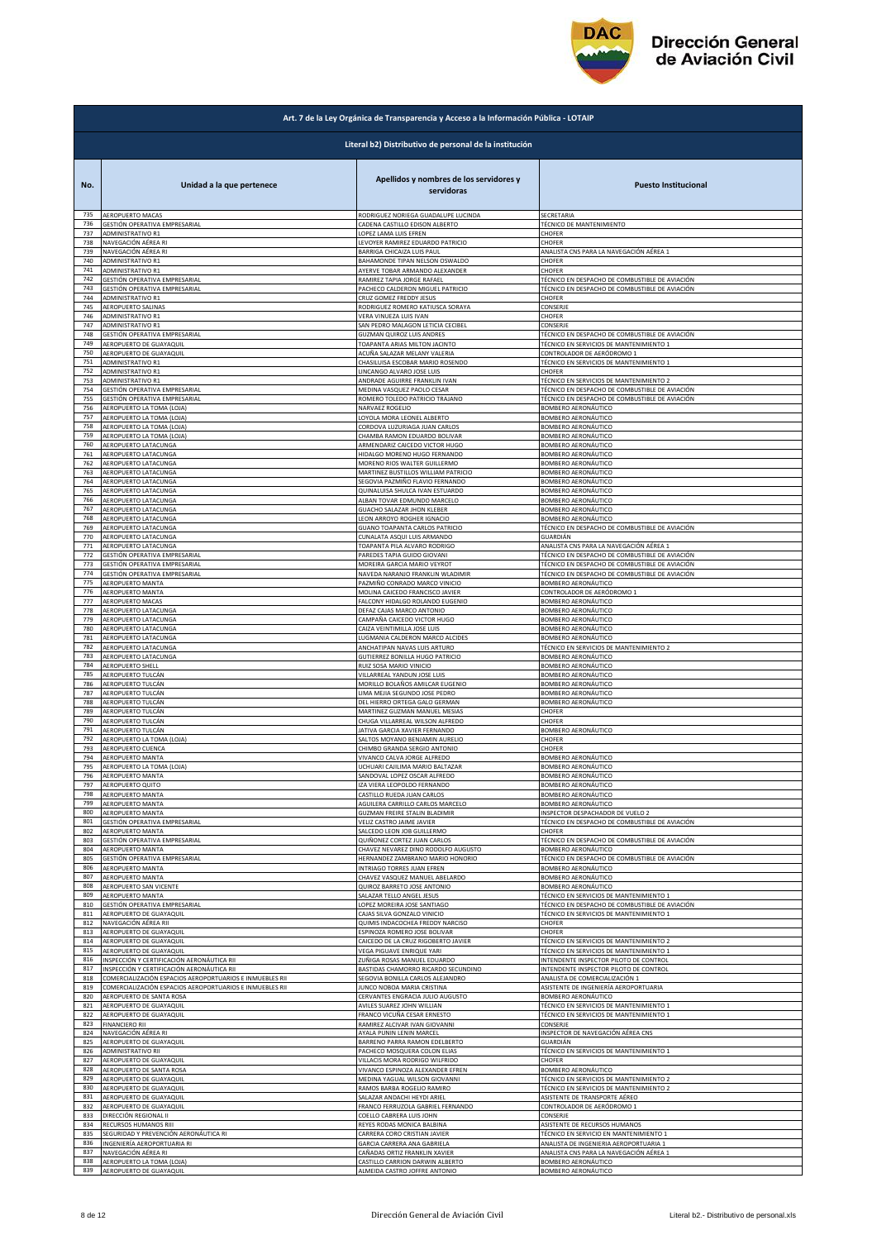

|            | Art. 7 de la Ley Orgánica de Transparencia y Acceso a la Información Pública - LOTAIP |                                                          |                                                                                           |  |
|------------|---------------------------------------------------------------------------------------|----------------------------------------------------------|-------------------------------------------------------------------------------------------|--|
|            | Literal b2) Distributivo de personal de la institución                                |                                                          |                                                                                           |  |
| No.        | Unidad a la que pertenece                                                             | Apellidos y nombres de los servidores y<br>servidoras    | <b>Puesto Institucional</b>                                                               |  |
| 735        | AEROPUERTO MACAS                                                                      | RODRIGUEZ NORIEGA GUADALUPE LUCINDA                      | SECRETARIA                                                                                |  |
| 736        | GESTIÓN OPERATIVA EMPRESARIAL                                                         | CADENA CASTILLO EDISON ALBERTO                           | <b>FÉCNICO DE MANTENIMIENTO</b>                                                           |  |
| 737        | ADMINISTRATIVO R1                                                                     | LOPEZ LAMA LUIS EFREN                                    | CHOFER                                                                                    |  |
| 738        | NAVEGACIÓN AÉREA RI                                                                   | LEVOYER RAMIREZ EDUARDO PATRICIO                         | CHOFER                                                                                    |  |
| 739        | NAVEGACIÓN AÉREA RI                                                                   | <b>BARRIGA CHICAIZA LUIS PAUL</b>                        | ANALISTA CNS PARA LA NAVEGACIÓN AÉREA 1                                                   |  |
| 740        | ADMINISTRATIVO R1                                                                     | BAHAMONDE TIPAN NELSON OSWALDO                           | CHOFER                                                                                    |  |
| 741        | ADMINISTRATIVO R1                                                                     | AYERVE TOBAR ARMANDO ALEXANDER                           | CHOFER                                                                                    |  |
| 742        | GESTIÓN OPERATIVA EMPRESARIAL                                                         | RAMIREZ TAPIA JORGE RAFAEL                               | TÉCNICO EN DESPACHO DE COMBUSTIBLE DE AVIACIÓN                                            |  |
| 743        | GESTIÓN OPERATIVA EMPRESARIAL                                                         | PACHECO CALDERON MIGUEL PATRICIO                         | TÉCNICO EN DESPACHO DE COMBUSTIBLE DE AVIACIÓN                                            |  |
| 744        | ADMINISTRATIVO R1                                                                     | CRUZ GOMEZ FREDDY JESUS                                  | CHOFER                                                                                    |  |
| 745        | AEROPUERTO SALINAS                                                                    | RODRIGUEZ ROMERO KATIUSCA SORAYA                         | CONSERJE                                                                                  |  |
| 746        | ADMINISTRATIVO R1                                                                     | VERA VINUEZA LUIS IVAN                                   | CHOFER                                                                                    |  |
| 747        | <b>ADMINISTRATIVO R1</b>                                                              | SAN PEDRO MALAGON LETICIA CECIBEL                        | CONSERJE                                                                                  |  |
| 748        | GESTIÓN OPERATIVA EMPRESARIAL                                                         | <b>GUZMAN QUIROZ LUIS ANDRES</b>                         | TÉCNICO EN DESPACHO DE COMBUSTIBLE DE AVIACIÓN                                            |  |
| 749        | AEROPUERTO DE GUAYAQUIL                                                               | TOAPANTA ARIAS MILTON JACINTO                            | TÉCNICO EN SERVICIOS DE MANTENIMIENTO 1                                                   |  |
| 750        | AEROPUERTO DE GUAYAQUIL                                                               | ACUÑA SALAZAR MELANY VALERIA                             | CONTROLADOR DE AERÓDROMO 1                                                                |  |
| 751        | ADMINISTRATIVO R1                                                                     | CHASILUISA ESCOBAR MARIO ROSENDO                         | TÉCNICO EN SERVICIOS DE MANTENIMIENTO 1                                                   |  |
| 752        | ADMINISTRATIVO R1                                                                     | LINCANGO ALVARO JOSE LUIS                                | <b>HOFER</b>                                                                              |  |
| 753        | ADMINISTRATIVO R1                                                                     | ANDRADE AGUIRRE FRANKLIN IVAN                            | TÉCNICO EN SERVICIOS DE MANTENIMIENTO 2                                                   |  |
| 754        | GESTIÓN OPERATIVA EMPRESARIAL                                                         | MEDINA VASQUEZ PAOLO CESAR                               | FÉCNICO EN DESPACHO DE COMBUSTIBLE DE AVIACIÓN                                            |  |
| 755        | GESTIÓN OPERATIVA EMPRESARIAL                                                         | ROMERO TOLEDO PATRICIO TRAJANO                           | TÉCNICO EN DESPACHO DE COMBUSTIBLE DE AVIACIÓN                                            |  |
| 756        | AEROPUERTO LA TOMA (LOJA)                                                             | NARVAEZ ROGELIO                                          | BOMBERO AERONÁUTICO                                                                       |  |
| 757        | AEROPUERTO LA TOMA (LOJA)                                                             | LOYOLA MORA LEONEL ALBERTO                               | BOMBERO AERONÁUTICO                                                                       |  |
| 758        | AEROPUERTO LA TOMA (LOJA)                                                             | CORDOVA LUZURIAGA JUAN CARLOS                            | BOMBERO AERONÁUTICO                                                                       |  |
| 759        | AEROPUERTO LA TOMA (LOJA)                                                             | CHAMBA RAMON EDUARDO BOLIVAR                             | BOMBERO AERONÁUTICO                                                                       |  |
| 760<br>761 | AEROPUERTO LATACUNGA                                                                  | ARMENDARIZ CAICEDO VICTOR HUGO                           | <b>BOMBERO AERONÁUTICO</b>                                                                |  |
| 762        | AEROPUERTO LATACUNGA                                                                  | HIDALGO MORENO HUGO FERNANDO                             | BOMBERO AERONÁUTICO                                                                       |  |
|            | AEROPUERTO LATACUNGA                                                                  | MORENO RIOS WALTER GUILLERMO                             | BOMBERO AERONÁUTICO                                                                       |  |
| 763        | AEROPUERTO LATACUNGA                                                                  | MARTINEZ BUSTILLOS WILLIAM PATRICIO                      | BOMBERO AERONÁUTICO                                                                       |  |
| 764        | AEROPUERTO LATACUNGA                                                                  | SEGOVIA PAZMIÑO FLAVIO FERNANDO                          | BOMBERO AERONÁUTICO                                                                       |  |
| 765        | AEROPUERTO LATACUNGA                                                                  | QUINALUISA SHULCA IVAN ESTUARDO                          | BOMBERO AERONÁUTICO                                                                       |  |
| 766        | AEROPUERTO LATACUNGA                                                                  | ALBAN TOVAR EDMUNDO MARCELO                              | BOMBERO AERONÁUTICO                                                                       |  |
| 767        | AEROPUERTO LATACUNGA                                                                  | GUACHO SALAZAR JHON KLEBER<br>LEON ARROYO ROGHER IGNACIO | BOMBERO AERONÁUTICO                                                                       |  |
| 768        | AEROPUERTO LATACUNGA                                                                  | GUANO TOAPANTA CARLOS PATRICIO                           | BOMBERO AERONÁUTICO                                                                       |  |
| 769        | AEROPUERTO LATACUNGA                                                                  |                                                          | TÉCNICO EN DESPACHO DE COMBUSTIBLE DE AVIACIÓN                                            |  |
| 770        | AEROPUERTO LATACUNGA                                                                  | CUNALATA ASQUI LUIS ARMANDO                              | GUARDIÁN                                                                                  |  |
| 771        | AEROPUERTO LATACUNGA                                                                  | TOAPANTA PILA ALVARO RODRIGO                             | ANALISTA CNS PARA LA NAVEGACIÓN AÉREA 1                                                   |  |
| 772        | GESTIÓN OPERATIVA EMPRESARIAL                                                         | PAREDES TAPIA GUIDO GIOVANI                              | TÉCNICO EN DESPACHO DE COMBUSTIBLE DE AVIACIÓN                                            |  |
| 773        | GESTIÓN OPERATIVA EMPRESARIAI                                                         | MOREIRA GARCIA MARIO VEYROT                              | TÉCNICO EN DESPACHO DE COMBUSTIBLE DE AVIACIÓN                                            |  |
| 774<br>775 | GESTIÓN OPERATIVA EMPRESARIAL                                                         | NAVEDA NARANJO FRANKLIN WLADIMIR                         | TÉCNICO EN DESPACHO DE COMBUSTIBLE DE AVIACIÓN                                            |  |
| 776        | <b>AEROPUERTO MANTA</b>                                                               | PAZMIÑO CONRADO MARCO VINICIO                            | BOMBERO AERONÁUTICO                                                                       |  |
|            | AEROPUERTO MANTA                                                                      | MOLINA CAICEDO FRANCISCO JAVIER                          | CONTROLADOR DE AERÓDROMO 1                                                                |  |
| 777        | AEROPUERTO MACAS                                                                      | FALCONY HIDALGO ROLANDO EUGENIO                          | BOMBERO AERONÁUTICO                                                                       |  |
| 778        | AEROPUERTO LATACUNGA                                                                  | DEFAZ CAJAS MARCO ANTONIO                                | <b>SOMBERO AERONÁUTICO</b>                                                                |  |
| 779        | AEROPUERTO LATACUNGA                                                                  | CAMPAÑA CAICEDO VICTOR HUGO                              | BOMBERO AERONÁUTICO                                                                       |  |
| 780        | AEROPUERTO LATACUNGA                                                                  | CAIZA VEINTIMILLA JOSE LUIS                              | BOMBERO AERONÁUTICO                                                                       |  |
| 781        | AEROPUERTO LATACUNGA                                                                  | LUGMANIA CALDERON MARCO ALCIDES                          | BOMBERO AERONÁUTICO                                                                       |  |
| 782        | AEROPUERTO LATACUNGA                                                                  | ANCHATIPAN NAVAS LUIS ARTURO                             | TÉCNICO EN SERVICIOS DE MANTENIMIENTO 2                                                   |  |
| 783        | AEROPUERTO LATACUNGA                                                                  | GUTIERREZ BONILLA HUGO PATRICIO                          | BOMBERO AERONÁUTICO                                                                       |  |
| 784        | <b>AEROPUERTO SHELL</b>                                                               | RUIZ SOSA MARIO VINICIO                                  | BOMBERO AERONÁUTICO                                                                       |  |
| 785        | AEROPUERTO TULCÁN                                                                     | VILLARREAL YANDUN JOSE LUIS                              | BOMBERO AERONÁUTICO                                                                       |  |
| 786        | AEROPUERTO TULCÁN                                                                     | MORILLO BOLAÑOS AMILCAR EUGENIO                          | BOMBERO AERONÁUTICO                                                                       |  |
| 787        | AEROPUERTO TULCÁN                                                                     | LIMA MEJIA SEGUNDO JOSE PEDRO                            | BOMBERO AERONÁUTICO                                                                       |  |
| 788        | AEROPUERTO TULCÁN                                                                     | DEL HIERRO ORTEGA GALO GERMAN                            | BOMBERO AERONÁUTICO                                                                       |  |
| 789        | AEROPUERTO TULCÁN                                                                     | MARTINEZ GUZMAN MANUEL MESIAS                            | CHOFER                                                                                    |  |
| 790        | AEROPUERTO TULCÁN                                                                     | CHUGA VILLARREAL WILSON ALFREDO                          | <b>CHOFER</b>                                                                             |  |
| 791        | AEROPUERTO TULCÁN                                                                     | JATIVA GARCIA XAVIER FERNANDO                            | BOMBERO AERONÁUTICO                                                                       |  |
| 792        | AEROPUERTO LA TOMA (LOJA)                                                             | SALTOS MOYANO BENJAMIN AURELIO                           | CHOFER                                                                                    |  |
| 793        | AEROPUERTO CUENCA                                                                     | CHIMBO GRANDA SERGIO ANTONIO                             | CHOFER                                                                                    |  |
| 794        | AEROPUERTO MANTA                                                                      | VIVANCO CALVA JORGE ALFREDO                              | BOMBERO AERONÁUTICO                                                                       |  |
| 795        | AEROPUERTO LA TOMA (LOJA)                                                             | UCHUARI CAJILIMA MARIO BALTAZAR                          | BOMBERO AERONÁUTICO                                                                       |  |
| 796        | AEROPUERTO MANTA                                                                      | SANDOVAL LOPEZ OSCAR ALFREDO                             | BOMBERO AERONÁUTICO                                                                       |  |
| 797        | AEROPUERTO QUITO                                                                      | IZA VIERA LEOPOLDO FERNANDO                              | BOMBERO AERONÁUTICO                                                                       |  |
| 798        | <b>AEROPUERTO MANTA</b>                                                               | CASTILLO RUEDA JUAN CARLOS                               | BOMBERO AFRONÁUTICO                                                                       |  |
| 799        | AEROPUERTO MANTA                                                                      | AGUILERA CARRILLO CARLOS MARCELO                         | BOMBERO AERONÁUTICO                                                                       |  |
| 800        | AEROPUERTO MANTA                                                                      | <b>GUZMAN FREIRE STALIN BLADIMIR</b>                     | <b>NSPECTOR DESPACHADOR DE VUELO 2</b>                                                    |  |
| 801        | GESTIÓN OPERATIVA EMPRESARIAL                                                         | VELIZ CASTRO JAIME JAVIER                                | TÉCNICO EN DESPACHO DE COMBUSTIBLE DE AVIACIÓN                                            |  |
| 802        | AEROPUERTO MANTA                                                                      | SALCEDO LEON JOB GUILLERMO                               | CHOFER                                                                                    |  |
| 803        | GESTIÓN OPERATIVA EMPRESARIAL                                                         | QUIÑONEZ CORTEZ JUAN CARLOS                              | TÉCNICO EN DESPACHO DE COMBUSTIBLE DE AVIACIÓN                                            |  |
| 804        | AEROPUERTO MANTA                                                                      | CHAVEZ NEVAREZ DINO RODOLFO AUGUSTO                      | BOMBERO AERONÁUTICO                                                                       |  |
| 805        | GESTIÓN OPERATIVA EMPRESARIAL                                                         | HERNANDEZ ZAMBRANO MARIO HONORIO                         | TÉCNICO EN DESPACHO DE COMBUSTIBLE DE AVIACIÓN                                            |  |
| 806        | AEROPUERTO MANTA                                                                      | INTRIAGO TORRES JUAN EFREN                               | BOMBERO AERONÁUTICO                                                                       |  |
| 807        | AEROPUERTO MANTA                                                                      | CHAVEZ VASQUEZ MANUEL ABELARDO                           | BOMBERO AERONÁUTICO                                                                       |  |
| 808<br>809 | AEROPUERTO SAN VICENTE                                                                | QUIROZ BARRETO JOSE ANTONIO<br>SALAZAR TELLO ANGEL JESUS | BOMBERO AERONÁUTICO                                                                       |  |
| 810        | AEROPUERTO MANTA<br>GESTIÓN OPERATIVA EMPRESARIAL                                     | LOPEZ MOREIRA JOSE SANTIAGO                              | TÉCNICO EN SERVICIOS DE MANTENIMIENTO 1<br>TÉCNICO EN DESPACHO DE COMBUSTIBLE DE AVIACIÓN |  |
| 811        | AEROPUERTO DE GUAYAQUIL                                                               | CAJAS SILVA GONZALO VINICIO                              | TÉCNICO EN SERVICIOS DE MANTENIMIENTO 1                                                   |  |
| 812        | NAVEGACIÓN AÉREA RII                                                                  | QUIMIS INDACOCHEA FREDDY NARCISO                         | CHOFER                                                                                    |  |
| 813        | AEROPUERTO DE GUAYAQUIL                                                               | ESPINOZA ROMERO JOSE BOLIVAR                             | CHOFER                                                                                    |  |
| 814        | AEROPUERTO DE GUAYAQUIL                                                               | CAICEDO DE LA CRUZ RIGOBERTO JAVIER                      | TÉCNICO EN SERVICIOS DE MANTENIMIENTO 2                                                   |  |
| 815        | AEROPUERTO DE GUAYAQUIL                                                               | VEGA PIGUAVE ENRIQUE YARI                                | TÉCNICO EN SERVICIOS DE MANTENIMIENTO 1                                                   |  |
| 816        | NSPECCIÓN Y CERTIFICACIÓN AERONÁUTICA RII                                             | ZUÑIGA ROSAS MANUEL EDUARDO                              | NTENDENTE INSPECTOR PILOTO DE CONTROL                                                     |  |
| 817        | NSPECCIÓN Y CERTIFICACIÓN AERONÁUTICA RII                                             | BASTIDAS CHAMORRO RICARDO SECUNDINO                      | <b>INTENDENTE INSPECTOR PILOTO DE CONTROL</b>                                             |  |
| 818        | COMERCIALIZACIÓN ESPACIOS AEROPORTUARIOS E INMUEBLES RII                              | SEGOVIA BONILLA CARLOS ALEJANDRO                         | ANALISTA DE COMERCIALIZACIÓN 1                                                            |  |
| 819        | COMERCIALIZACIÓN ESPACIOS AEROPORTUARIOS E INMUEBLES RII                              | JUNCO NOBOA MARIA CRISTINA                               | ASISTENTE DE INGENIERÍA AEROPORTUARIA                                                     |  |
| 820        | AEROPUERTO DE SANTA ROSA                                                              | CERVANTES ENGRACIA JULIO AUGUSTO                         | BOMBERO AERONÁUTICO                                                                       |  |
| 821        | AEROPUERTO DE GUAYAQUIL                                                               | AVILES SUAREZ JOHN WILLIAN                               | TÉCNICO EN SERVICIOS DE MANTENIMIENTO 1                                                   |  |
| 822        | AEROPUERTO DE GUAYAQUIL                                                               | FRANCO VICUÑA CESAR ERNESTO                              | TÉCNICO EN SERVICIOS DE MANTENIMIENTO 1                                                   |  |
| 823        | <b>FINANCIERO RII</b>                                                                 | RAMIREZ ALCIVAR IVAN GIOVANNI                            | <b>CONSERJE</b>                                                                           |  |
| 824        | NAVEGACIÓN AÉREA RI                                                                   | AYALA PUNIN LENIN MARCEL                                 | INSPECTOR DE NAVEGACIÓN AÉREA CNS                                                         |  |
| 825        | AEROPUERTO DE GUAYAQUIL                                                               | BARRENO PARRA RAMON EDELBERTO                            | GUARDIÁN                                                                                  |  |
| 826        | ADMINISTRATIVO RII                                                                    | PACHECO MOSQUERA COLON ELIAS                             | TÉCNICO EN SERVICIOS DE MANTENIMIENTO 1                                                   |  |
| 827        | AEROPUERTO DE GUAYAQUIL                                                               | VILLACIS MORA RODRIGO WILFRIDO                           | CHOFER                                                                                    |  |
| 828        | AEROPUERTO DE SANTA ROSA                                                              | VIVANCO ESPINOZA ALEXANDER EFREN                         | <b>3OMBERO AERONÁUTICO</b>                                                                |  |
| 829        | AEROPUERTO DE GUAYAQUIL                                                               | MEDINA YAGUAL WILSON GIOVANNI                            | <b>FÉCNICO EN SERVICIOS DE MANTENIMIENTO 2</b>                                            |  |
| 830        | AEROPUERTO DE GUAYAQUIL                                                               | RAMOS BARBA ROGELIO RAMIRO                               | TÉCNICO EN SERVICIOS DE MANTENIMIENTO 2                                                   |  |
| 831        | AEROPUERTO DE GUAYAQUIL                                                               | SALAZAR ANDACHI HEYDI ARIEL                              | ASISTENTE DE TRANSPORTE AÉREO                                                             |  |
| 832        | AEROPUERTO DE GUAYAQUIL                                                               | FRANCO FERRUZOLA GABRIEL FERNANDO                        | CONTROLADOR DE AERÓDROMO 1                                                                |  |
| 833        | DIRECCIÓN REGIONAL II                                                                 | COELLO CABRERA LUIS JOHN                                 | CONSERJE                                                                                  |  |
| 834        | RECURSOS HUMANOS RIII                                                                 | REYES RODAS MONICA BALBINA                               | ASISTENTE DE RECURSOS HUMANOS                                                             |  |
| 835        | SEGURIDAD Y PREVENCIÓN AERONÁUTICA RI                                                 | CARRERA CORO CRISTIAN JAVIER                             | TÉCNICO EN SERVICIO EN MANTENIMIENTO 1                                                    |  |
| 836        | INGENIERÍA AEROPORTUARIA RI                                                           | GARCIA CARRERA ANA GABRIELA                              | ANALISTA DE INGENIERIA AEROPORTUARIA 1                                                    |  |
| 837        | NAVEGACIÓN AÉREA RI                                                                   | CAÑADAS ORTIZ FRANKLIN XAVIER                            | ANALISTA CNS PARA LA NAVEGACIÓN AÉREA 1                                                   |  |
| 838        | AEROPUERTO LA TOMA (LOJA)                                                             | CASTILLO CARRION DARWIN ALBERTO                          | BOMBERO AERONÁUTICO                                                                       |  |
| 839        | AEROPUERTO DE GUAYAQUIL                                                               | ALMEIDA CASTRO JOFFRE ANTONIO                            | BOMBERO AERONÁUTICO                                                                       |  |
|            |                                                                                       |                                                          |                                                                                           |  |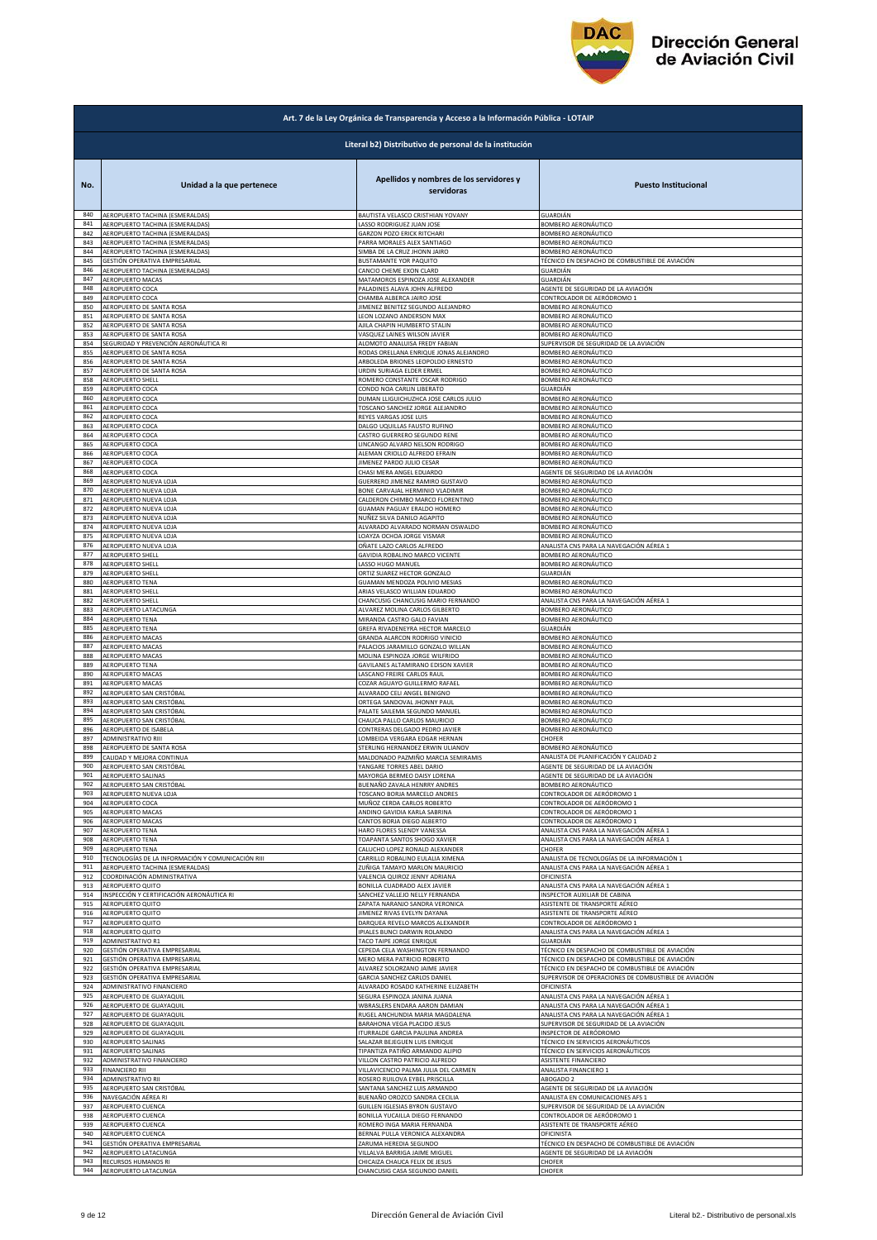

|            | Art. 7 de la Ley Orgánica de Transparencia y Acceso a la Información Pública - LOTAIP |                                                                  |                                                                       |  |
|------------|---------------------------------------------------------------------------------------|------------------------------------------------------------------|-----------------------------------------------------------------------|--|
|            | Literal b2) Distributivo de personal de la institución                                |                                                                  |                                                                       |  |
| No.        | Unidad a la que pertenece                                                             | Apellidos y nombres de los servidores y<br>servidoras            | <b>Puesto Institucional</b>                                           |  |
| 840        | AEROPUERTO TACHINA (ESMERALDAS)                                                       | BAUTISTA VELASCO CRISTHIAN YOVANY                                | GUARDIÁN                                                              |  |
| 841        | AEROPUERTO TACHINA (ESMERALDAS)                                                       | LASSO RODRIGUEZ JUAN JOSE                                        | BOMBERO AERONÁUTICO                                                   |  |
| 842        | AEROPUERTO TACHINA (ESMERALDAS)                                                       | GARZON POZO ERICK RITCHARI                                       | BOMBERO AERONÁUTICO                                                   |  |
| 843        | AEROPUERTO TACHINA (ESMERALDAS)                                                       | PARRA MORALES ALEX SANTIAGO                                      | BOMBERO AERONÁUTICO                                                   |  |
| 844        | AEROPUERTO TACHINA (ESMERALDAS)<br>GESTIÓN OPERATIVA EMPRESARIAL                      | SIMBA DE LA CRUZ JHONN JAIRO                                     | BOMBERO AERONÁUTICO                                                   |  |
| 845        | AEROPUERTO TACHINA (ESMERALDAS)                                                       | BUSTAMANTE YOR PAQUITO                                           | TÉCNICO EN DESPACHO DE COMBUSTIBLE DE AVIACIÓN                        |  |
| 846        |                                                                                       | CANCIO CHEME EXON CLARD                                          | GUARDIÁN                                                              |  |
| 847        | AEROPUERTO MACAS                                                                      | MATAMOROS ESPINOZA JOSE ALEXANDER                                | GUARDIÁN                                                              |  |
| 848        | AEROPUERTO COCA                                                                       | PALADINES ALAVA JOHN ALFREDO                                     | AGENTE DE SEGURIDAD DE LA AVIACIÓN                                    |  |
| 849        | AEROPUERTO COCA                                                                       | CHAMBA ALBERCA JAIRO JOSE                                        | CONTROLADOR DE AERÓDROMO 1                                            |  |
| 850        | AEROPUERTO DE SANTA ROSA                                                              | JIMENEZ BENITEZ SEGUNDO ALEJANDRO                                | BOMBERO AERONÁUTICO                                                   |  |
| 851        | AEROPUERTO DE SANTA ROSA                                                              | LEON LOZANO ANDERSON MAX                                         | BOMBERO AERONÁUTICO                                                   |  |
| 852        | AEROPUERTO DE SANTA ROSA                                                              | AJILA CHAPIN HUMBERTO STALIN                                     | BOMBERO AERONÁUTICO                                                   |  |
| 853        | AEROPUERTO DE SANTA ROSA                                                              | VASQUEZ LAINES WILSON JAVIER                                     | BOMBERO AERONÁUTICO                                                   |  |
| 854        | SEGURIDAD Y PREVENCIÓN AERONÁUTICA RI                                                 | ALOMOTO ANALUISA FREDY FABIAN                                    | SUPERVISOR DE SEGURIDAD DE LA AVIACIÓN                                |  |
| 855        | AEROPUERTO DE SANTA ROSA                                                              | RODAS ORELLANA ENRIQUE JONAS ALEJANDRO                           | BOMBERO AERONÁUTICO                                                   |  |
| 856        | AEROPUERTO DE SANTA ROSA                                                              | ARBOLEDA BRIONES LEOPOLDO ERNESTO                                | BOMBERO AERONÁUTICO                                                   |  |
| 857        | AEROPUERTO DE SANTA ROSA                                                              | URDIN SURIAGA ELDER ERMEL                                        | BOMBERO AERONÁUTICO                                                   |  |
| 858        | AEROPUERTO SHELL                                                                      | ROMERO CONSTANTE OSCAR RODRIGO                                   | BOMBERO AERONÁUTICO                                                   |  |
| 859        | AEROPUERTO COCA                                                                       | CONDO NOA CARLIN LIBERATO                                        | GUARDIÁN                                                              |  |
| 860        | AEROPUERTO COCA                                                                       | DUMAN LLIGUICHUZHCA JOSE CARLOS JULIO                            | BOMBERO AERONÁUTICO                                                   |  |
| 861        | AEROPUERTO COCA                                                                       | TOSCANO SANCHEZ JORGE ALEJANDRO                                  | BOMBERO AERONÁUTICO                                                   |  |
| 862        | AEROPUERTO COCA                                                                       | REYES VARGAS JOSE LUIS                                           | BOMBERO AERONÁUTICO                                                   |  |
| 863        | AEROPUERTO COCA                                                                       | DALGO UQUILLAS FAUSTO RUFINO                                     | BOMBERO AERONÁUTICO                                                   |  |
| 864        | AEROPUERTO COCA                                                                       | CASTRO GUERRERO SEGUNDO RENE                                     | BOMBERO AERONÁUTICO                                                   |  |
| 865        |                                                                                       | LINCANGO ALVARO NELSON RODRIGO                                   | BOMBERO AERONÁUTICO                                                   |  |
| 866        | AEROPUERTO COCA<br>AEROPUERTO COCA                                                    | ALEMAN CRIOLLO ALFREDO EFRAIN                                    | BOMBERO AERONÁUTICO                                                   |  |
| 867        | AEROPUERTO COCA                                                                       | <b>IIMENEZ PARDO JULIO CESAR</b>                                 | BOMBERO AERONÁUTICO                                                   |  |
| 868        | AEROPUERTO COCA                                                                       | CHASI MERA ANGEL EDUARDO                                         | AGENTE DE SEGURIDAD DE LA AVIACIÓN                                    |  |
| 869        | AEROPUERTO NUEVA LOJA                                                                 | GUERRERO JIMENEZ RAMIRO GUSTAVO                                  | BOMBERO AERONÁUTICO                                                   |  |
| 870        | AEROPUERTO NUEVA LOJA                                                                 | BONE CARVAJAL HERMINIO VLADIMIR                                  | BOMBERO AERONÁUTICO                                                   |  |
| 871        | AEROPUERTO NUEVA LOJA                                                                 | CALDERON CHIMBO MARCO FLORENTINO                                 | BOMBERO AERONÁUTICO                                                   |  |
| 872        | AEROPUERTO NUEVA LOJA                                                                 | GUAMAN PAGUAY ERALDO HOMERO                                      | BOMBERO AERONÁUTICO                                                   |  |
| 873        | AEROPUERTO NUEVA LOJA                                                                 | NUÑEZ SILVA DANILO AGAPITO                                       | BOMBERO AERONÁUTICO                                                   |  |
| 874        | AEROPUERTO NUEVA LOJA                                                                 | ALVARADO ALVARADO NORMAN OSWALDO                                 | BOMBERO AERONÁUTICO                                                   |  |
| 875        | AEROPUERTO NUEVA LOJA                                                                 | LOAYZA OCHOA JORGE VISMAR                                        | BOMBERO AERONÁUTICO                                                   |  |
| 876        | AEROPUERTO NUEVA LOJA                                                                 | OÑATE LAZO CARLOS ALFREDO                                        | ANALISTA CNS PARA LA NAVEGACIÓN AÉREA 1                               |  |
| 877        | <b>AEROPUERTO SHELL</b>                                                               | GAVIDIA ROBALINO MARCO VICENTE                                   | BOMBERO AERONÁUTICO                                                   |  |
| 878        | <b>AEROPUERTO SHELL</b>                                                               | LASSO HUGO MANUEI                                                | BOMBERO AERONÁUTICO                                                   |  |
| 879        | AEROPUERTO SHELL                                                                      | ORTIZ SUAREZ HECTOR GONZALO                                      | GUARDIÁN                                                              |  |
| 880        | AEROPUERTO TENA                                                                       | GUAMAN MENDOZA POLIVIO MESIAS                                    | BOMBERO AERONÁUTICO                                                   |  |
| 881        | <b>AEROPUERTO SHELL</b>                                                               | ARIAS VELASCO WILLIAN EDUARDO                                    | BOMBERO AERONÁUTICO                                                   |  |
| 882        | <b>AEROPUERTO SHELL</b>                                                               | CHANCUSIG CHANCUSIG MARIO FERNANDO                               | ANALISTA CNS PARA LA NAVEGACIÓN AÉREA 1                               |  |
| 883        | AEROPUERTO LATACUNGA                                                                  | ALVAREZ MOLINA CARLOS GILBERTO                                   | BOMBERO AERONÁUTICO                                                   |  |
| 884        | AEROPUERTO TENA                                                                       | MIRANDA CASTRO GALO FAVIAN                                       | BOMBERO AERONÁUTICO                                                   |  |
| 885        | AEROPUERTO TENA                                                                       | GREFA RIVADENEYRA HECTOR MARCELO                                 | GUARDIÁN                                                              |  |
| 886        | AEROPUERTO MACAS                                                                      | GRANDA ALARCON RODRIGO VINICIO                                   | BOMBERO AERONÁUTICO                                                   |  |
| 887        | AEROPUERTO MACAS                                                                      | PALACIOS JARAMILLO GONZALO WILLAN                                | BOMBERO AERONÁUTICO                                                   |  |
| 888        | AEROPUERTO MACAS                                                                      | MOLINA ESPINOZA JORGE WILFRIDO                                   | BOMBERO AERONÁUTICO                                                   |  |
| 889        | AEROPUERTO TENA                                                                       | GAVILANES ALTAMIRANO EDISON XAVIER                               | BOMBERO AERONÁUTICO                                                   |  |
| 890        | AEROPUERTO MACAS                                                                      | LASCANO FREIRE CARLOS RAUL                                       | BOMBERO AERONÁUTICO                                                   |  |
| 891        | AEROPUERTO MACAS                                                                      | COZAR AGUAYO GUILLERMO RAFAEL                                    | BOMBERO AERONÁUTICO                                                   |  |
| 892        | AEROPUERTO SAN CRISTÓBAL                                                              | ALVARADO CELI ANGEL BENIGNO                                      | BOMBERO AERONÁUTICO                                                   |  |
| 893        | AEROPUERTO SAN CRISTÓBAL                                                              | ORTEGA SANDOVAL JHONNY PAUL                                      | BOMBERO AERONÁUTICO                                                   |  |
| 894        | AEROPUERTO SAN CRISTÓBAL                                                              | PALATE SAILEMA SEGUNDO MANUEL                                    | BOMBERO AERONÁUTICO                                                   |  |
| 895        | AEROPUERTO SAN CRISTÓBAL                                                              | CHAUCA PALLO CARLOS MAURICIO                                     | <b>BOMBERO AERONÁUTICO</b>                                            |  |
| 896        | AEROPUERTO DE ISABELA                                                                 | CONTRERAS DELGADO PEDRO JAVIER                                   | BOMBERO AERONÁUTICO                                                   |  |
| 897        | ADMINISTRATIVO RIII                                                                   | LOMBEIDA VERGARA EDGAR HERNAN                                    | CHOFER                                                                |  |
| 898        | AEROPUERTO DE SANTA ROSA                                                              | STERLING HERNANDEZ ERWIN ULIANOV                                 | BOMBERO AERONÁUTICO                                                   |  |
| 899        | CALIDAD Y MEJORA CONTINUA                                                             | MALDONADO PAZMIÑO MARCIA SEMIRAMIS                               | ANALISTA DE PLANIFICACIÓN Y CALIDAD 2                                 |  |
| 900        | AEROPUERTO SAN CRISTÓBAL                                                              | YANGARE TORRES ABEL DARIO                                        | AGENTE DE SEGURIDAD DE LA AVIACIÓN                                    |  |
| 901        | <b>AEROPUERTO SALINAS</b>                                                             | MAYORGA BERMEO DAISY LORENA                                      | AGENTE DE SEGURIDAD DE LA AVIACIÓN                                    |  |
| 902        | AEROPUERTO SAN CRISTÓBAL                                                              | BUENAÑO ZAVALA HENRRY ANDRES                                     | BOMBERO AERONÁUTICO                                                   |  |
| 903        | AEROPUERTO NUEVA LOJA                                                                 | TOSCANO BORJA MARCELO ANDRES                                     | CONTROLADOR DE AERÓDROMO 1                                            |  |
| 904        | AEROPUERTO COCA                                                                       | MUÑOZ CERDA CARLOS ROBERTO                                       | CONTROLADOR DE AERÓDROMO 1                                            |  |
| 905        | AEROPUERTO MACAS                                                                      | ANDINO GAVIDIA KARLA SABRINA                                     | CONTROLADOR DE AERÓDROMO 1                                            |  |
| 906        | AEROPUERTO MACAS                                                                      | CANTOS BORJA DIEGO ALBERTO                                       | CONTROLADOR DE AERÓDROMO 1                                            |  |
| 907        | AEROPUERTO TENA                                                                       | HARO FLORES SLENDY VANESSA                                       | ANALISTA CNS PARA LA NAVEGACIÓN AÉREA 1                               |  |
| 908        | <b>AEROPUERTO TENA</b>                                                                | <b>TOAPANTA SANTOS SHOGO XAVIER</b>                              | ANALISTA CNS PARA LA NAVEGACIÓN AÉREA 1                               |  |
| 909        | AEROPUERTO TENA                                                                       | CALUCHO LOPEZ RONALD ALEXANDER                                   | CHOFER                                                                |  |
| 910        | TECNOLOGÍAS DE LA INFORMACIÓN Y COMUNICACIÓN RIII                                     | CARRILLO ROBALINO EULALIA XIMENA                                 | ANALISTA DE TECNOLOGÍAS DE LA INFORMACIÓN 1                           |  |
| 911        | AEROPUERTO TACHINA (ESMERALDAS)                                                       | ZUÑIGA TAMAYO MARLON MAURICIO                                    | ANALISTA CNS PARA LA NAVEGACIÓN AÉREA 1                               |  |
| 912        | COORDINACIÓN ADMINISTRATIVA                                                           | VALENCIA QUIROZ JENNY ADRIANA                                    | OFICINISTA                                                            |  |
| 913        | AEROPUERTO QUITO                                                                      | BONILLA CUADRADO ALEX JAVIER                                     | ANALISTA CNS PARA LA NAVEGACIÓN AÉREA 1                               |  |
| 914        | INSPECCIÓN Y CERTIFICACIÓN AERONÁUTICA RI                                             | SANCHEZ VALLEJO NELLY FERNANDA                                   | INSPECTOR AUXILIAR DE CABINA                                          |  |
| 915        | AEROPUERTO QUITO                                                                      | ZAPATA NARANJO SANDRA VERONICA                                   | ASISTENTE DE TRANSPORTE AÉREO                                         |  |
| 916<br>917 | AEROPUERTO QUITO                                                                      | JIMENEZ RIVAS EVELYN DAYANA<br>DARQUEA REVELO MARCOS ALEXANDER   | ASISTENTE DE TRANSPORTE AÉREO                                         |  |
| 918        | AEROPUERTO QUITO<br>AEROPUERTO QUITO                                                  | IPIALES BUNCI DARWIN ROLANDO                                     | CONTROLADOR DE AERÓDROMO 1<br>ANALISTA CNS PARA LA NAVEGACIÓN AÉREA 1 |  |
| 919        | <b>ADMINISTRATIVO R1</b>                                                              | TACO TAIPE JORGE ENRIQUE                                         | GUARDIÁN                                                              |  |
| 920        | GESTIÓN OPERATIVA EMPRESARIAL                                                         | CEPEDA CELA WASHINGTON FERNANDO                                  | TÉCNICO EN DESPACHO DE COMBUSTIBLE DE AVIACIÓN                        |  |
| 921        | GESTIÓN OPERATIVA EMPRESARIAL                                                         | MERO MERA PATRICIO ROBERTO                                       | TÉCNICO EN DESPACHO DE COMBUSTIBLE DE AVIACIÓN                        |  |
| 922        | GESTIÓN OPERATIVA EMPRESARIAL                                                         | ALVAREZ SOLORZANO JAIME JAVIER                                   | TÉCNICO EN DESPACHO DE COMBUSTIBLE DE AVIACIÓN                        |  |
| 923        | GESTIÓN OPERATIVA EMPRESARIAL                                                         | GARCIA SANCHEZ CARLOS DANIEL                                     | SUPERVISOR DE OPERACIONES DE COMBUSTIBLE DE AVIACIÓN                  |  |
| 924        | ADMINISTRATIVO FINANCIERO                                                             | ALVARADO ROSADO KATHERINE ELIZABETH                              | OFICINISTA                                                            |  |
| 925        | AEROPUERTO DE GUAYAQUIL                                                               | SEGURA ESPINOZA JANINA JUANA                                     | ANALISTA CNS PARA LA NAVEGACIÓN AÉREA 1                               |  |
| 926        | AEROPUERTO DE GUAYAQUIL                                                               | WBRASLERS ENDARA AARON DAMIAN                                    | ANALISTA CNS PARA LA NAVEGACIÓN AÉREA 1                               |  |
| 927        | AEROPUERTO DE GUAYAQUIL                                                               | RUGEL ANCHUNDIA MARIA MAGDALENA                                  | ANALISTA CNS PARA LA NAVEGACIÓN AÉREA 1                               |  |
| 928        | AEROPUERTO DE GUAYAQUIL                                                               | BARAHONA VEGA PLACIDO JESUS                                      | SUPERVISOR DE SEGURIDAD DE LA AVIACIÓN                                |  |
| 929        | AEROPUERTO DE GUAYAQUIL                                                               | ITURRALDE GARCIA PAULINA ANDREA<br>SALAZAR BEJEGUEN LUIS ENRIQUE | INSPECTOR DE AERÓDROMO<br>TÉCNICO EN SERVICIOS AERONÁUTICOS           |  |
| 930<br>931 | AEROPUERTO SALINAS<br>AEROPUERTO SALINAS                                              | TIPANTIZA PATIÑO ARMANDO ALIPIO                                  | TÉCNICO EN SERVICIOS AERONÁUTICOS                                     |  |
| 932        | ADMINISTRATIVO FINANCIERO                                                             | VILLON CASTRO PATRICIO ALFREDO                                   | ASISTENTE FINANCIERO                                                  |  |
| 933        | <b>FINANCIERO RII</b>                                                                 | VILLAVICENCIO PALMA JULIA DEL CARMEN                             | ANALISTA FINANCIERO 1                                                 |  |
| 934        | ADMINISTRATIVO RII                                                                    | ROSERO RUILOVA EYBEL PRISCILLA                                   | ABOGADO 2                                                             |  |
| 935        | AEROPUERTO SAN CRISTÓBAL                                                              | SANTANA SANCHEZ LUIS ARMANDO                                     | AGENTE DE SEGURIDAD DE LA AVIACIÓN                                    |  |
| 936        | NAVEGACIÓN AÉREA RI                                                                   | BUENAÑO OROZCO SANDRA CECILIA                                    | ANALISTA EN COMUNICACIONES AFS 1                                      |  |
| 937        | AEROPUERTO CUENCA                                                                     | GUILLEN IGLESIAS BYRON GUSTAVO                                   | SUPERVISOR DE SEGURIDAD DE LA AVIACIÓN                                |  |
| 938        | AEROPUERTO CUENCA                                                                     | BONILLA YUCAILLA DIEGO FERNANDO                                  | CONTROLADOR DE AERÓDROMO 1                                            |  |
| 939        | AEROPUERTO CUENCA                                                                     | ROMERO INGA MARIA FERNANDA                                       | ASISTENTE DE TRANSPORTE AÉREO                                         |  |
| 940        | AEROPUERTO CUENCA                                                                     | BERNAL PULLA VERONICA ALEXANDRA                                  | OFICINISTA                                                            |  |
| 941        | GESTIÓN OPERATIVA EMPRESARIAL                                                         | ZARUMA HEREDIA SEGUNDO                                           | TÉCNICO EN DESPACHO DE COMBUSTIBLE DE AVIACIÓN                        |  |
| 942<br>943 | AEROPUERTO LATACUNGA                                                                  | VILLALVA BARRIGA JAIME MIGUEL                                    | AGENTE DE SEGURIDAD DE LA AVIACIÓN                                    |  |
| 944        | RECURSOS HUMANOS RI                                                                   | CHICAIZA CHAUCA FELIX DE JESUS                                   | CHOFER                                                                |  |
|            | AEROPUERTO LATACUNGA                                                                  | CHANCUSIG CASA SEGUNDO DANIEL                                    | CHOFER                                                                |  |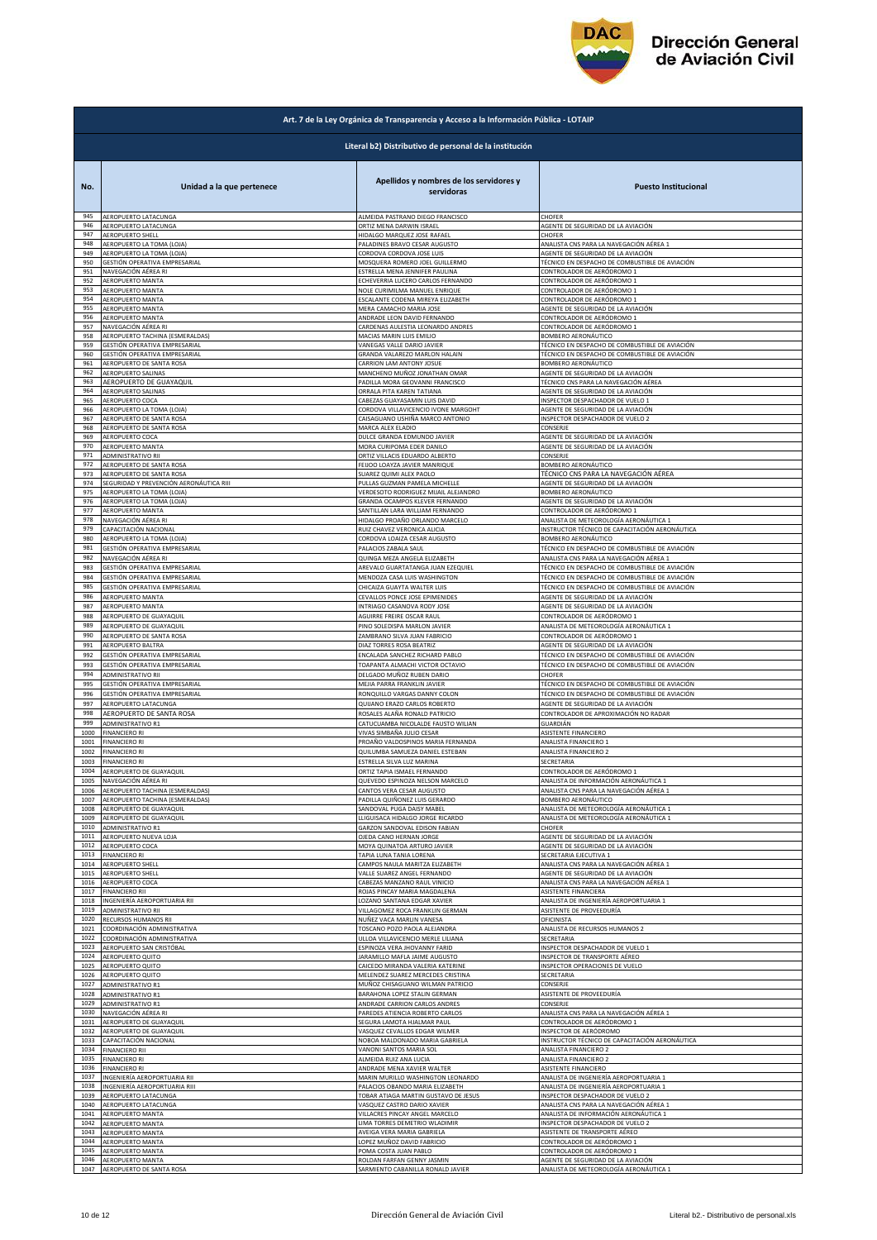

|              | Art. 7 de la Ley Orgánica de Transparencia y Acceso a la Información Pública - LOTAIP |                                                                                           |                                                |  |
|--------------|---------------------------------------------------------------------------------------|-------------------------------------------------------------------------------------------|------------------------------------------------|--|
|              | Literal b2) Distributivo de personal de la institución                                |                                                                                           |                                                |  |
| No.<br>945   | Unidad a la que pertenece<br>AEROPUERTO LATACUNGA                                     | Apellidos y nombres de los servidores y<br>servidoras<br>ALMEIDA PASTRANO DIEGO FRANCISCO | <b>Puesto Institucional</b><br>CHOFER          |  |
| 946          | AEROPUERTO LATACUNGA                                                                  | ORTIZ MENA DARWIN ISRAEL                                                                  | AGENTE DE SEGURIDAD DE LA AVIACIÓN             |  |
| 947          | AEROPUERTO SHELL                                                                      | HIDALGO MARQUEZ JOSE RAFAEL                                                               | CHOFER                                         |  |
| 948          | AEROPUERTO LA TOMA (LOJA)                                                             | PALADINES BRAVO CESAR AUGUSTO                                                             | ANALISTA CNS PARA LA NAVEGACIÓN AÉREA 1        |  |
| 949          | AEROPUERTO LA TOMA (LOJA)                                                             | CORDOVA CORDOVA JOSE LUIS                                                                 | AGENTE DE SEGURIDAD DE LA AVIACIÓN             |  |
| 950          | GESTIÓN OPERATIVA EMPRESARIAI                                                         | MOSQUERA ROMERO JOEL GUILLERMO                                                            | TÉCNICO EN DESPACHO DE COMBUSTIBLE DE AVIACIÓN |  |
| 951          | NAVEGACIÓN AÉREA RI                                                                   | ESTRELLA MENA JENNIFER PAULINA                                                            | CONTROLADOR DE AERÓDROMO 1                     |  |
| 952          | AEROPUERTO MANTA                                                                      | ECHEVERRIA LUCERO CARLOS FERNANDO                                                         | CONTROLADOR DE AERÓDROMO 1                     |  |
| 953          | AEROPUERTO MANTA                                                                      | NOLE CURIMILMA MANUEL ENRIQUE                                                             | CONTROLADOR DE AERÓDROMO 1                     |  |
| 954          | AEROPUERTO MANTA                                                                      | ESCALANTE CODENA MIREYA ELIZABETH                                                         | CONTROLADOR DE AERÓDROMO 1                     |  |
| 955          | AEROPUERTO MANTA                                                                      | MERA CAMACHO MARIA JOSE                                                                   | AGENTE DE SEGURIDAD DE LA AVIACIÓN             |  |
| 956          | AEROPUERTO MANTA                                                                      | ANDRADE LEON DAVID FERNANDO                                                               | CONTROLADOR DE AERÓDROMO 1                     |  |
| 957          | NAVEGACIÓN AÉREA RI                                                                   | CARDENAS AULESTIA LEONARDO ANDRES                                                         | CONTROLADOR DE AERÓDROMO 1                     |  |
| 958          | AEROPUERTO TACHINA (ESMERALDAS)                                                       | MACIAS MARIN LUIS EMILIO                                                                  | BOMBERO AERONÁUTICO                            |  |
| 959          | GESTIÓN OPERATIVA EMPRESARIAL                                                         | VANEGAS VALLE DARIO JAVIER                                                                | TÉCNICO EN DESPACHO DE COMBUSTIBLE DE AVIACIÓN |  |
| 960          | GESTIÓN OPERATIVA EMPRESARIAL                                                         | GRANDA VALAREZO MARLON HALAIN                                                             | TÉCNICO EN DESPACHO DE COMBUSTIBLE DE AVIACIÓN |  |
| 961          | AEROPUERTO DE SANTA ROSA                                                              | CARRION LAM ANTONY JOSUE                                                                  | BOMBERO AERONÁUTICO                            |  |
| 962          | AEROPUERTO SALINAS                                                                    | MANCHENO MUÑOZ JONATHAN OMAR                                                              | AGENTE DE SEGURIDAD DE LA AVIACIÓN             |  |
| 963          | AEROPUERTO DE GUAYAQUIL                                                               | PADILLA MORA GEOVANNI FRANCISCO                                                           | TÉCNICO CNS PARA LA NAVEGACIÓN AÉREA           |  |
| 964          | AEROPUERTO SALINAS                                                                    | ORRALA PITA KAREN TATIANA                                                                 | AGENTE DE SEGURIDAD DE LA AVIACIÓN             |  |
| 965          | AEROPUERTO COCA                                                                       | CABEZAS GUAYASAMIN LUIS DAVID                                                             | INSPECTOR DESPACHADOR DE VUELO 1               |  |
| 966          | AEROPUERTO LA TOMA (LOJA)                                                             | CORDOVA VILLAVICENCIO IVONE MARGOHT                                                       | AGENTE DE SEGURIDAD DE LA AVIACIÓN             |  |
| 967          | AEROPUERTO DE SANTA ROSA                                                              | CAISAGUANO USHIÑA MARCO ANTONIO                                                           | INSPECTOR DESPACHADOR DE VUELO 2               |  |
| 968          | AEROPUERTO DE SANTA ROSA                                                              | MARCA ALEX ELADIO                                                                         | CONSERJE                                       |  |
| 969          | AEROPUERTO COCA                                                                       | DULCE GRANDA EDMUNDO JAVIER                                                               | AGENTE DE SEGURIDAD DE LA AVIACIÓN             |  |
| 970          | AEROPUERTO MANTA                                                                      | MORA CURIPOMA EDER DANILO                                                                 | AGENTE DE SEGURIDAD DE LA AVIACIÓN             |  |
| 971          | ADMINISTRATIVO RII                                                                    | ORTIZ VILLACIS EDUARDO ALBERTO                                                            | CONSERJE                                       |  |
| 972          | AEROPUERTO DE SANTA ROSA                                                              | FEIJOO LOAYZA JAVIER MANRIQUE                                                             | BOMBERO AERONÁUTICO                            |  |
| 973          | AEROPUERTO DE SANTA ROSA                                                              | SUAREZ QUIMI ALEX PAOLO                                                                   | TÉCNICO CNS PARA LA NAVEGACIÓN AÉREA           |  |
| 974          | SEGURIDAD Y PREVENCIÓN AERONÁUTICA RIII                                               | PULLAS GUZMAN PAMELA MICHELLE                                                             | AGENTE DE SEGURIDAD DE LA AVIACIÓN             |  |
| 975          | AEROPUERTO LA TOMA (LOJA)                                                             | VERDESOTO RODRIGUEZ MIJAIL ALEJANDRO                                                      | BOMBERO AERONÁUTICO                            |  |
| 976          | AEROPUERTO LA TOMA (LOJA)                                                             | GRANDA OCAMPOS KLEVER FERNANDO                                                            | AGENTE DE SEGURIDAD DE LA AVIACIÓN             |  |
| 977          | AEROPUERTO MANTA                                                                      | SANTILLAN LARA WILLIAM FERNANDO                                                           | CONTROLADOR DE AERÓDROMO 1                     |  |
| 978          | NAVEGACIÓN AÉREA RI                                                                   | HIDALGO PROAÑO ORLANDO MARCELO                                                            | ANALISTA DE METEOROLOGÍA AERONÁUTICA 1         |  |
| 979          | CAPACITACIÓN NACIONAL                                                                 | RUIZ CHAVEZ VERONICA ALICIA                                                               | INSTRUCTOR TÉCNICO DE CAPACITACIÓN AERONÁUTICA |  |
| 980          | AEROPUERTO LA TOMA (LOJA)                                                             | CORDOVA LOAIZA CESAR AUGUSTO                                                              | BOMBERO AERONÁUTICO                            |  |
| 981          | GESTIÓN OPERATIVA EMPRESARIAL                                                         | PALACIOS ZABALA SAUL                                                                      | TÉCNICO EN DESPACHO DE COMBUSTIBLE DE AVIACIÓN |  |
| 982          | NAVEGACIÓN AÉREA RI                                                                   | QUINGA MEZA ANGELA ELIZABETH                                                              | ANALISTA CNS PARA LA NAVEGACIÓN AÉREA 1        |  |
| 983          | GESTIÓN OPERATIVA EMPRESARIAL                                                         | AREVALO GUARTATANGA JUAN EZEQUIEL                                                         | TÉCNICO EN DESPACHO DE COMBUSTIBLE DE AVIACIÓN |  |
| 984          | GESTIÓN OPERATIVA EMPRESARIAL                                                         | MENDOZA CASA LUIS WASHINGTON                                                              | TÉCNICO EN DESPACHO DE COMBUSTIBLE DE AVIACIÓN |  |
| 985          | GESTIÓN OPERATIVA EMPRESARIAL                                                         | CHICAIZA GUAYTA WALTER LUIS                                                               | TÉCNICO EN DESPACHO DE COMBUSTIBLE DE AVIACIÓN |  |
| 986          | AEROPUERTO MANTA                                                                      | CEVALLOS PONCE JOSE EPIMENIDES                                                            | AGENTE DE SEGURIDAD DE LA AVIACIÓN             |  |
| 987          | AEROPUERTO MANTA                                                                      | INTRIAGO CASANOVA RODY JOSE                                                               | AGENTE DE SEGURIDAD DE LA AVIACIÓN             |  |
| 988          | AEROPUERTO DE GUAYAQUIL                                                               | AGUIRRE FREIRE OSCAR RAUI                                                                 | CONTROLADOR DE AERÓDROMO 1                     |  |
| 989          | AEROPUERTO DE GUAYAQUIL                                                               | PINO SOLEDISPA MARLON JAVIER                                                              | ANALISTA DE METEOROLOGÍA AERONÁUTICA 1         |  |
| 990          | AEROPUERTO DE SANTA ROSA                                                              | ZAMBRANO SILVA JUAN FABRICIO                                                              | CONTROLADOR DE AERÓDROMO 1                     |  |
| 991          | AEROPUERTO BALTRA                                                                     | DIAZ TORRES ROSA BEATRIZ                                                                  | AGENTE DE SEGURIDAD DE LA AVIACIÓN             |  |
| 992          | GESTIÓN OPERATIVA EMPRESARIAL                                                         | ENCALADA SANCHEZ RICHARD PABLO                                                            | TÉCNICO EN DESPACHO DE COMBUSTIBLE DE AVIACIÓN |  |
| 993          | GESTIÓN OPERATIVA EMPRESARIAL                                                         | TOAPANTA ALMACHI VICTOR OCTAVIO                                                           | TÉCNICO EN DESPACHO DE COMBUSTIBLE DE AVIACIÓN |  |
| 994          | ADMINISTRATIVO RII                                                                    | DELGADO MUÑOZ RUBEN DARIO                                                                 | CHOFER                                         |  |
| 995          | GESTIÓN OPERATIVA EMPRESARIAL                                                         | MEJIA PARRA FRANKLIN JAVIER                                                               | TÉCNICO EN DESPACHO DE COMBUSTIBLE DE AVIACIÓN |  |
| 996          | GESTIÓN OPERATIVA EMPRESARIAL                                                         | RONQUILLO VARGAS DANNY COLON                                                              | TÉCNICO EN DESPACHO DE COMBUSTIBLE DE AVIACIÓN |  |
| 997          | AEROPUERTO LATACUNGA                                                                  | QUIJANO ERAZO CARLOS ROBERTO                                                              | AGENTE DE SEGURIDAD DE LA AVIACIÓN             |  |
| 998          | AEROPUERTO DE SANTA ROSA                                                              | ROSALES ALAÑA RONALD PATRICIO                                                             | CONTROLADOR DE APROXIMACIÓN NO RADAR           |  |
| 999          | ADMINISTRATIVO R1                                                                     | CATUCUAMBA NICOLALDE FAUSTO WILIAN                                                        | GUARDIÁN                                       |  |
| 1000         | FINANCIERO RI                                                                         | VIVAS SIMBAÑA JULIO CESAR                                                                 | ASISTENTE FINANCIERO                           |  |
| 1001         | <b>FINANCIERO RI</b>                                                                  | PROAÑO VALDOSPINOS MARIA FERNANDA                                                         | ANALISTA FINANCIERO 1                          |  |
| 1002         | <b>FINANCIERO RI</b>                                                                  | QUILUMBA SAMUEZA DANIEL ESTEBAN                                                           | ANALISTA FINANCIERO 2                          |  |
| 1003         | <b>FINANCIERO RI</b>                                                                  | ESTRELLA SILVA LUZ MARINA                                                                 | SECRETARIA                                     |  |
| 1004         | AEROPUERTO DE GUAYAQUIL                                                               | ORTIZ TAPIA ISMAEL FERNANDO                                                               | CONTROLADOR DE AERÓDROMO 1                     |  |
| 1005         | NAVEGACIÓN AÉREA RI                                                                   | QUEVEDO ESPINOZA NELSON MARCELO                                                           | ANALISTA DE INFORMACIÓN AERONÁUTICA 1          |  |
| 1006         | AEROPUERTO TACHINA (ESMERALDAS)                                                       | CANTOS VERA CESAR AUGUSTO                                                                 | ANALISTA CNS PARA LA NAVEGACIÓN AÉREA 1        |  |
| 1007         | AEROPUERTO TACHINA (ESMERALDAS)                                                       | PADILLA QUIÑONEZ LUIS GERARDO                                                             | BOMBERO AERONÁUTICO                            |  |
| 1008         | AEROPUERTO DE GUAYAQUIL                                                               | SANDOVAL PUGA DAISY MABEL                                                                 | ANALISTA DE METEOROLOGÍA AERONÁUTICA 1         |  |
| 1009<br>1010 | AEROPUERTO DE GUAYAQUIL                                                               | LLIGUISACA HIDALGO JORGE RICARDO<br>GARZON SANDOVAL EDISON FABIAN                         | ANALISTA DE METEOROLOGÍA AERONÁUTICA 1         |  |
| 1011         | <b>ADMINISTRATIVO R1</b><br>AEROPUERTO NUEVA LOJA                                     | OJEDA CANO HERNAN JORGE                                                                   | CHOFER<br>AGENTE DE SEGURIDAD DE LA AVIACIÓN   |  |
| 1012         | AEROPUERTO COCA                                                                       | MOYA QUINATOA ARTURO JAVIER                                                               | AGENTE DE SEGURIDAD DE LA AVIACIÓN             |  |
| 1013         | <b>FINANCIERO RI</b>                                                                  | TAPIA LUNA TANIA LORENA                                                                   | SECRETARIA EJECUTIVA 1                         |  |
| 1014         | AEROPUERTO SHELL                                                                      | CAMPOS NAULA MARITZA ELIZABETH                                                            | ANALISTA CNS PARA LA NAVEGACIÓN AÉREA 1        |  |
| 1015         | <b>AEROPUERTO SHELL</b>                                                               | VALLE SUAREZ ANGEL FERNANDO                                                               | AGENTE DE SEGURIDAD DE LA AVIACIÓN             |  |
| 1016         | AEROPUERTO COCA                                                                       | CABEZAS MANZANO RAUL VINICIO                                                              | ANALISTA CNS PARA LA NAVEGACIÓN AÉREA 1        |  |
| 1017         | <b>FINANCIERO RII</b>                                                                 | ROJAS PINCAY MARIA MAGDALENA                                                              | ASISTENTE FINANCIERA                           |  |
| 1018         | INGENIERÍA AEROPORTUARIA RII                                                          | OZANO SANTANA EDGAR XAVIER                                                                | ANALISTA DE INGENIERÍA AEROPORTUARIA 1         |  |
| 1019         | ADMINISTRATIVO RII                                                                    | VILLAGOMEZ ROCA FRANKLIN GERMAN                                                           | ASISTENTE DE PROVEEDURÍA                       |  |
| 1020         | RECURSOS HUMANOS RII                                                                  | NUÑEZ VACA MARLIN VANESA                                                                  | OFICINISTA                                     |  |
| 1021         | COORDINACIÓN ADMINISTRATIVA                                                           | TOSCANO POZO PAOLA ALEJANDRA                                                              | ANALISTA DE RECURSOS HUMANOS 2                 |  |
| 1022         | COORDINACIÓN ADMINISTRATIVA                                                           | ULLOA VILLAVICENCIO MERLE LILIANA                                                         | SECRETARIA                                     |  |
| 1023         | AEROPUERTO SAN CRISTÓBAL                                                              | ESPINOZA VERA JHOVANNY FARID                                                              | INSPECTOR DESPACHADOR DE VUELO 1               |  |
| 1024         | AEROPUERTO QUITO                                                                      | JARAMILLO MAFLA JAIME AUGUSTO                                                             | INSPECTOR DE TRANSPORTE AÉREO                  |  |
| 1025         | <b>AEROPUERTO QUITO</b>                                                               | CAICEDO MIRANDA VALERIA KATERINE                                                          | INSPECTOR OPERACIONES DE VUELO                 |  |
| 1026         | AEROPUERTO QUITO                                                                      | MELENDEZ SUAREZ MERCEDES CRISTINA                                                         | SECRETARIA                                     |  |
| 1027         | ADMINISTRATIVO R1                                                                     | MUÑOZ CHISAGUANO WILMAN PATRICIO                                                          | CONSERJE                                       |  |
| 1028         | ADMINISTRATIVO R1                                                                     | BARAHONA LOPEZ STALIN GERMAN                                                              | ASISTENTE DE PROVEEDURÍA                       |  |
| 1029         | ADMINISTRATIVO R1                                                                     | ANDRADE CARRION CARLOS ANDRES                                                             | CONSERJE                                       |  |
| 1030         | NAVEGACIÓN AÉREA RI                                                                   | PAREDES ATIENCIA ROBERTO CARLOS                                                           | ANALISTA CNS PARA LA NAVEGACIÓN AÉREA 1        |  |
| 1031         | AEROPUERTO DE GUAYAQUIL                                                               | SEGURA LAMOTA HJALMAR PAUL                                                                | CONTROLADOR DE AERÓDROMO 1                     |  |
| 1032         |                                                                                       | VASQUEZ CEVALLOS EDGAR WILMER                                                             | INSPECTOR DE AERÓDROMO                         |  |
| 1033         | AEROPUERTO DE GUAYAQUII<br>CAPACITACIÓN NACIONAL                                      | NOBOA MALDONADO MARIA GABRIELA                                                            | INSTRUCTOR TÉCNICO DE CAPACITACIÓN AERONÁUTICA |  |
| 1034         | <b>FINANCIERO RII</b>                                                                 | VANONI SANTOS MARIA SOL                                                                   | ANALISTA FINANCIERO 2                          |  |
| 1035         | <b>FINANCIERO RI</b>                                                                  | ALMEIDA RUIZ ANA LUCIA                                                                    | ANALISTA FINANCIERO 2                          |  |
| 1036         | <b>FINANCIERO RI</b>                                                                  | ANDRADE MENA XAVIER WALTER                                                                | ASISTENTE FINANCIERO                           |  |
| 1037         | INGENIERÍA AEROPORTUARIA RII                                                          | MARIN MURILLO WASHINGTON LEONARDO                                                         | ANALISTA DE INGENIERÍA AEROPORTUARIA 1         |  |
| 1038         | INGENIERÍA AEROPORTUARIA RIII                                                         | PALACIOS OBANDO MARIA ELIZABETH                                                           | ANALISTA DE INGENIERÍA AEROPORTUARIA 1         |  |
| 1039         | AEROPUERTO LATACUNGA                                                                  | <b>FOBAR ATIAGA MARTIN GUSTAVO DE JESUS</b>                                               | INSPECTOR DESPACHADOR DE VUELO 2               |  |
| 1040         | AEROPUERTO LATACUNGA                                                                  | VASQUEZ CASTRO DARIO XAVIER                                                               | ANALISTA CNS PARA LA NAVEGACIÓN AÉREA 1        |  |
| 1041         | AEROPUERTO MANTA                                                                      | VILLACRES PINCAY ANGEL MARCELO                                                            | ANALISTA DE INFORMACIÓN AERONÁUTICA 1          |  |
| 1042         | AEROPUERTO MANTA                                                                      | LIMA TORRES DEMETRIO WLADIMIR                                                             | INSPECTOR DESPACHADOR DE VUELO 2               |  |
| 1043         | AEROPUERTO MANTA                                                                      | AVEIGA VERA MARIA GABRIELA                                                                | ASISTENTE DE TRANSPORTE AÉREO                  |  |
| 1044         | AEROPUERTO MANTA                                                                      | LOPEZ MUÑOZ DAVID FABRICIO                                                                | CONTROLADOR DE AERÓDROMO 1                     |  |
| 1045         | AEROPUERTO MANTA                                                                      | POMA COSTA JUAN PABLO                                                                     | CONTROLADOR DE AERÓDROMO 1                     |  |
| 1046         | AEROPUERTO MANTA                                                                      | ROLDAN FARFAN GENNY JASMIN                                                                | AGENTE DE SEGURIDAD DE LA AVIACIÓN             |  |
| 1047         | AEROPUERTO DE SANTA ROSA                                                              | SARMIENTO CABANILLA RONALD JAVIER                                                         | ANALISTA DE METEOROLOGÍA AERONÁUTICA 1         |  |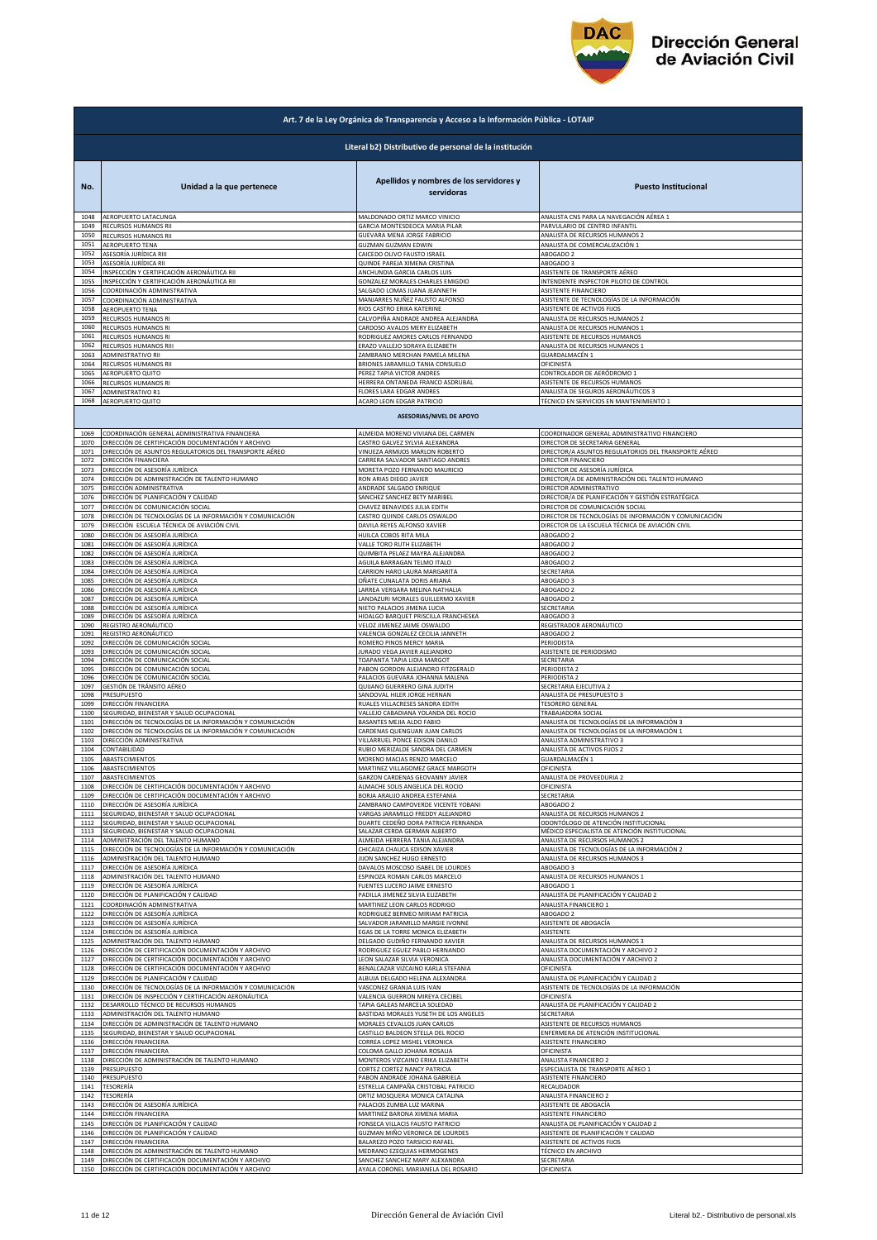

|              | Art. 7 de la Ley Orgánica de Transparencia y Acceso a la Información Pública - LOTAIP |                                                                                              |                                                                          |  |
|--------------|---------------------------------------------------------------------------------------|----------------------------------------------------------------------------------------------|--------------------------------------------------------------------------|--|
|              | Literal b2) Distributivo de personal de la institución                                |                                                                                              |                                                                          |  |
| No.          | Unidad a la que pertenece                                                             | Apellidos y nombres de los servidores y<br>servidoras                                        | <b>Puesto Institucional</b>                                              |  |
| 1048         | AEROPUERTO LATACUNGA                                                                  | MALDONADO ORTIZ MARCO VINICIO                                                                | ANALISTA CNS PARA LA NAVEGACIÓN AÉREA 1                                  |  |
| 1049         | RECURSOS HUMANOS RII                                                                  | GARCIA MONTESDEOCA MARIA PILAR                                                               | PARVULARIO DE CENTRO INFANTIL                                            |  |
| 1050         | RECURSOS HUMANOS RII                                                                  | GUEVARA MENA JORGE FABRICIO                                                                  | ANALISTA DE RECURSOS HUMANOS 2                                           |  |
| 1051         | AEROPUERTO TENA                                                                       | GUZMAN GUZMAN EDWIN                                                                          | ANALISTA DE COMERCIALIZACIÓN 1                                           |  |
| 1052         | ASESORÍA JURÍDICA RIII                                                                | CAICEDO OLIVO FAUSTO ISRAEL                                                                  | ABOGADO 2                                                                |  |
| 1053         | ASESORÍA JURÍDICA RII                                                                 | QUINDE PAREJA XIMENA CRISTINA                                                                | ABOGADO 3                                                                |  |
| 1054         | INSPECCIÓN Y CERTIFICACIÓN AERONÁUTICA RII                                            | ANCHUNDIA GARCIA CARLOS LUIS                                                                 | ASISTENTE DE TRANSPORTE AÉREO                                            |  |
| 1055<br>1056 | INSPECCIÓN Y CERTIFICACIÓN AERONÁUTICA RII                                            | GONZALEZ MORALES CHARLES EMIGDIO                                                             | INTENDENTE INSPECTOR PILOTO DE CONTROL<br>ASISTENTE FINANCIERO           |  |
| 1057<br>1058 | COORDINACIÓN ADMINISTRATIVA<br>COORDINACIÓN ADMINISTRATIVA<br>AEROPUERTO TENA         | SALGADO LOMAS JUANA JEANNETH<br>MANJARRES NUÑEZ FAUSTO ALFONSO<br>RIOS CASTRO ERIKA KATERINE | ASISTENTE DE TECNOLOGÍAS DE LA INFORMACIÓN<br>ASISTENTE DE ACTIVOS FIJOS |  |
| 1059         | RECURSOS HUMANOS RI                                                                   | CALVOPIÑA ANDRADE ANDREA ALEJANDRA                                                           | ANALISTA DE RECURSOS HUMANOS 2                                           |  |
| 1060         | RECURSOS HUMANOS RI                                                                   | CARDOSO AVALOS MERY ELIZABETH                                                                | ANALISTA DE RECURSOS HUMANOS 1                                           |  |
| 1061         | RECURSOS HUMANOS RI                                                                   | RODRIGUEZ AMORES CARLOS FERNANDO                                                             | ASISTENTE DE RECURSOS HUMANOS                                            |  |
| 1062         | RECURSOS HUMANOS RIII                                                                 | ERAZO VALLEJO SORAYA ELIZABETH                                                               | ANALISTA DE RECURSOS HUMANOS 1                                           |  |
| 1063         | ADMINISTRATIVO RII                                                                    | ZAMBRANO MERCHAN PAMELA MILENA                                                               | GUARDALMACÉN 1                                                           |  |
| 1064         | RECURSOS HUMANOS RII                                                                  | BRIONES JARAMILLO TANIA CONSUELO                                                             | OFICINISTA                                                               |  |
| 1065         | AEROPUERTO QUITO                                                                      | PEREZ TAPIA VICTOR ANDRES                                                                    | CONTROLADOR DE AERÓDROMO 1                                               |  |
| 1066         | RECURSOS HUMANOS RI                                                                   | HERRERA ONTANEDA FRANCO ASDRUBAL                                                             | ASISTENTE DE RECURSOS HUMANOS                                            |  |
| 1067         | <b>ADMINISTRATIVO R1</b>                                                              | FLORES LARA EDGAR ANDRES                                                                     | ANALISTA DE SEGUROS AERONÁUTICOS 3                                       |  |
| 1068         | AEROPUERTO QUITO                                                                      | ACARO LEON EDGAR PATRICIO<br><b>ASESORIAS/NIVEL DE APOYO</b>                                 | TÉCNICO EN SERVICIOS EN MANTENIMIENTO 1                                  |  |
| 1069         | COORDINACIÓN GENERAL ADMINISTRATIVA FINANCIERA                                        | ALMEIDA MORENO VIVIANA DEL CARMEN                                                            | COORDINADOR GENERAL ADMINISTRATIVO FINANCIERO                            |  |
| 1070         | DIRECCIÓN DE CERTIFICACIÓN DOCUMENTACIÓN Y ARCHIVO                                    | CASTRO GALVEZ SYLVIA ALEXANDRA                                                               | DIRECTOR DE SECRETARIA GENERAL                                           |  |
| 1071         | DIRECCIÓN DE ASUNTOS REGULATORIOS DEL TRANSPORTE AÉREO                                | VINUEZA ARMIJOS MARLON ROBERTO                                                               | DIRECTOR/A ASUNTOS REGULATORIOS DEL TRANSPORTE AÉREO                     |  |
| 1072         | DIRECCIÓN FINANCIERA                                                                  | CARRERA SALVADOR SANTIAGO ANDRES                                                             | DIRECTOR FINANCIERO                                                      |  |
| 1073         | DIRECCIÓN DE ASESORÍA JURÍDICA                                                        | MORETA POZO FERNANDO MAURICIO                                                                | DIRECTOR DE ASESORÍA JURÍDICA                                            |  |
| 1074         | DIRECCIÓN DE ADMINISTRACIÓN DE TALENTO HUMANO                                         | RON ARIAS DIEGO JAVIER                                                                       | DIRECTOR/A DE ADMINISTRACIÓN DEL TALENTO HUMANO                          |  |
| 1075         | DIRECCIÓN ADMINISTRATIVA                                                              | ANDRADE SALGADO ENRIQUE                                                                      | DIRECTOR ADMINISTRATIVO                                                  |  |
| 1076         | DIRECCIÓN DE PLANIFICACIÓN Y CALIDAD                                                  | SANCHEZ SANCHEZ BETY MARIBEL                                                                 | DIRECTOR/A DE PLANIFICACIÓN Y GESTIÓN ESTRATÉGICA                        |  |
| 1077         | DIRECCIÓN DE COMUNICACIÓN SOCIAL                                                      | CHAVEZ BENAVIDES JULIA EDITH                                                                 | DIRECTOR DE COMUNICACIÓN SOCIAL                                          |  |
| 1078         | DIRECCIÓN DE TECNOLOGÍAS DE LA INFORMACIÓN Y COMUNICACIÓN                             | CASTRO QUINDE CARLOS OSWALDO                                                                 | DIRECTOR DE TECNOLOGÍAS DE INFORMACIÓN Y COMUNICACIÓN                    |  |
| 1079         | DIRECCIÓN ESCUELA TÉCNICA DE AVIACIÓN CIVIL                                           | DAVILA REYES ALFONSO XAVIER                                                                  | DIRECTOR DE LA ESCUELA TÉCNICA DE AVIACIÓN CIVIL                         |  |
| 1080         | DIRECCIÓN DE ASESORÍA JURÍDICA                                                        | HUILCA COBOS RITA MILA                                                                       | ABOGADO 2                                                                |  |
| 1081         | DIRECCIÓN DE ASESORÍA JURÍDICA                                                        | VALLE TORO RUTH ELIZABETH                                                                    | ABOGADO 2                                                                |  |
| 1082         | DIRECCIÓN DE ASESORÍA JURÍDICA                                                        | QUIMBITA PELAEZ MAYRA ALEJANDRA                                                              | ABOGADO 2                                                                |  |
| 1083         | DIRECCIÓN DE ASESORÍA JURÍDICA                                                        | AGUILA BARRAGAN TELMO ITALO                                                                  | ABOGADO 2                                                                |  |
| 1084         | DIRECCIÓN DE ASESORÍA JURÍDICA                                                        | CARRION HARO LAURA MARGARITA                                                                 | SECRETARIA                                                               |  |
| 1085         | DIRECCIÓN DE ASESORÍA JURÍDICA                                                        | OÑATE CUNALATA DORIS ARIANA                                                                  | ABOGADO 3                                                                |  |
| 1086         | DIRECCIÓN DE ASESORÍA JURÍDICA                                                        | LARREA VERGARA MELINA NATHALIA                                                               | ABOGADO 2                                                                |  |
| 1087         | DIRECCIÓN DE ASESORÍA JURÍDICA                                                        | LANDAZURI MORALES GUILLERMO XAVIER                                                           | ABOGADO 2                                                                |  |
| 1088         | DIRECCIÓN DE ASESORÍA JURÍDICA                                                        | NIETO PALACIOS JIMENA LUCIA                                                                  | SECRETARIA                                                               |  |
| 1089         | DIRECCIÓN DE ASESORÍA JURÍDICA                                                        | HIDALGO BARQUET PRISCILLA FRANCHESKA                                                         | ABOGADO 3                                                                |  |
| 1090         | REGISTRO AERONÁUTICO                                                                  | VELOZ JIMENEZ JAIME OSWALDO                                                                  | REGISTRADOR AERONÁUTICO                                                  |  |
| 1091         | REGISTRO AERONÁUTICO                                                                  | VALENCIA GONZALEZ CECILIA JANNETH                                                            | ABOGADO 2                                                                |  |
| 1092         | DIRECCIÓN DE COMUNICACIÓN SOCIAL                                                      | ROMERO PINOS MERCY MARIA                                                                     | PERIODISTA                                                               |  |
| 1093         | DIRECCIÓN DE COMUNICACIÓN SOCIAL                                                      | JURADO VEGA JAVIER ALEJANDRO                                                                 | ASISTENTE DE PERIODISMO                                                  |  |
| 1094         | DIRECCIÓN DE COMUNICACIÓN SOCIAL                                                      | TOAPANTA TAPIA LIDIA MARGOT                                                                  | SECRETARIA                                                               |  |
| 1095         | DIRECCIÓN DE COMUNICACIÓN SOCIAL                                                      | PABON GORDON ALEJANDRO FITZGERALD                                                            | PERIODISTA 2                                                             |  |
| 1096         | DIRECCIÓN DE COMUNICACIÓN SOCIAL                                                      | PALACIOS GUEVARA JOHANNA MALENA                                                              | PERIODISTA 2                                                             |  |
| 1097         | GESTIÓN DE TRÁNSITO AÉREO                                                             | QUIJANO GUERRERO GINA JUDITH                                                                 | SECRETARIA EJECUTIVA 2                                                   |  |
| 1098         | PRESUPUESTO                                                                           | SANDOVAL HILER JORGE HERNAN                                                                  | ANALISTA DE PRESUPUESTO 3                                                |  |
| 1099         | DIRECCIÓN FINANCIERA                                                                  | RUALES VILLACRESES SANDRA EDITH                                                              | <b>TESORERO GENERAL</b>                                                  |  |
| 1100         | SEGURIDAD, BIENESTAR Y SALUD OCUPACIONAL                                              | VALLEJO CABADIANA YOLANDA DEL ROCIO                                                          | TRABAJADORA SOCIAL                                                       |  |
| 1101         | DIRECCIÓN DE TECNOLOGÍAS DE LA INFORMACIÓN Y COMUNICACIÓN                             | BASANTES MEJIA ALDO FABIO                                                                    | ANALISTA DE TECNOLOGÍAS DE LA INFORMACIÓN 3                              |  |
| 1102         | DIRECCIÓN DE TECNOLOGÍAS DE LA INFORMACIÓN Y COMUNICACIÓN                             | CARDENAS QUENGUAN JUAN CARLOS                                                                | ANALISTA DE TECNOLOGÍAS DE LA INFORMACIÓN 1                              |  |
| 1103         | DIRECCIÓN ADMINISTRATIVA                                                              | VILLARRUEL PONCE EDISON DANILO                                                               | ANALISTA ADMINISTRATIVO 3                                                |  |
| 1104         | CONTABILIDAD                                                                          | RUBIO MERIZALDE SANDRA DEL CARMEN                                                            | ANALISTA DE ACTIVOS FIJOS 2                                              |  |
| 1105         | ABASTECIMIENTOS                                                                       | MORENO MACIAS RENZO MARCELO                                                                  | GUARDALMACÉN 1                                                           |  |
| 1106         | ABASTECIMIENTOS                                                                       | VIARTINEZ VILLAGOMEZ GRACE MARGOTF                                                           | JFILINISTA                                                               |  |
| 1107         | ABASTECIMIENTOS                                                                       | GARZON CARDENAS GEOVANNY JAVIER                                                              | ANALISTA DE PROVEEDURIA 2                                                |  |
| 1108         | DIRECCIÓN DE CERTIFICACIÓN DOCUMENTACIÓN Y ARCHIVO                                    | ALMACHE SOLIS ANGELICA DEL ROCIO                                                             | OFICINISTA                                                               |  |
| 1109         | DIRECCIÓN DE CERTIFICACIÓN DOCUMENTACIÓN Y ARCHIVO                                    | BORJA ARAUJO ANDREA ESTEFANIA                                                                | SECRETARIA                                                               |  |
| 1110         | DIRECCIÓN DE ASESORÍA JURÍDICA                                                        | ZAMBRANO CAMPOVERDE VICENTE YOBANI                                                           | ABOGADO 2                                                                |  |
| 1111         | SEGURIDAD, BIENESTAR Y SALUD OCUPACIONAL                                              | VARGAS JARAMILLO FREDDY ALEJANDRO                                                            | ANALISTA DE RECURSOS HUMANOS 2                                           |  |
| 1112         | SEGURIDAD, BIENESTAR Y SALUD OCUPACIONAL                                              | DUARTE CEDEÑO DORA PATRICIA FERNANDA                                                         | ODONTÓLOGO DE ATENCIÓN INSTITUCIONAL                                     |  |
| 1113         | SEGURIDAD, BIENESTAR Y SALUD OCUPACIONAL                                              | SALAZAR CERDA GERMAN ALBERTO                                                                 | MÉDICO ESPECIALISTA DE ATENCIÓN INSTITUCIONAL                            |  |
| 1114         | ADMINISTRACIÓN DEL TALENTO HUMANO                                                     | ALMEIDA HERRERA TANIA ALEJANDRA                                                              | ANALISTA DE RECURSOS HUMANOS 2                                           |  |
| 1115         | DIRECCIÓN DE TECNOLOGÍAS DE LA INFORMACIÓN Y COMUNICACIÓN                             | CHICAIZA CHAUCA EDISON XAVIER                                                                | ANALISTA DE TECNOLOGÍAS DE LA INFORMACIÓN 2                              |  |
| 1116         | ADMINISTRACIÓN DEL TALENTO HUMANO                                                     | JIJON SANCHEZ HUGO ERNESTO                                                                   | ANALISTA DE RECURSOS HUMANOS 3                                           |  |
| 1117         | DIRECCIÓN DE ASESORÍA JURÍDICA                                                        | DAVALOS MOSCOSO ISABEL DE LOURDES                                                            | ABOGADO 3                                                                |  |
| 1118         | ADMINISTRACIÓN DEL TALENTO HUMANO                                                     | ESPINOZA ROMAN CARLOS MARCELO                                                                | ANALISTA DE RECURSOS HUMANOS 1                                           |  |
| 1119         | DIRECCIÓN DE ASESORÍA JURÍDICA                                                        | FUENTES LUCERO JAIME ERNESTO                                                                 | ABOGADO 1                                                                |  |
| 1120         | DIRECCIÓN DE PLANIFICACIÓN Y CALIDAD                                                  | PADILLA JIMENEZ SILVIA ELIZABETH                                                             | ANALISTA DE PLANIFICACIÓN Y CALIDAD 2                                    |  |
| 1121         | COORDINACIÓN ADMINISTRATIVA                                                           | MARTINEZ LEON CARLOS RODRIGO                                                                 | ANALISTA FINANCIERO 1                                                    |  |
| 1122         | DIRECCIÓN DE ASESORÍA JURÍDICA                                                        | RODRIGUEZ BERMEO MIRIAM PATRICIA                                                             | ABOGADO 2                                                                |  |
| 1123         | DIRECCIÓN DE ASESORÍA JURÍDICA                                                        | SALVADOR JARAMILLO MARGIE IVONNE                                                             | ASISTENTE DE ABOGACÍA                                                    |  |
| 1124         | DIRECCIÓN DE ASESORÍA JURÍDICA                                                        | EGAS DE LA TORRE MONICA ELIZABETH                                                            | ASISTENTE                                                                |  |
| 1125         | ADMINISTRACIÓN DEL TALENTO HUMANO                                                     | DELGADO GUDIÑO FERNANDO XAVIER                                                               | ANALISTA DE RECURSOS HUMANOS 3                                           |  |
| 1126         | DIRECCIÓN DE CERTIFICACIÓN DOCUMENTACIÓN Y ARCHIVO                                    | RODRIGUEZ EGUEZ PABLO HERNANDO                                                               | ANALISTA DOCUMENTACIÓN Y ARCHIVO 2                                       |  |
| 1127         | DIRECCIÓN DE CERTIFICACIÓN DOCUMENTACIÓN Y ARCHIVO                                    | LEON SALAZAR SILVIA VERONICA                                                                 | ANALISTA DOCUMENTACIÓN Y ARCHIVO 2                                       |  |
| 1128         | DIRECCIÓN DE CERTIFICACIÓN DOCUMENTACIÓN Y ARCHIVO                                    | BENALCAZAR VIZCAINO KARLA STEFANIA                                                           | <b>OFICINISTA</b>                                                        |  |
| 1129         | DIRECCIÓN DE PLANIFICACIÓN Y CALIDAD                                                  | ALBUJA DELGADO HELENA ALEXANDRA                                                              | ANALISTA DE PLANIFICACIÓN Y CALIDAD 2                                    |  |
| 1130         | DIRECCIÓN DE TECNOLOGÍAS DE LA INFORMACIÓN Y COMUNICACIÓN                             | VASCONEZ GRANJA LUIS IVAN                                                                    | ASISTENTE DE TECNOLOGÍAS DE LA INFORMACIÓN                               |  |
| 1131         | DIRECCIÓN DE INSPECCIÓN Y CERTIFICACIÓN AERONÁUTICA                                   | VALENCIA GUERRON MIREYA CECIBEL                                                              | OFICINISTA                                                               |  |
| 1132         | DESARROLLO TÉCNICO DE RECURSOS HUMANOS                                                | TAPIA GALEAS MARCELA SOLEDAD                                                                 | ANALISTA DE PLANIFICACIÓN Y CALIDAD 2                                    |  |
| 1133         | ADMINISTRACIÓN DEL TALENTO HUMANO                                                     | BASTIDAS MORALES YUSETH DE LOS ANGELES                                                       | <b>SECRETARIA</b>                                                        |  |
| 1134         | DIRECCIÓN DE ADMINISTRACIÓN DE TALENTO HUMANO                                         | MORALES CEVALLOS JUAN CARLOS                                                                 | ASISTENTE DE RECURSOS HUMANOS                                            |  |
| 1135         | SEGURIDAD, BIENESTAR Y SALUD OCUPACIONAL                                              | CASTILLO BALDEON STELLA DEL ROCIO                                                            | ENFERMERA DE ATENCIÓN INSTITUCIONAL                                      |  |
| 1136         | DIRECCIÓN FINANCIERA                                                                  | CORREA LOPEZ MISHEL VERONICA                                                                 | ASISTENTE FINANCIERO                                                     |  |
| 1137         | DIRECCIÓN FINANCIERA                                                                  | COLOMA GALLO JOHANA ROSALIA                                                                  | OFICINISTA                                                               |  |
| 1138         | DIRECCIÓN DE ADMINISTRACIÓN DE TALENTO HUMANO                                         | MONTEROS VIZCAINO ERIKA ELIZABETH                                                            | ANALISTA FINANCIERO 2                                                    |  |
| 1139         | PRESUPUESTO                                                                           | CORTEZ CORTEZ NANCY PATRICIA                                                                 | ESPECIALISTA DE TRANSPORTE AÉREO 1                                       |  |
| 1140         | PRESUPUESTO                                                                           | PABON ANDRADE JOHANA GABRIELA                                                                | ASISTENTE FINANCIERO                                                     |  |
| 1141         | TESORERÍA                                                                             | ESTRELLA CAMPAÑA CRISTOBAL PATRICIO                                                          | RECAUDADOR                                                               |  |
| 1142         | TESORERÍA                                                                             | ORTIZ MOSQUERA MONICA CATALINA                                                               | ANALISTA FINANCIERO 2                                                    |  |
| 1143         | DIRECCIÓN DE ASESORÍA JURÍDICA                                                        | PALACIOS ZUMBA LUZ MARINA                                                                    | ASISTENTE DE ABOGACÍA                                                    |  |
| 1144         | DIRECCIÓN FINANCIERA                                                                  | MARTINEZ BARONA XIMENA MARIA                                                                 | ASISTENTE FINANCIERO                                                     |  |
| 1145         | DIRECCIÓN DE PLANIFICACIÓN Y CALIDAD                                                  | FONSECA VILLACIS FAUSTO PATRICIO                                                             | ANALISTA DE PLANIFICACIÓN Y CALIDAD 2                                    |  |
| 1146         | DIRECCIÓN DE PLANIFICACIÓN Y CALIDAD                                                  | GUZMAN MIÑO VERONICA DE LOURDES                                                              | ASISTENTE DE PLANIFICACIÓN Y CALIDAD                                     |  |
| 1147         | DIRECCIÓN FINANCIERA                                                                  | BALAREZO POZO TARSICIO RAFAEL                                                                | ASISTENTE DE ACTIVOS FIJOS                                               |  |
| 1148         | DIRECCIÓN DE ADMINISTRACIÓN DE TALENTO HUMANO                                         | MEDRANO EZEQUIAS HERMOGENES                                                                  | TÉCNICO EN ARCHIVO                                                       |  |
| 1149         | DIRECCIÓN DE CERTIFICACIÓN DOCUMENTACIÓN Y ARCHIVO                                    | SANCHEZ SANCHEZ MARY ALEXANDRA                                                               | SECRETARIA                                                               |  |
| 1150         | DIRECCIÓN DE CERTIFICACIÓN DOCUMENTACIÓN Y ARCHIVO                                    | AYALA CORONEL MARIANELA DEL ROSARIO                                                          | <b>OFICINISTA</b>                                                        |  |